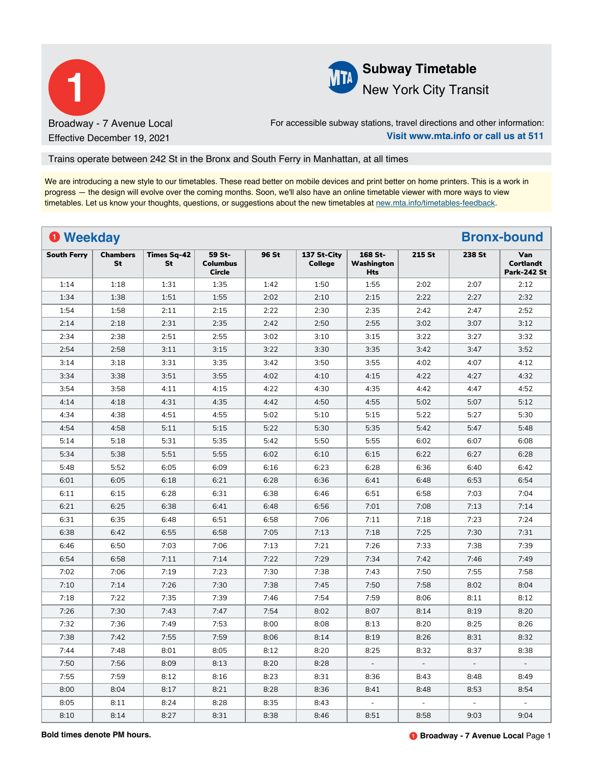



For accessible subway stations, travel directions and other information: **Visit www.mta.info or call us at 511**

## Trains operate between 242 St in the Bronx and South Ferry in Manhattan, at all times

We are introducing a new style to our timetables. These read better on mobile devices and print better on home printers. This is a work in progress — the design will evolve over the coming months. Soon, we'll also have an online timetable viewer with more ways to view timetables. Let us know your thoughts, questions, or suggestions about the new timetables at [new.mta.info/timetables-feedback](https://new.mta.info/timetables-feedback).

| <b>O</b> Weekday   |                       |                          |                                            |       |                               |                                     |        |                          | <b>Bronx-bound</b>                            |
|--------------------|-----------------------|--------------------------|--------------------------------------------|-------|-------------------------------|-------------------------------------|--------|--------------------------|-----------------------------------------------|
| <b>South Ferry</b> | <b>Chambers</b><br>St | <b>Times Sq-42</b><br>St | 59 St-<br><b>Columbus</b><br><b>Circle</b> | 96 St | 137 St-City<br><b>College</b> | 168 St-<br>Washington<br><b>Hts</b> | 215 St | 238 St                   | Van<br><b>Cortlandt</b><br><b>Park-242 St</b> |
| 1:14               | 1:18                  | 1:31                     | 1:35                                       | 1:42  | 1:50                          | 1:55                                | 2:02   | 2:07                     | 2:12                                          |
| 1:34               | 1:38                  | 1:51                     | 1:55                                       | 2:02  | 2:10                          | 2:15                                | 2:22   | 2:27                     | 2:32                                          |
| 1:54               | 1:58                  | 2:11                     | 2:15                                       | 2:22  | 2:30                          | 2:35                                | 2:42   | 2:47                     | 2:52                                          |
| 2:14               | 2:18                  | 2:31                     | 2:35                                       | 2:42  | 2:50                          | 2:55                                | 3:02   | 3:07                     | 3:12                                          |
| 2:34               | 2:38                  | 2:51                     | 2:55                                       | 3:02  | 3:10                          | 3:15                                | 3:22   | 3:27                     | 3:32                                          |
| 2:54               | 2:58                  | 3:11                     | 3:15                                       | 3:22  | 3:30                          | 3:35                                | 3:42   | 3:47                     | 3:52                                          |
| 3:14               | 3:18                  | 3:31                     | 3:35                                       | 3:42  | 3:50                          | 3:55                                | 4:02   | 4:07                     | 4:12                                          |
| 3:34               | 3:38                  | 3:51                     | 3:55                                       | 4:02  | 4:10                          | 4:15                                | 4:22   | 4:27                     | 4:32                                          |
| 3:54               | 3:58                  | 4:11                     | 4:15                                       | 4:22  | 4:30                          | 4:35                                | 4:42   | 4:47                     | 4:52                                          |
| 4:14               | 4:18                  | 4:31                     | 4:35                                       | 4:42  | 4:50                          | 4:55                                | 5:02   | 5:07                     | 5:12                                          |
| 4:34               | 4:38                  | 4:51                     | 4:55                                       | 5:02  | 5:10                          | 5:15                                | 5:22   | 5:27                     | 5:30                                          |
| 4:54               | 4:58                  | 5:11                     | 5:15                                       | 5:22  | 5:30                          | 5:35                                | 5:42   | 5:47                     | 5:48                                          |
| 5:14               | 5:18                  | 5:31                     | 5:35                                       | 5:42  | 5:50                          | 5:55                                | 6:02   | 6:07                     | 6:08                                          |
| 5:34               | 5:38                  | 5:51                     | 5:55                                       | 6:02  | 6:10                          | 6:15                                | 6:22   | 6:27                     | 6:28                                          |
| 5:48               | 5:52                  | 6:05                     | 6:09                                       | 6:16  | 6:23                          | 6:28                                | 6:36   | 6:40                     | 6:42                                          |
| 6:01               | 6:05                  | 6:18                     | 6:21                                       | 6:28  | 6:36                          | 6:41                                | 6:48   | 6:53                     | 6:54                                          |
| 6:11               | 6:15                  | 6:28                     | 6:31                                       | 6:38  | 6:46                          | 6:51                                | 6:58   | 7:03                     | 7:04                                          |
| 6:21               | 6:25                  | 6:38                     | 6:41                                       | 6:48  | 6:56                          | 7:01                                | 7:08   | 7:13                     | 7:14                                          |
| 6:31               | 6:35                  | 6:48                     | 6:51                                       | 6:58  | 7:06                          | 7:11                                | 7:18   | 7:23                     | 7:24                                          |
| 6:38               | 6:42                  | 6:55                     | 6:58                                       | 7:05  | 7:13                          | 7:18                                | 7:25   | 7:30                     | 7:31                                          |
| 6:46               | 6:50                  | 7:03                     | 7:06                                       | 7:13  | 7:21                          | 7:26                                | 7:33   | 7:38                     | 7:39                                          |
| 6:54               | 6:58                  | 7:11                     | 7:14                                       | 7:22  | 7:29                          | 7:34                                | 7:42   | 7:46                     | 7:49                                          |
| 7:02               | 7:06                  | 7:19                     | 7:23                                       | 7:30  | 7:38                          | 7:43                                | 7:50   | 7:55                     | 7:58                                          |
| 7:10               | 7:14                  | 7:26                     | 7:30                                       | 7:38  | 7:45                          | 7:50                                | 7:58   | 8:02                     | 8:04                                          |
| 7:18               | 7:22                  | 7:35                     | 7:39                                       | 7:46  | 7:54                          | 7:59                                | 8:06   | 8:11                     | 8:12                                          |
| 7:26               | 7:30                  | 7:43                     | 7:47                                       | 7:54  | 8:02                          | 8:07                                | 8:14   | 8:19                     | 8:20                                          |
| 7:32               | 7:36                  | 7:49                     | 7:53                                       | 8:00  | 8:08                          | 8:13                                | 8:20   | 8:25                     | 8:26                                          |
| 7:38               | 7:42                  | 7:55                     | 7:59                                       | 8:06  | 8:14                          | 8:19                                | 8:26   | 8:31                     | 8:32                                          |
| 7:44               | 7:48                  | 8:01                     | 8:05                                       | 8:12  | 8:20                          | 8:25                                | 8:32   | 8:37                     | 8:38                                          |
| 7:50               | 7:56                  | 8:09                     | 8:13                                       | 8:20  | 8:28                          | $\blacksquare$                      |        | $\overline{\phantom{a}}$ |                                               |
| 7:55               | 7:59                  | 8:12                     | 8:16                                       | 8:23  | 8:31                          | 8:36                                | 8:43   | 8:48                     | 8:49                                          |
| 8:00               | 8:04                  | 8:17                     | 8:21                                       | 8:28  | 8:36                          | 8:41                                | 8:48   | 8:53                     | 8:54                                          |
| 8:05               | 8:11                  | 8:24                     | 8:28                                       | 8:35  | 8:43                          | $\blacksquare$                      |        |                          |                                               |
| 8:10               | 8:14                  | 8:27                     | 8:31                                       | 8:38  | 8:46                          | 8:51                                | 8:58   | 9:03                     | 9:04                                          |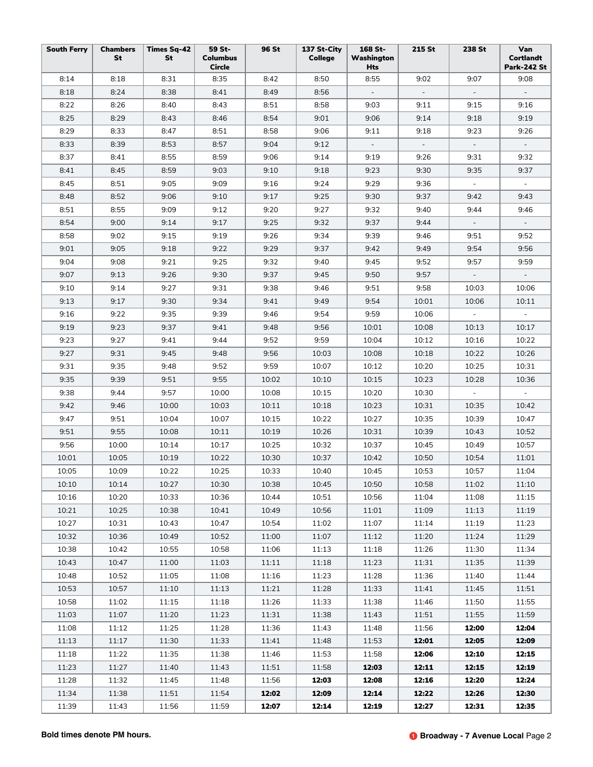| <b>South Ferry</b> | <b>Chambers</b><br>St | <b>Times Sq-42</b><br>St | 59 St-<br><b>Columbus</b><br><b>Circle</b> | 96 St | 137 St-City<br><b>College</b> | 168 St-<br>Washington<br>Hts | 215 St   | 238 St                   | Van<br>Cortlandt<br>Park-242 St |
|--------------------|-----------------------|--------------------------|--------------------------------------------|-------|-------------------------------|------------------------------|----------|--------------------------|---------------------------------|
| 8:14               | 8:18                  | 8:31                     | 8:35                                       | 8:42  | 8:50                          | 8:55                         | 9:02     | 9:07                     | 9:08                            |
| 8:18               | 8:24                  | 8:38                     | 8:41                                       | 8:49  | 8:56                          | $\sim$                       | $\omega$ | $\equiv$                 | $\sim$                          |
| 8:22               | 8:26                  | 8:40                     | 8:43                                       | 8:51  | 8:58                          | 9:03                         | 9:11     | 9:15                     | 9:16                            |
| 8:25               | 8:29                  | 8:43                     | 8:46                                       | 8:54  | 9:01                          | 9:06                         | 9:14     | 9:18                     | 9:19                            |
| 8:29               | 8:33                  | 8:47                     | 8:51                                       | 8:58  | 9:06                          | 9:11                         | 9:18     | 9:23                     | 9:26                            |
| 8:33               | 8:39                  | 8:53                     | 8:57                                       | 9:04  | 9:12                          | $\sim$                       | $\sim$   | $\sim$                   | $\sim$                          |
| 8:37               | 8:41                  | 8:55                     | 8:59                                       | 9:06  | 9:14                          | 9:19                         | 9:26     | 9:31                     | 9:32                            |
| 8:41               | 8:45                  | 8:59                     | 9:03                                       | 9:10  | 9:18                          | 9:23                         | 9:30     | 9:35                     | 9:37                            |
| 8:45               | 8:51                  | 9:05                     | 9:09                                       | 9:16  | 9:24                          | 9:29                         | 9:36     | $\equiv$                 | $\blacksquare$                  |
| 8:48               | 8:52                  | 9:06                     | 9:10                                       | 9:17  | 9:25                          | 9:30                         | 9:37     | 9:42                     | 9:43                            |
| 8:51               | 8:55                  | 9:09                     | 9:12                                       | 9:20  | 9:27                          | 9:32                         | 9:40     | 9:44                     | 9:46                            |
| 8:54               | 9:00                  | 9:14                     | 9:17                                       | 9:25  | 9:32                          | 9:37                         | 9:44     | $\overline{\phantom{a}}$ |                                 |
| 8:58               | 9:02                  | 9:15                     | 9:19                                       | 9:26  | 9:34                          | 9:39                         | 9:46     | 9:51                     | 9:52                            |
| 9:01               | 9:05                  | 9:18                     | 9:22                                       | 9:29  | 9:37                          | 9:42                         | 9:49     | 9:54                     | 9:56                            |
| 9:04               | 9:08                  | 9:21                     | 9:25                                       | 9:32  | 9:40                          | 9:45                         | 9:52     | 9:57                     | 9:59                            |
| 9:07               | 9:13                  | 9:26                     | 9:30                                       | 9:37  | 9:45                          | 9:50                         | 9:57     | $\overline{\phantom{a}}$ |                                 |
| 9:10               | 9:14                  | 9:27                     | 9:31                                       | 9:38  | 9:46                          | 9:51                         | 9:58     | 10:03                    | 10:06                           |
| 9:13               | 9:17                  | 9:30                     | 9:34                                       | 9:41  | 9:49                          | 9:54                         | 10:01    | 10:06                    | 10:11                           |
| 9:16               | 9:22                  | 9:35                     | 9:39                                       | 9:46  | 9:54                          | 9:59                         | 10:06    |                          |                                 |
| 9:19               | 9:23                  | 9:37                     | 9:41                                       | 9:48  | 9:56                          | 10:01                        | 10:08    | 10:13                    | 10:17                           |
| 9:23               | 9:27                  | 9:41                     | 9:44                                       | 9:52  | 9:59                          | 10:04                        | 10:12    | 10:16                    | 10:22                           |
| 9:27               | 9:31                  | 9:45                     | 9:48                                       | 9:56  | 10:03                         | 10:08                        | 10:18    | 10:22                    | 10:26                           |
| 9:31               | 9:35                  | 9:48                     | 9:52                                       | 9:59  | 10:07                         | 10:12                        | 10:20    | 10:25                    | 10:31                           |
| 9:35               | 9:39                  | 9:51                     | 9:55                                       | 10:02 | 10:10                         | 10:15                        | 10:23    | 10:28                    | 10:36                           |
| 9:38               | 9:44                  | 9:57                     | 10:00                                      | 10:08 | 10:15                         | 10:20                        | 10:30    | $\blacksquare$           | $\sim$                          |
| 9:42               | 9:46                  | 10:00                    | 10:03                                      | 10:11 | 10:18                         | 10:23                        | 10:31    | 10:35                    | 10:42                           |
| 9:47               | 9:51                  | 10:04                    | 10:07                                      | 10:15 | 10:22                         | 10:27                        | 10:35    | 10:39                    | 10:47                           |
| 9:51               | 9:55                  | 10:08                    | 10:11                                      | 10:19 | 10:26                         | 10:31                        | 10:39    | 10:43                    | 10:52                           |
| 9:56               | 10:00                 | 10:14                    | 10:17                                      | 10:25 | 10:32                         | 10:37                        | 10:45    | 10:49                    | 10:57                           |
| 10:01              | 10:05                 | 10:19                    | 10:22                                      | 10:30 | 10:37                         | 10:42                        | 10:50    | 10:54                    | 11:01                           |
| 10:05              | 10:09                 | 10:22                    | 10:25                                      | 10:33 | 10:40                         | 10:45                        | 10:53    | 10:57                    | 11:04                           |
| 10:10              | 10:14                 | 10:27                    | 10:30                                      | 10:38 | 10:45                         | 10:50                        | 10:58    | 11:02                    | 11:10                           |
| 10:16              | 10:20                 | 10:33                    | 10:36                                      | 10:44 | 10:51                         | 10:56                        | 11:04    | 11:08                    | 11:15                           |
| 10:21              | 10:25                 | 10:38                    | 10:41                                      | 10:49 | 10:56                         | 11:01                        | 11:09    | 11:13                    | 11:19                           |
| 10:27              | 10:31                 | 10:43                    | 10:47                                      | 10:54 | 11:02                         | 11:07                        | 11:14    | 11:19                    | 11:23                           |
| 10:32              | 10:36                 | 10:49                    | 10:52                                      | 11:00 | 11:07                         | 11:12                        | 11:20    | 11:24                    | 11:29                           |
| 10:38              | 10:42                 | 10:55                    | 10:58                                      | 11:06 | 11:13                         | 11:18                        | 11:26    | 11:30                    | 11:34                           |
| 10:43              | 10:47                 | 11:00                    | 11:03                                      | 11:11 | 11:18                         | 11:23                        | 11:31    | 11:35                    | 11:39                           |
| 10:48              | 10:52                 | 11:05                    | 11:08                                      | 11:16 | 11:23                         | 11:28                        | 11:36    | 11:40                    | 11:44                           |
| 10:53              | 10:57                 | 11:10                    | 11:13                                      | 11:21 | 11:28                         | 11:33                        | 11:41    | 11:45                    | 11:51                           |
| 10:58              | 11:02                 | 11:15                    | 11:18                                      | 11:26 | 11:33                         | 11:38                        | 11:46    | 11:50                    | 11:55                           |
| 11:03              | 11:07                 | 11:20                    | 11:23                                      | 11:31 | 11:38                         | 11:43                        | 11:51    | 11:55                    | 11:59                           |
| 11:08              | 11:12                 | 11:25                    | 11:28                                      | 11:36 | 11:43                         | 11:48                        | 11:56    | 12:00                    | 12:04                           |
| 11:13              | 11:17                 | 11:30                    | 11:33                                      | 11:41 | 11:48                         | 11:53                        | 12:01    | 12:05                    | 12:09                           |
| 11:18              | 11:22                 | 11:35                    | 11:38                                      | 11:46 | 11:53                         | 11:58                        | 12:06    | 12:10                    | 12:15                           |
| 11:23              | 11:27                 | 11:40                    | 11:43                                      | 11:51 | 11:58                         | 12:03                        | 12:11    | 12:15                    | 12:19                           |
| 11:28              | 11:32                 | 11:45                    | 11:48                                      | 11:56 | 12:03                         | 12:08                        | 12:16    | 12:20                    | 12:24                           |
| 11:34              | 11:38                 | 11:51                    | 11:54                                      | 12:02 | 12:09                         | 12:14                        | 12:22    | 12:26                    | 12:30                           |
| 11:39              | 11:43                 | 11:56                    | 11:59                                      | 12:07 | 12:14                         | 12:19                        | 12:27    | 12:31                    | 12:35                           |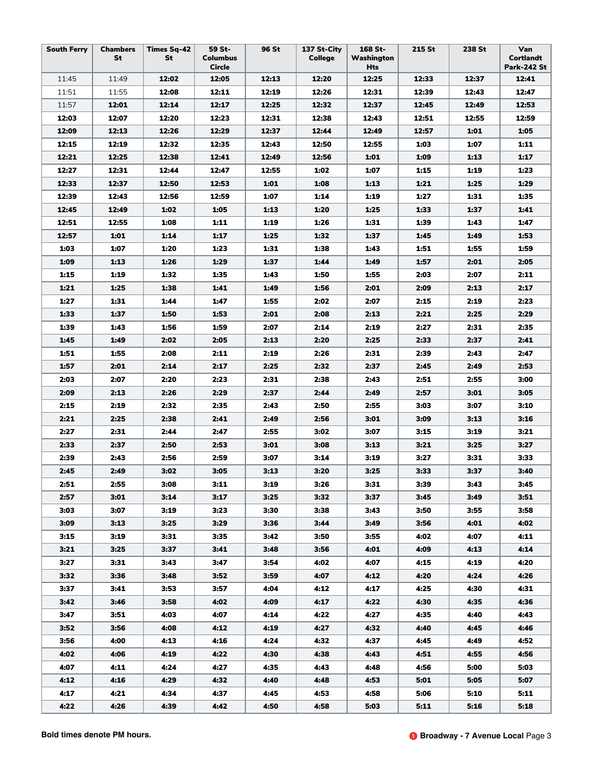| <b>South Ferry</b> | <b>Chambers</b><br>St | <b>Times Sq-42</b><br>St | 59 St-<br><b>Columbus</b><br>Circle | 96 St        | 137 St-City<br><b>College</b> | 168 St-<br>Washington<br>Hts | 215 St       | 238 St       | Van<br>Cortlandt<br><b>Park-242 St</b> |
|--------------------|-----------------------|--------------------------|-------------------------------------|--------------|-------------------------------|------------------------------|--------------|--------------|----------------------------------------|
| 11:45              | 11:49                 | 12:02                    | 12:05                               | 12:13        | 12:20                         | 12:25                        | 12:33        | 12:37        | 12:41                                  |
| 11:51              | 11:55                 | 12:08                    | 12:11                               | 12:19        | 12:26                         | 12:31                        | 12:39        | 12:43        | 12:47                                  |
| 11:57              | 12:01                 | 12:14                    | 12:17                               | 12:25        | 12:32                         | 12:37                        | 12:45        | 12:49        | 12:53                                  |
| 12:03              | 12:07                 | 12:20                    | 12:23                               | 12:31        | 12:38                         | 12:43                        | 12:51        | 12:55        | 12:59                                  |
| 12:09              | 12:13                 | 12:26                    | 12:29                               | 12:37        | 12:44                         | 12:49                        | 12:57        | 1:01         | 1:05                                   |
| 12:15              | 12:19                 | 12:32                    | 12:35                               | 12:43        | 12:50                         | 12:55                        | 1:03         | 1:07         | 1:11                                   |
| 12:21              | 12:25                 | 12:38                    | 12:41                               | 12:49        | 12:56                         | 1:01                         | 1:09         | 1:13         | 1:17                                   |
| 12:27              | 12:31                 | 12:44                    | 12:47                               | 12:55        | 1:02                          | 1:07                         | 1:15         | 1:19         | 1:23                                   |
| 12:33              | 12:37                 | 12:50                    | 12:53                               | 1:01         | 1:08                          | 1:13                         | 1:21         | 1:25         | 1:29                                   |
| 12:39              | 12:43                 | 12:56                    | 12:59                               | 1:07         | 1:14                          | 1:19                         | 1:27         | 1:31         | 1:35                                   |
| 12:45              | 12:49                 | 1:02                     | 1:05                                | 1:13         | 1:20                          | 1:25                         | 1:33         | 1:37         | 1:41                                   |
| 12:51              | 12:55                 | 1:08                     | 1:11                                | 1:19         | 1:26                          | 1:31                         | 1:39         | 1:43         | 1:47                                   |
| 12:57              | 1:01                  | 1:14                     | 1:17                                | 1:25         | 1:32                          | 1:37                         | 1:45         | 1:49         | 1:53                                   |
| 1:03               | 1:07                  | 1:20                     | 1:23                                | 1:31         | 1:38                          | 1:43                         | 1:51         | 1:55         | 1:59                                   |
| 1:09               | 1:13                  | 1:26                     | 1:29                                | 1:37         | 1:44                          | 1:49                         | 1:57         | 2:01         | 2:05                                   |
| 1:15               | 1:19                  | 1:32                     | 1:35                                | 1:43         | 1:50                          | 1:55                         | 2:03         | 2:07         | 2:11                                   |
| 1:21               | 1:25                  | 1:38                     | 1:41                                | 1:49         | 1:56                          | 2:01                         | 2:09         | 2:13         | 2:17                                   |
| 1:27               | 1:31                  | 1:44                     | 1:47                                | 1:55         | 2:02                          | 2:07                         | 2:15         | 2:19         | 2:23                                   |
| 1:33               | 1:37                  | 1:50                     | 1:53                                | 2:01         | 2:08                          | 2:13                         | 2:21         | 2:25         | 2:29                                   |
| 1:39               | 1:43                  | 1:56                     | 1:59                                | 2:07         | 2:14                          | 2:19                         | 2:27         | 2:31         | 2:35                                   |
| 1:45               | 1:49                  | 2:02                     | 2:05                                | 2:13         | 2:20                          | 2:25                         | 2:33         | 2:37         | 2:41                                   |
| 1:51               | 1:55                  | 2:08                     | 2:11                                | 2:19         | 2:26                          | 2:31                         | 2:39         | 2:43         | 2:47                                   |
| 1:57               | 2:01                  | 2:14                     | 2:17                                | 2:25         | 2:32                          | 2:37                         | 2:45         | 2:49         | 2:53                                   |
| 2:03               | 2:07                  | 2:20                     | 2:23                                | 2:31         | 2:38                          | 2:43                         | 2:51         | 2:55         | 3:00                                   |
| 2:09               | 2:13                  | 2:26                     | 2:29                                | 2:37         | 2:44                          | 2:49                         | 2:57         | 3:01         | 3:05                                   |
| 2:15               | 2:19                  | 2:32                     | 2:35                                | 2:43         | 2:50                          | 2:55                         | 3:03         | 3:07         | 3:10                                   |
| 2:21               | 2:25                  | 2:38                     | 2:41                                | 2:49         | 2:56                          | 3:01                         | 3:09         | 3:13         | 3:16                                   |
| 2:27               | 2:31                  | 2:44                     | 2:47                                | 2:55         | 3:02                          | 3:07                         | 3:15         | 3:19         | 3:21                                   |
| 2:33               | 2:37                  | 2:50                     | 2:53                                | 3:01         | 3:08                          | 3:13                         | 3:21         | 3:25         | 3:27                                   |
| 2:39               | 2:43                  | 2:56                     | 2:59                                | 3:07         | 3:14                          | 3:19                         | 3:27         | 3:31         | 3:33                                   |
| 2:45               | 2:49                  | 3:02                     | 3:05                                | 3:13         | 3:20                          | 3:25                         | 3:33         | 3:37         | 3:40                                   |
| 2:51               | 2:55                  | 3:08                     | 3:11                                | 3:19         | 3:26                          | 3:31                         | 3:39         | 3:43         | 3:45                                   |
| 2:57               | 3:01                  | 3:14                     | 3:17                                | 3:25         | 3:32                          | 3:37                         | 3:45         | 3:49         | 3:51                                   |
| 3:03               | 3:07                  | 3:19                     | 3:23                                | 3:30         | 3:38                          | 3:43                         | 3:50         | 3:55         | 3:58                                   |
| 3:09               | 3:13                  | 3:25                     | 3:29                                | 3:36         | 3:44                          | 3:49                         | 3:56         | 4:01         | 4:02                                   |
| 3:15               | 3:19<br>3:25          | 3:31                     | 3:35                                | 3:42         | 3:50                          | 3:55                         | 4:02         | 4:07         | 4:11                                   |
| 3:21<br>3:27       | 3:31                  | 3:37<br>3:43             | 3:41<br>3:47                        | 3:48<br>3:54 | 3:56<br>4:02                  | 4:01<br>4:07                 | 4:09<br>4:15 | 4:13<br>4:19 | 4:14<br>4:20                           |
| 3:32               | 3:36                  | 3:48                     | 3:52                                | 3:59         | 4:07                          | 4:12                         | 4:20         | 4:24         | 4:26                                   |
| 3:37               | 3:41                  | 3:53                     | 3:57                                | 4:04         | 4:12                          | 4:17                         | 4:25         | 4:30         | 4:31                                   |
| 3:42               | 3:46                  | 3:58                     | 4:02                                | 4:09         | 4:17                          | 4:22                         | 4:30         | 4:35         | 4:36                                   |
| 3:47               | 3:51                  | 4:03                     | 4:07                                | 4:14         | 4:22                          | 4:27                         | 4:35         | 4:40         | 4:43                                   |
| 3:52               | 3:56                  | 4:08                     | 4:12                                | 4:19         | 4:27                          | 4:32                         | 4:40         | 4:45         | 4:46                                   |
| 3:56               | 4:00                  | 4:13                     | 4:16                                | 4:24         | 4:32                          | 4:37                         | 4:45         | 4:49         | 4:52                                   |
| 4:02               | 4:06                  | 4:19                     | 4:22                                | 4:30         | 4:38                          | 4:43                         | 4:51         | 4:55         | 4:56                                   |
| 4:07               | 4:11                  | 4:24                     | 4:27                                | 4:35         | 4:43                          | 4:48                         | 4:56         | 5:00         | 5:03                                   |
| 4:12               | 4:16                  | 4:29                     | 4:32                                | 4:40         | 4:48                          | 4:53                         | 5:01         | 5:05         | 5:07                                   |
| 4:17               | 4:21                  | 4:34                     | 4:37                                | 4:45         | 4:53                          | 4:58                         | 5:06         | 5:10         | 5:11                                   |
| 4:22               | 4:26                  | 4:39                     | 4:42                                | 4:50         | 4:58                          | 5:03                         | 5:11         | 5:16         | 5:18                                   |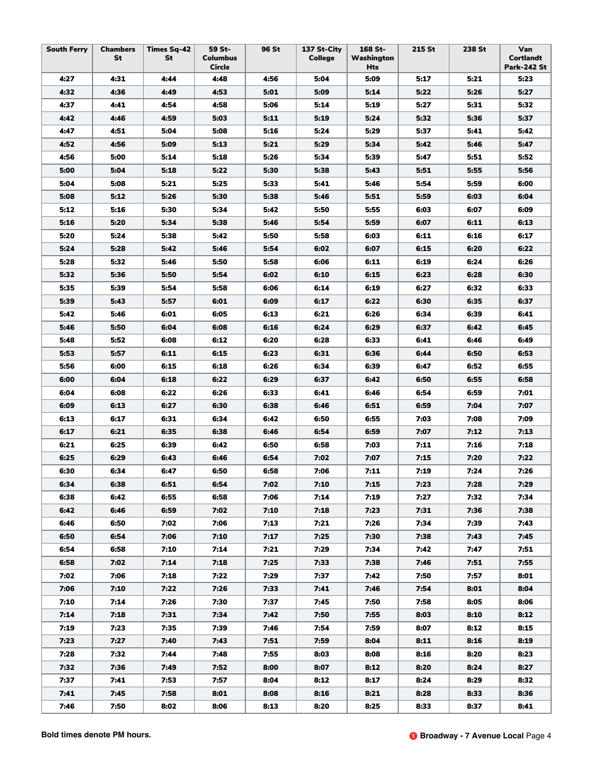| <b>South Ferry</b><br><b>Chambers</b><br>St | <b>Times Sq-42</b><br>St | 59 St-<br><b>Columbus</b><br>Circle | 96 St | 137 St-City<br><b>College</b> | 168 St-<br>Washington<br>Hts | 215 St | 238 St | Van<br>Cortlandt<br><b>Park-242 St</b> |
|---------------------------------------------|--------------------------|-------------------------------------|-------|-------------------------------|------------------------------|--------|--------|----------------------------------------|
| 4:27<br>4:31                                | 4:44                     | 4:48                                | 4:56  | 5:04                          | 5:09                         | 5:17   | 5:21   | 5:23                                   |
| 4:32<br>4:36                                | 4:49                     | 4:53                                | 5:01  | 5:09                          | 5:14                         | 5:22   | 5:26   | 5:27                                   |
| 4:37<br>4:41                                | 4:54                     | 4:58                                | 5:06  | 5:14                          | 5:19                         | 5:27   | 5:31   | 5:32                                   |
| 4:42<br>4:46                                | 4:59                     | 5:03                                | 5:11  | 5:19                          | 5:24                         | 5:32   | 5:36   | 5:37                                   |
| 4:47<br>4:51                                | 5:04                     | 5:08                                | 5:16  | 5:24                          | 5:29                         | 5:37   | 5:41   | 5:42                                   |
| 4:52<br>4:56                                | 5:09                     | 5:13                                | 5:21  | 5:29                          | 5:34                         | 5:42   | 5:46   | 5:47                                   |
| 4:56<br>5:00                                | 5:14                     | 5:18                                | 5:26  | 5:34                          | 5:39                         | 5:47   | 5:51   | 5:52                                   |
| 5:00<br>5:04                                | 5:18                     | 5:22                                | 5:30  | 5:38                          | 5:43                         | 5:51   | 5:55   | 5:56                                   |
| 5:04<br>5:08                                | 5:21                     | 5:25                                | 5:33  | 5:41                          | 5:46                         | 5:54   | 5:59   | 6:00                                   |
| 5:08<br>5:12                                | 5:26                     | 5:30                                | 5:38  | 5:46                          | 5:51                         | 5:59   | 6:03   | 6:04                                   |
| 5:12<br>5:16                                | 5:30                     | 5:34                                | 5:42  | 5:50                          | 5:55                         | 6:03   | 6:07   | 6:09                                   |
| 5:16<br>5:20                                | 5:34                     | 5:38                                | 5:46  | 5:54                          | 5:59                         | 6:07   | 6:11   | 6:13                                   |
| 5:20<br>5:24                                | 5:38                     | 5:42                                | 5:50  | 5:58                          | 6:03                         | 6:11   | 6:16   | 6:17                                   |
| 5:24<br>5:28                                | 5:42                     | 5:46                                | 5:54  | 6:02                          | 6:07                         | 6:15   | 6:20   | 6:22                                   |
| 5:28<br>5:32                                | 5:46                     | 5:50                                | 5:58  | 6:06                          | 6:11                         | 6:19   | 6:24   | 6:26                                   |
| 5:32<br>5:36                                | 5:50                     | 5:54                                | 6:02  | 6:10                          | 6:15                         | 6:23   | 6:28   | 6:30                                   |
| 5:35<br>5:39                                | 5:54                     | 5:58                                | 6:06  | 6:14                          | 6:19                         | 6:27   | 6:32   | 6:33                                   |
| 5:39<br>5:43                                | 5:57                     | 6:01                                | 6:09  | 6:17                          | 6:22                         | 6:30   | 6:35   | 6:37                                   |
| 5:42<br>5:46                                | 6:01                     | 6:05                                | 6:13  | 6:21                          | 6:26                         | 6:34   | 6:39   | 6:41                                   |
| 5:46<br>5:50                                | 6:04                     | 6:08                                | 6:16  | 6:24                          | 6:29                         | 6:37   | 6:42   | 6:45                                   |
| 5:48<br>5:52                                | 6:08                     | 6:12                                | 6:20  | 6:28                          | 6:33                         | 6:41   | 6:46   | 6:49                                   |
| 5:53<br>5:57                                | 6:11                     | 6:15                                | 6:23  | 6:31                          | 6:36                         | 6:44   | 6:50   | 6:53                                   |
| 5:56<br>6:00                                | 6:15                     | 6:18                                | 6:26  | 6:34                          | 6:39                         | 6:47   | 6:52   | 6:55                                   |
| 6:00<br>6:04                                | 6:18                     | 6:22                                | 6:29  | 6:37                          | 6:42                         | 6:50   | 6:55   | 6:58                                   |
| 6:04<br>6:08                                | 6:22                     | 6:26                                | 6:33  | 6:41                          | 6:46                         | 6:54   | 6:59   | 7:01                                   |
| 6:09<br>6:13                                | 6:27                     | 6:30                                | 6:38  | 6:46                          | 6:51                         | 6:59   | 7:04   | 7:07                                   |
| 6:13<br>6:17                                | 6:31                     | 6:34                                | 6:42  | 6:50                          | 6:55                         | 7:03   | 7:08   | 7:09                                   |
| 6:17<br>6:21                                | 6:35                     | 6:38                                | 6:46  | 6:54                          | 6:59                         | 7:07   | 7:12   | 7:13                                   |
| 6:21<br>6:25                                | 6:39                     | 6:42                                | 6:50  | 6:58                          | 7:03                         | 7:11   | 7:16   | 7:18                                   |
| 6:25<br>6:29                                | 6:43                     | 6:46                                | 6:54  | 7:02                          | 7:07                         | 7:15   | 7:20   | 7:22                                   |
| 6:30<br>6:34                                | 6:47                     | 6:50                                | 6:58  | 7:06                          | 7:11                         | 7:19   | 7:24   | 7:26                                   |
| 6:34<br>6:38                                | 6:51                     | 6:54                                | 7:02  | 7:10                          | 7:15                         | 7:23   | 7:28   | 7:29                                   |
| 6:38<br>6:42                                | 6:55                     | 6:58                                | 7:06  | 7:14                          | 7:19                         | 7:27   | 7:32   | 7:34                                   |
| 6:42<br>6:46                                | 6:59                     | 7:02                                | 7:10  | 7:18                          | 7:23                         | 7:31   | 7:36   | 7:38                                   |
| 6:46<br>6:50                                | 7:02                     | 7:06                                | 7:13  | 7:21                          | 7:26                         | 7:34   | 7:39   | 7:43                                   |
| 6:50<br>6:54                                | 7:06                     | 7:10                                | 7:17  | 7:25                          | 7:30                         | 7:38   | 7:43   | 7:45                                   |
| 6:54<br>6:58                                | 7:10                     | 7:14                                | 7:21  | 7:29                          | 7:34                         | 7:42   | 7:47   | 7:51                                   |
| 6:58<br>7:02                                | 7:14                     | 7:18                                | 7:25  | 7:33                          | 7:38                         | 7:46   | 7:51   | 7:55                                   |
| 7:02<br>7:06                                | 7:18                     | 7:22                                | 7:29  | 7:37                          | 7:42                         | 7:50   | 7:57   | 8:01                                   |
| 7:06<br>7:10                                | 7:22                     | 7:26                                | 7:33  | 7:41                          | 7:46                         | 7:54   | 8:01   | 8:04                                   |
| 7:10<br>7:14                                | 7:26                     | 7:30                                | 7:37  | 7:45                          | 7:50                         | 7:58   | 8:05   | 8:06                                   |
| 7:14<br>7:18                                | 7:31                     | 7:34                                | 7:42  | 7:50                          | 7:55                         | 8:03   | 8:10   | 8:12                                   |
| 7:19<br>7:23                                | 7:35                     | 7:39                                | 7:46  | 7:54                          | 7:59                         | 8:07   | 8:12   | 8:15                                   |
| 7:23<br>7:27                                | 7:40                     | 7:43                                | 7:51  | 7:59                          | 8:04                         | 8:11   | 8:16   | 8:19                                   |
| 7:28<br>7:32                                | 7:44                     | 7:48                                | 7:55  | 8:03                          | 8:08                         | 8:16   | 8:20   | 8:23                                   |
| 7:32<br>7:36                                | 7:49                     | 7:52                                | 8:00  | 8:07                          | 8:12                         | 8:20   | 8:24   | 8:27                                   |
| 7:37<br>7:41                                | 7:53                     | 7:57                                | 8:04  | 8:12                          | 8:17                         | 8:24   | 8:29   | 8:32                                   |
| 7:41<br>7:45                                | 7:58                     | 8:01                                | 8:08  | 8:16                          | 8:21                         | 8:28   | 8:33   | 8:36                                   |
| 7:46<br>7:50                                | 8:02                     | 8:06                                | 8:13  | 8:20                          | 8:25                         | 8:33   | 8:37   | 8:41                                   |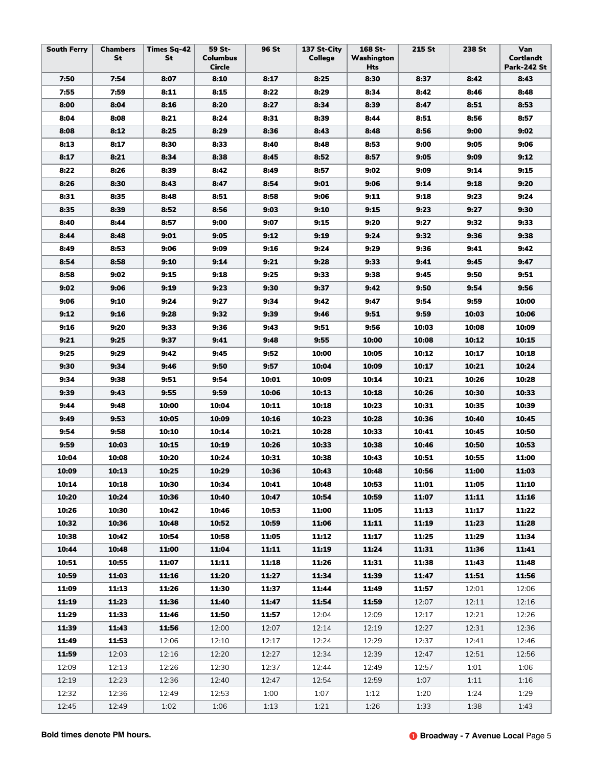| <b>South Ferry</b> | <b>Chambers</b><br><b>St</b> | <b>Times Sq-42</b><br>St | 59 St-<br><b>Columbus</b><br>Circle | 96 St | 137 St-City<br>College | 168 St-<br>Washington<br>Hts | 215 St | 238 St | Van<br><b>Cortlandt</b><br><b>Park-242 St</b> |
|--------------------|------------------------------|--------------------------|-------------------------------------|-------|------------------------|------------------------------|--------|--------|-----------------------------------------------|
| 7:50               | 7:54                         | 8:07                     | 8:10                                | 8:17  | 8:25                   | 8:30                         | 8:37   | 8:42   | 8:43                                          |
| 7:55               | 7:59                         | 8:11                     | 8:15                                | 8:22  | 8:29                   | 8:34                         | 8:42   | 8:46   | 8:48                                          |
| 8:00               | 8:04                         | 8:16                     | 8:20                                | 8:27  | 8:34                   | 8:39                         | 8:47   | 8:51   | 8:53                                          |
| 8:04               | 8:08                         | 8:21                     | 8:24                                | 8:31  | 8:39                   | 8:44                         | 8:51   | 8:56   | 8:57                                          |
| 8:08               | 8:12                         | 8:25                     | 8:29                                | 8:36  | 8:43                   | 8:48                         | 8:56   | 9:00   | 9:02                                          |
| 8:13               | 8:17                         | 8:30                     | 8:33                                | 8:40  | 8:48                   | 8:53                         | 9:00   | 9:05   | 9:06                                          |
| 8:17               | 8:21                         | 8:34                     | 8:38                                | 8:45  | 8:52                   | 8:57                         | 9:05   | 9:09   | 9:12                                          |
| 8:22               | 8:26                         | 8:39                     | 8:42                                | 8:49  | 8:57                   | 9:02                         | 9:09   | 9:14   | 9:15                                          |
| 8:26               | 8:30                         | 8:43                     | 8:47                                | 8:54  | 9:01                   | 9:06                         | 9:14   | 9:18   | 9:20                                          |
| 8:31               | 8:35                         | 8:48                     | 8:51                                | 8:58  | 9:06                   | 9:11                         | 9:18   | 9:23   | 9:24                                          |
| 8:35               | 8:39                         | 8:52                     | 8:56                                | 9:03  | 9:10                   | 9:15                         | 9:23   | 9:27   | 9:30                                          |
| 8:40               | 8:44                         | 8:57                     | 9:00                                | 9:07  | 9:15                   | 9:20                         | 9:27   | 9:32   | 9:33                                          |
| 8:44               | 8:48                         | 9:01                     | 9:05                                | 9:12  | 9:19                   | 9:24                         | 9:32   | 9:36   | 9:38                                          |
| 8:49               | 8:53                         | 9:06                     | 9:09                                | 9:16  | 9:24                   | 9:29                         | 9:36   | 9:41   | 9:42                                          |
| 8:54               | 8:58                         | 9:10                     | 9:14                                | 9:21  | 9:28                   | 9:33                         | 9:41   | 9:45   | 9:47                                          |
| 8:58               | 9:02                         | 9:15                     | 9:18                                | 9:25  | 9:33                   | 9:38                         | 9:45   | 9:50   | 9:51                                          |
| 9:02               | 9:06                         | 9:19                     | 9:23                                | 9:30  | 9:37                   | 9:42                         | 9:50   | 9:54   | 9:56                                          |
| 9:06               | 9:10                         | 9:24                     | 9:27                                | 9:34  | 9:42                   | 9:47                         | 9:54   | 9:59   | 10:00                                         |
| 9:12               | 9:16                         | 9:28                     | 9:32                                | 9:39  | 9:46                   | 9:51                         | 9:59   | 10:03  | 10:06                                         |
| 9:16               | 9:20                         | 9:33                     | 9:36                                | 9:43  | 9:51                   | 9:56                         | 10:03  | 10:08  | 10:09                                         |
| 9:21               | 9:25                         | 9:37                     | 9:41                                | 9:48  | 9:55                   | 10:00                        | 10:08  | 10:12  | 10:15                                         |
| 9:25               | 9:29                         | 9:42                     | 9:45                                | 9:52  | 10:00                  | 10:05                        | 10:12  | 10:17  | 10:18                                         |
| 9:30               | 9:34                         | 9:46                     | 9:50                                | 9:57  | 10:04                  | 10:09                        | 10:17  | 10:21  | 10:24                                         |
| 9:34               | 9:38                         | 9:51                     | 9:54                                | 10:01 | 10:09                  | 10:14                        | 10:21  | 10:26  | 10:28                                         |
| 9:39               | 9:43                         | 9:55                     | 9:59                                | 10:06 | 10:13                  | 10:18                        | 10:26  | 10:30  | 10:33                                         |
| 9:44               | 9:48                         | 10:00                    | 10:04                               | 10:11 | 10:18                  | 10:23                        | 10:31  | 10:35  | 10:39                                         |
| 9:49               | 9:53                         | 10:05                    | 10:09                               | 10:16 | 10:23                  | 10:28                        | 10:36  | 10:40  | 10:45                                         |
| 9:54               | 9:58                         | 10:10                    | 10:14                               | 10:21 | 10:28                  | 10:33                        | 10:41  | 10:45  | 10:50                                         |
| 9:59               | 10:03                        | 10:15                    | 10:19                               | 10:26 | 10:33                  | 10:38                        | 10:46  | 10:50  | 10:53                                         |
| 10:04              | 10:08                        | 10:20                    | 10:24                               | 10:31 | 10:38                  | 10:43                        | 10:51  | 10:55  | 11:00                                         |
| 10:09              | 10:13                        | 10:25                    | 10:29                               | 10:36 | 10:43                  | 10:48                        | 10:56  | 11:00  | 11:03                                         |
| 10:14              | 10:18                        | 10:30                    | 10:34                               | 10:41 | 10:48                  | 10:53                        | 11:01  | 11:05  | 11:10                                         |
| 10:20              | 10:24                        | 10:36                    | 10:40                               | 10:47 | 10:54                  | 10:59                        | 11:07  | 11:11  | 11:16                                         |
| 10:26              | 10:30                        | 10:42                    | 10:46                               | 10:53 | 11:00                  | 11:05                        | 11:13  | 11:17  | 11:22                                         |
| 10:32              | 10:36                        | 10:48                    | 10:52                               | 10:59 | 11:06                  | 11:11                        | 11:19  | 11:23  | 11:28                                         |
| 10:38              | 10:42                        | 10:54                    | 10:58                               | 11:05 | 11:12                  | 11:17                        | 11:25  | 11:29  | 11:34                                         |
| 10:44              | 10:48                        | 11:00                    | 11:04                               | 11:11 | 11:19                  | 11:24                        | 11:31  | 11:36  | 11:41                                         |
| 10:51              | 10:55                        | 11:07                    | 11:11                               | 11:18 | 11:26                  | 11:31                        | 11:38  | 11:43  | 11:48                                         |
| 10:59              | 11:03                        | 11:16                    | 11:20                               | 11:27 | 11:34                  | 11:39                        | 11:47  | 11:51  | 11:56                                         |
| 11:09              | 11:13                        | 11:26                    | 11:30                               | 11:37 | 11:44                  | 11:49                        | 11:57  | 12:01  | 12:06                                         |
| 11:19              | 11:23                        | 11:36                    | 11:40                               | 11:47 | 11:54                  | 11:59                        | 12:07  | 12:11  | 12:16                                         |
| 11:29              | 11:33                        | 11:46                    | 11:50                               | 11:57 | 12:04                  | 12:09                        | 12:17  | 12:21  | 12:26                                         |
| 11:39              | 11:43                        | 11:56                    | 12:00                               | 12:07 | 12:14                  | 12:19                        | 12:27  | 12:31  | 12:36                                         |
| 11:49              | 11:53                        | 12:06                    | 12:10                               | 12:17 | 12:24                  | 12:29                        | 12:37  | 12:41  | 12:46                                         |
| 11:59              | 12:03                        | 12:16                    | 12:20                               | 12:27 | 12:34                  | 12:39                        | 12:47  | 12:51  | 12:56                                         |
| 12:09              | 12:13                        | 12:26                    | 12:30                               | 12:37 | 12:44                  | 12:49                        | 12:57  | 1:01   | 1:06                                          |
| 12:19              | 12:23                        | 12:36                    | 12:40                               | 12:47 | 12:54                  | 12:59                        | 1:07   | 1:11   | 1:16                                          |
| 12:32              | 12:36                        | 12:49                    | 12:53                               | 1:00  | 1:07                   | 1:12                         | 1:20   | 1:24   | 1:29                                          |
| 12:45              | 12:49                        | 1:02                     | 1:06                                | 1:13  | 1:21                   | 1:26                         | 1:33   | 1:38   | 1:43                                          |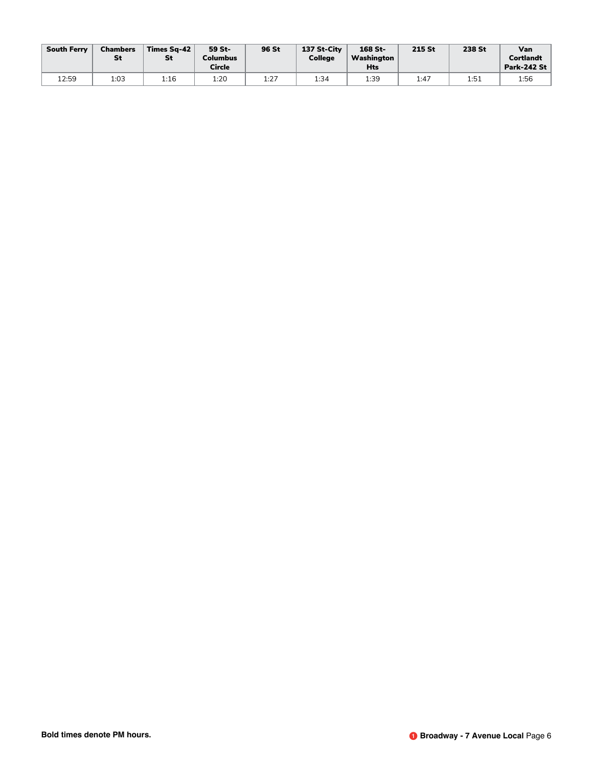| <b>South Ferry</b> | <b>Chambers</b><br>St | Times Sa-42<br>St | 59 St-<br><b>Columbus</b><br><b>Circle</b> | 96 St | 137 St-City<br>College | $168$ St-<br>Washington<br><b>Hts</b> | 215 St | 238 St | Van<br><b>Cortlandt</b><br><b>Park-242 St</b> |
|--------------------|-----------------------|-------------------|--------------------------------------------|-------|------------------------|---------------------------------------|--------|--------|-----------------------------------------------|
| 12:59              | 1:03                  | 1:16              | 1:20                                       | 1:27  | 1:34                   | 1:39                                  | 1:47   | 1:51   | 1:56                                          |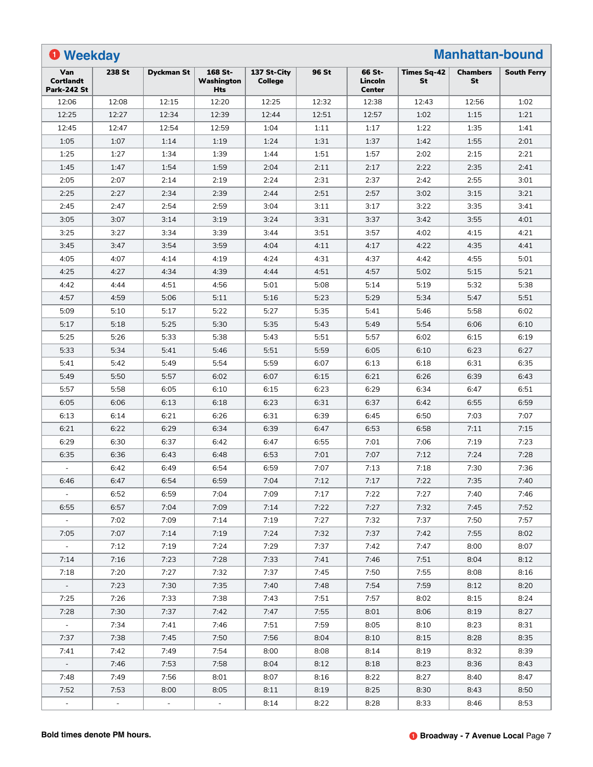| <b>O</b> Weekday                              |        |                   |                                     |                               |       |                                    |                                 | <b>Manhattan-bound</b> |                    |
|-----------------------------------------------|--------|-------------------|-------------------------------------|-------------------------------|-------|------------------------------------|---------------------------------|------------------------|--------------------|
| Van<br><b>Cortlandt</b><br><b>Park-242 St</b> | 238 St | <b>Dyckman St</b> | 168 St-<br>Washington<br><b>Hts</b> | 137 St-City<br><b>College</b> | 96 St | 66 St-<br>Lincoln<br><b>Center</b> | <b>Times Sq-42</b><br><b>St</b> | <b>Chambers</b><br>St  | <b>South Ferry</b> |
| 12:06                                         | 12:08  | 12:15             | 12:20                               | 12:25                         | 12:32 | 12:38                              | 12:43                           | 12:56                  | 1:02               |
| 12:25                                         | 12:27  | 12:34             | 12:39                               | 12:44                         | 12:51 | 12:57                              | 1:02                            | 1:15                   | 1:21               |
| 12:45                                         | 12:47  | 12:54             | 12:59                               | 1:04                          | 1:11  | 1:17                               | 1:22                            | 1:35                   | 1:41               |
| 1:05                                          | 1:07   | 1:14              | 1:19                                | 1:24                          | 1:31  | 1:37                               | 1:42                            | 1:55                   | 2:01               |
| 1:25                                          | 1:27   | 1:34              | 1:39                                | 1:44                          | 1:51  | 1:57                               | 2:02                            | 2:15                   | 2:21               |
| 1:45                                          | 1:47   | 1:54              | 1:59                                | 2:04                          | 2:11  | 2:17                               | 2:22                            | 2:35                   | 2:41               |
| 2:05                                          | 2:07   | 2:14              | 2:19                                | 2:24                          | 2:31  | 2:37                               | 2:42                            | 2:55                   | 3:01               |
| 2:25                                          | 2:27   | 2:34              | 2:39                                | 2:44                          | 2:51  | 2:57                               | 3:02                            | 3:15                   | 3:21               |
| 2:45                                          | 2:47   | 2:54              | 2:59                                | 3:04                          | 3:11  | 3:17                               | 3:22                            | 3:35                   | 3:41               |
| 3:05                                          | 3:07   | 3:14              | 3:19                                | 3:24                          | 3:31  | 3:37                               | 3:42                            | 3:55                   | 4:01               |
| 3:25                                          | 3:27   | 3:34              | 3:39                                | 3:44                          | 3:51  | 3:57                               | 4:02                            | 4:15                   | 4:21               |
| 3:45                                          | 3:47   | 3:54              | 3:59                                | 4:04                          | 4:11  | 4:17                               | 4:22                            | 4:35                   | 4:41               |
| 4:05                                          | 4:07   | 4:14              | 4:19                                | 4:24                          | 4:31  | 4:37                               | 4:42                            | 4:55                   | 5:01               |
| 4:25                                          | 4:27   | 4:34              | 4:39                                | 4:44                          | 4:51  | 4:57                               | 5:02                            | 5:15                   | 5:21               |
| 4:42                                          | 4:44   | 4:51              | 4:56                                | 5:01                          | 5:08  | 5:14                               | 5:19                            | 5:32                   | 5:38               |
| 4:57                                          | 4:59   | 5:06              | 5:11                                | 5:16                          | 5:23  | 5:29                               | 5:34                            | 5:47                   | 5:51               |
| 5:09                                          | 5:10   | 5:17              | 5:22                                | 5:27                          | 5:35  | 5:41                               | 5:46                            | 5:58                   | 6:02               |
| 5:17                                          | 5:18   | 5:25              | 5:30                                | 5:35                          | 5:43  | 5:49                               | 5:54                            | 6:06                   | 6:10               |
| 5:25                                          | 5:26   | 5:33              | 5:38                                | 5:43                          | 5:51  | 5:57                               | 6:02                            | 6:15                   | 6:19               |
| 5:33                                          | 5:34   | 5:41              | 5:46                                | 5:51                          | 5:59  | 6:05                               | 6:10                            | 6:23                   | 6:27               |
| 5:41                                          | 5:42   | 5:49              | 5:54                                | 5:59                          | 6:07  | 6:13                               | 6:18                            | 6:31                   | 6:35               |
| 5:49                                          | 5:50   | 5:57              | 6:02                                | 6:07                          | 6:15  | 6:21                               | 6:26                            | 6:39                   | 6:43               |
| 5:57                                          | 5:58   | 6:05              | 6:10                                | 6:15                          | 6:23  | 6:29                               | 6:34                            | 6:47                   | 6:51               |
| 6:05                                          | 6:06   | 6:13              | 6:18                                | 6:23                          | 6:31  | 6:37                               | 6:42                            | 6:55                   | 6:59               |
| 6:13                                          | 6:14   | 6:21              | 6:26                                | 6:31                          | 6:39  | 6:45                               | 6:50                            | 7:03                   | 7:07               |
| 6:21                                          | 6:22   | 6:29              | 6:34                                | 6:39                          | 6:47  | 6:53                               | 6:58                            | 7:11                   | 7:15               |
| 6:29                                          | 6:30   | 6:37              | 6:42                                | 6:47                          | 6:55  | 7:01                               | 7:06                            | 7:19                   | 7:23               |
| 6:35                                          | 6:36   | 6:43              | 6:48                                | 6:53                          | 7:01  | 7:07                               | 7:12                            | 7:24                   | 7:28               |
|                                               | 6:42   | 6:49              | 6:54                                | 6:59                          | 7:07  | 7:13                               | 7:18                            | 7:30                   | 7:36               |
| 6:46                                          | 6:47   | 6:54              | 6:59                                | 7:04                          | 7:12  | 7:17                               | 7:22                            | 7:35                   | 7:40               |
|                                               | 6:52   | 6:59              | 7:04                                | 7:09                          | 7:17  | 7:22                               | 7:27                            | 7:40                   | 7:46               |
| 6:55                                          | 6:57   | 7:04              | 7:09                                | 7:14                          | 7:22  | 7:27                               | 7:32                            | 7:45                   | 7:52               |
| $\sim$                                        | 7:02   | 7:09              | 7:14                                | 7:19                          | 7:27  | 7:32                               | 7:37                            | 7:50                   | 7:57               |
| 7:05                                          | 7:07   | 7:14              | 7:19                                | 7:24                          | 7:32  | 7:37                               | 7:42                            | 7:55                   | 8:02               |
| $\sim$                                        | 7:12   | 7:19              | 7:24                                | 7:29                          | 7:37  | 7:42                               | 7:47                            | 8:00                   | 8:07               |
| 7:14                                          | 7:16   | 7:23              | 7:28                                | 7:33                          | 7:41  | 7:46                               | 7:51                            | 8:04                   | 8:12               |
| 7:18                                          | 7:20   | 7:27              | 7:32                                | 7:37                          | 7:45  | 7:50                               | 7:55                            | 8:08                   | 8:16               |
| $\omega_{\rm c}$                              | 7:23   | 7:30              | 7:35                                | 7:40                          | 7:48  | 7:54                               | 7:59                            | 8:12                   | 8:20               |
| 7:25                                          | 7:26   | 7:33              | 7:38                                | 7:43                          | 7:51  | 7:57                               | 8:02                            | 8:15                   | 8:24               |
| 7:28                                          | 7:30   | 7:37              | 7:42                                | 7:47                          | 7:55  | 8:01                               | 8:06                            | 8:19                   | 8:27               |
| $\omega$ .                                    | 7:34   | 7:41              | 7:46                                | 7:51                          | 7:59  | 8:05                               | 8:10                            | 8:23                   | 8:31               |
| 7:37                                          | 7:38   | 7:45              | 7:50                                | 7:56                          | 8:04  | 8:10                               | 8:15                            | 8:28                   | 8:35               |
| 7:41                                          | 7:42   | 7:49              | 7:54                                | 8:00                          | 8:08  | 8:14                               | 8:19                            | 8:32                   | 8:39               |
| $\sim$                                        | 7:46   | 7:53              | 7:58                                | 8:04                          | 8:12  | 8:18                               | 8:23                            | 8:36                   | 8:43               |
| 7:48                                          | 7:49   | 7:56              | 8:01                                | 8:07                          | 8:16  | 8:22                               | 8:27                            | 8:40                   | 8:47               |
| 7:52                                          | 7:53   | 8:00              | 8:05                                | 8:11                          | 8:19  | 8:25                               | 8:30                            | 8:43                   | 8:50               |
| $\overline{\phantom{a}}$                      |        |                   | $\omega$                            | 8:14                          | 8:22  | 8:28                               | 8:33                            | 8:46                   | 8:53               |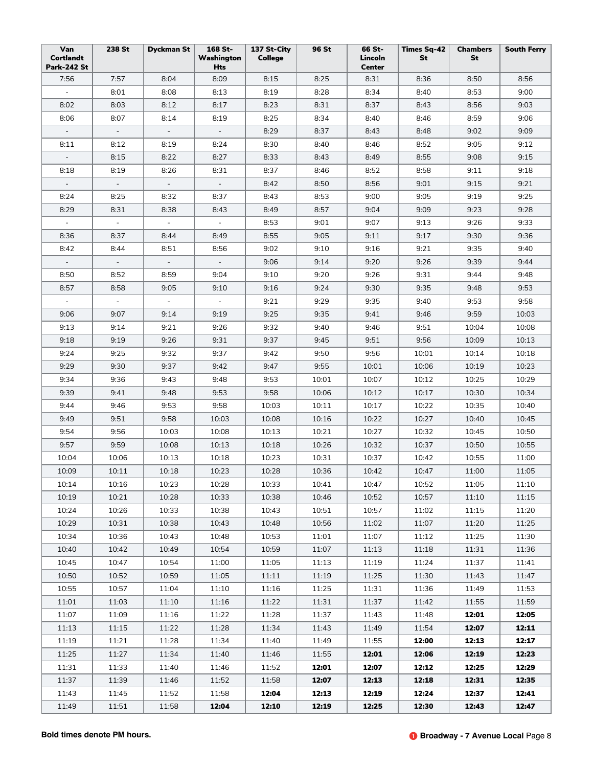| Van<br>Cortlandt<br><b>Park-242 St</b> | 238 St                   | <b>Dyckman St</b>        | 168 St-<br>Washington<br>Hts | 137 St-City<br>College | 96 St | 66 St-<br>Lincoln<br><b>Center</b> | Times Sq-42<br>St | <b>Chambers</b><br>St | <b>South Ferry</b> |
|----------------------------------------|--------------------------|--------------------------|------------------------------|------------------------|-------|------------------------------------|-------------------|-----------------------|--------------------|
| 7:56                                   | 7:57                     | 8:04                     | 8:09                         | 8:15                   | 8:25  | 8:31                               | 8:36              | 8:50                  | 8:56               |
| $\equiv$                               | 8:01                     | 8:08                     | 8:13                         | 8:19                   | 8:28  | 8:34                               | 8:40              | 8:53                  | 9:00               |
| 8:02                                   | 8:03                     | 8:12                     | 8:17                         | 8:23                   | 8:31  | 8:37                               | 8:43              | 8:56                  | 9:03               |
| 8:06                                   | 8:07                     | 8:14                     | 8:19                         | 8:25                   | 8:34  | 8:40                               | 8:46              | 8:59                  | 9:06               |
| $\sim$                                 | $\overline{\phantom{a}}$ | $\equiv$                 | $\overline{\phantom{a}}$     | 8:29                   | 8:37  | 8:43                               | 8:48              | 9:02                  | 9:09               |
| 8:11                                   | 8:12                     | 8:19                     | 8:24                         | 8:30                   | 8:40  | 8:46                               | 8:52              | 9:05                  | 9:12               |
| $\blacksquare$                         | 8:15                     | 8:22                     | 8:27                         | 8:33                   | 8:43  | 8:49                               | 8:55              | 9:08                  | 9:15               |
| 8:18                                   | 8:19                     | 8:26                     | 8:31                         | 8:37                   | 8:46  | 8:52                               | 8:58              | 9:11                  | 9:18               |
| $\blacksquare$                         | $\overline{\phantom{a}}$ | $\equiv$                 | $\overline{\phantom{a}}$     | 8:42                   | 8:50  | 8:56                               | 9:01              | 9:15                  | 9:21               |
| 8:24                                   | 8:25                     | 8:32                     | 8:37                         | 8:43                   | 8:53  | 9:00                               | 9:05              | 9:19                  | 9:25               |
| 8:29                                   | 8:31                     | 8:38                     | 8:43                         | 8:49                   | 8:57  | 9:04                               | 9:09              | 9:23                  | 9:28               |
| $\sim$                                 | $\blacksquare$           | $\blacksquare$           | $\overline{\phantom{a}}$     | 8:53                   | 9:01  | 9:07                               | 9:13              | 9:26                  | 9:33               |
| 8:36                                   | 8:37                     | 8:44                     | 8:49                         | 8:55                   | 9:05  | 9:11                               | 9:17              | 9:30                  | 9:36               |
| 8:42                                   | 8:44                     | 8:51                     | 8:56                         | 9:02                   | 9:10  | 9:16                               | 9:21              | 9:35                  | 9:40               |
| $\blacksquare$                         | $\overline{\phantom{a}}$ | $\overline{\phantom{a}}$ | $\overline{\phantom{a}}$     | 9:06                   | 9:14  | 9:20                               | 9:26              | 9:39                  | 9:44               |
| 8:50                                   | 8:52                     | 8:59                     | 9:04                         | 9:10                   | 9:20  | 9:26                               | 9:31              | 9:44                  | 9:48               |
| 8:57                                   | 8:58                     | 9:05                     | 9:10                         | 9:16                   | 9:24  | 9:30                               | 9:35              | 9:48                  | 9:53               |
| $\omega$                               | $\omega$                 | $\equiv$                 | $\blacksquare$               | 9:21                   | 9:29  | 9:35                               | 9:40              | 9:53                  | 9:58               |
| 9:06                                   | 9:07                     | 9:14                     | 9:19                         | 9:25                   | 9:35  | 9:41                               | 9:46              | 9:59                  | 10:03              |
| 9:13                                   | 9:14                     | 9:21                     | 9:26                         | 9:32                   | 9:40  | 9:46                               | 9:51              | 10:04                 | 10:08              |
| 9:18                                   | 9:19                     | 9:26                     | 9:31                         | 9:37                   | 9:45  | 9:51                               | 9:56              | 10:09                 |                    |
|                                        |                          |                          |                              |                        |       |                                    |                   |                       | 10:13              |
| 9:24                                   | 9:25                     | 9:32                     | 9:37                         | 9:42                   | 9:50  | 9:56                               | 10:01             | 10:14                 | 10:18              |
| 9:29                                   | 9:30                     | 9:37                     | 9:42                         | 9:47                   | 9:55  | 10:01                              | 10:06             | 10:19                 | 10:23              |
| 9:34                                   | 9:36                     | 9:43                     | 9:48                         | 9:53                   | 10:01 | 10:07                              | 10:12             | 10:25                 | 10:29              |
| 9:39                                   | 9:41                     | 9:48                     | 9:53                         | 9:58                   | 10:06 | 10:12                              | 10:17             | 10:30                 | 10:34              |
| 9:44                                   | 9:46                     | 9:53                     | 9:58                         | 10:03                  | 10:11 | 10:17                              | 10:22             | 10:35                 | 10:40              |
| 9:49                                   | 9:51                     | 9:58                     | 10:03                        | 10:08                  | 10:16 | 10:22                              | 10:27             | 10:40                 | 10:45              |
| 9:54                                   | 9:56                     | 10:03                    | 10:08                        | 10:13                  | 10:21 | 10:27                              | 10:32             | 10:45                 | 10:50              |
| 9:57                                   | 9:59                     | 10:08                    | 10:13                        | 10:18                  | 10:26 | 10:32                              | 10:37             | 10:50                 | 10:55              |
| 10:04                                  | 10:06                    | 10:13                    | 10:18                        | 10:23                  | 10:31 | 10:37                              | 10:42             | 10:55                 | 11:00              |
| 10:09                                  | 10:11                    | 10:18                    | 10:23                        | 10:28                  | 10:36 | 10:42                              | 10:47             | 11:00                 | 11:05              |
| 10:14                                  | 10:16                    | 10:23                    | 10:28                        | 10:33                  | 10:41 | 10:47                              | 10:52             | 11:05                 | 11:10              |
| 10:19                                  | 10:21                    | 10:28                    | 10:33                        | 10:38                  | 10:46 | 10:52                              | 10:57             | 11:10                 | 11:15              |
| 10:24                                  | 10:26                    | 10:33                    | 10:38                        | 10:43                  | 10:51 | 10:57                              | 11:02             | 11:15                 | 11:20              |
| 10:29                                  | 10:31                    | 10:38                    | 10:43                        | 10:48                  | 10:56 | 11:02                              | 11:07             | 11:20                 | 11:25              |
| 10:34                                  | 10:36                    | 10:43                    | 10:48                        | 10:53                  | 11:01 | 11:07                              | 11:12             | 11:25                 | 11:30              |
| 10:40                                  | 10:42                    | 10:49                    | 10:54                        | 10:59                  | 11:07 | 11:13                              | 11:18             | 11:31                 | 11:36              |
| 10:45                                  | 10:47                    | 10:54                    | 11:00                        | 11:05                  | 11:13 | 11:19                              | 11:24             | 11:37                 | 11:41              |
| 10:50                                  | 10:52                    | 10:59                    | 11:05                        | 11:11                  | 11:19 | 11:25                              | 11:30             | 11:43                 | 11:47              |
| 10:55                                  | 10:57                    | 11:04                    | 11:10                        | 11:16                  | 11:25 | 11:31                              | 11:36             | 11:49                 | 11:53              |
| 11:01                                  | 11:03                    | 11:10                    | 11:16                        | 11:22                  | 11:31 | 11:37                              | 11:42             | 11:55                 | 11:59              |
| 11:07                                  | 11:09                    | 11:16                    | 11:22                        | 11:28                  | 11:37 | 11:43                              | 11:48             | 12:01                 | 12:05              |
| 11:13                                  | 11:15                    | 11:22                    | 11:28                        | 11:34                  | 11:43 | 11:49                              | 11:54             | 12:07                 | 12:11              |
| 11:19                                  | 11:21                    | 11:28                    | 11:34                        | 11:40                  | 11:49 | 11:55                              | 12:00             | 12:13                 | 12:17              |
| 11:25                                  | 11:27                    | 11:34                    | 11:40                        | 11:46                  | 11:55 | 12:01                              | 12:06             | 12:19                 | 12:23              |
| 11:31                                  | 11:33                    | 11:40                    | 11:46                        | 11:52                  | 12:01 | 12:07                              | 12:12             | 12:25                 | 12:29              |
| 11:37                                  | 11:39                    | 11:46                    | 11:52                        | 11:58                  | 12:07 | 12:13                              | 12:18             | 12:31                 | 12:35              |
| 11:43                                  | 11:45                    | 11:52                    | 11:58                        | 12:04                  | 12:13 | 12:19                              | 12:24             | 12:37                 | 12:41              |
| 11:49                                  | 11:51                    | 11:58                    | 12:04                        | 12:10                  | 12:19 | 12:25                              | 12:30             | 12:43                 | 12:47              |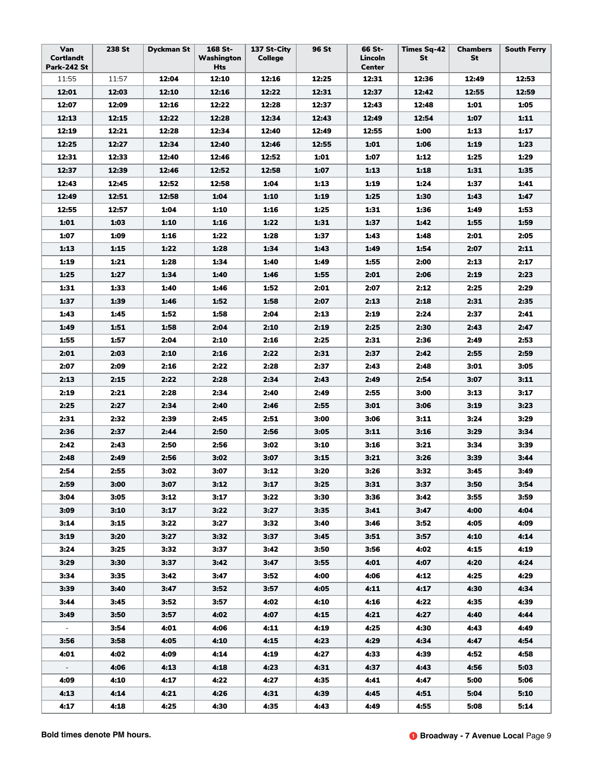| Van<br>Cortlandt<br><b>Park-242 St</b> | 238 St | <b>Dyckman St</b> | 168 St-<br>Washington<br>Hts | 137 St-City<br>College | 96 St | 66 St-<br>Lincoln<br><b>Center</b> | <b>Times Sq-42</b><br><b>St</b> | <b>Chambers</b><br>St | <b>South Ferry</b> |
|----------------------------------------|--------|-------------------|------------------------------|------------------------|-------|------------------------------------|---------------------------------|-----------------------|--------------------|
| 11:55                                  | 11:57  | 12:04             | 12:10                        | 12:16                  | 12:25 | 12:31                              | 12:36                           | 12:49                 | 12:53              |
| 12:01                                  | 12:03  | 12:10             | 12:16                        | 12:22                  | 12:31 | 12:37                              | 12:42                           | 12:55                 | 12:59              |
| 12:07                                  | 12:09  | 12:16             | 12:22                        | 12:28                  | 12:37 | 12:43                              | 12:48                           | 1:01                  | 1:05               |
| 12:13                                  | 12:15  | 12:22             | 12:28                        | 12:34                  | 12:43 | 12:49                              | 12:54                           | 1:07                  | 1:11               |
| 12:19                                  | 12:21  | 12:28             | 12:34                        | 12:40                  | 12:49 | 12:55                              | 1:00                            | 1:13                  | 1:17               |
| 12:25                                  | 12:27  | 12:34             | 12:40                        | 12:46                  | 12:55 | 1:01                               | 1:06                            | 1:19                  | 1:23               |
| 12:31                                  | 12:33  | 12:40             | 12:46                        | 12:52                  | 1:01  | 1:07                               | 1:12                            | 1:25                  | 1:29               |
| 12:37                                  | 12:39  | 12:46             | 12:52                        | 12:58                  | 1:07  | 1:13                               | 1:18                            | 1:31                  | 1:35               |
| 12:43                                  | 12:45  | 12:52             | 12:58                        | 1:04                   | 1:13  | 1:19                               | 1:24                            | 1:37                  | 1:41               |
| 12:49                                  | 12:51  | 12:58             | 1:04                         | 1:10                   | 1:19  | 1:25                               | 1:30                            | 1:43                  | 1:47               |
| 12:55                                  | 12:57  | 1:04              | 1:10                         | 1:16                   | 1:25  | 1:31                               | 1:36                            | 1:49                  | 1:53               |
| 1:01                                   | 1:03   | 1:10              | 1:16                         | 1:22                   | 1:31  | 1:37                               | 1:42                            | 1:55                  | 1:59               |
| 1:07                                   | 1:09   | 1:16              | 1:22                         | 1:28                   | 1:37  | 1:43                               | 1:48                            | 2:01                  | 2:05               |
| 1:13                                   | 1:15   | 1:22              | 1:28                         | 1:34                   | 1:43  | 1:49                               | 1:54                            | 2:07                  | 2:11               |
| 1:19                                   | 1:21   | 1:28              | 1:34                         | 1:40                   | 1:49  | 1:55                               | 2:00                            | 2:13                  | 2:17               |
| 1:25                                   | 1:27   | 1:34              | 1:40                         | 1:46                   | 1:55  | 2:01                               | 2:06                            | 2:19                  | 2:23               |
| 1:31                                   | 1:33   | 1:40              | 1:46                         | 1:52                   | 2:01  | 2:07                               | 2:12                            | 2:25                  | 2:29               |
| 1:37                                   | 1:39   | 1:46              | 1:52                         | 1:58                   | 2:07  | 2:13                               | 2:18                            | 2:31                  | 2:35               |
| 1:43                                   | 1:45   | 1:52              | 1:58                         | 2:04                   | 2:13  | 2:19                               | 2:24                            | 2:37                  | 2:41               |
| 1:49                                   | 1:51   | 1:58              | 2:04                         | 2:10                   | 2:19  | 2:25                               | 2:30                            | 2:43                  | 2:47               |
| 1:55                                   | 1:57   | 2:04              | 2:10                         | 2:16                   | 2:25  | 2:31                               | 2:36                            | 2:49                  | 2:53               |
| 2:01                                   | 2:03   | 2:10              | 2:16                         | 2:22                   | 2:31  | 2:37                               | 2:42                            | 2:55                  | 2:59               |
| 2:07                                   | 2:09   | 2:16              | 2:22                         | 2:28                   | 2:37  | 2:43                               | 2:48                            | 3:01                  | 3:05               |
| 2:13                                   | 2:15   | 2:22              | 2:28                         | 2:34                   | 2:43  | 2:49                               | 2:54                            | 3:07                  | 3:11               |
| 2:19                                   | 2:21   | 2:28              | 2:34                         | 2:40                   | 2:49  | 2:55                               | 3:00                            | 3:13                  | 3:17               |
| 2:25                                   | 2:27   | 2:34              | 2:40                         | 2:46                   | 2:55  | 3:01                               | 3:06                            | 3:19                  | 3:23               |
| 2:31                                   | 2:32   | 2:39              | 2:45                         | 2:51                   | 3:00  | 3:06                               | 3:11                            | 3:24                  | 3:29               |
| 2:36                                   | 2:37   | 2:44              | 2:50                         | 2:56                   | 3:05  | 3:11                               | 3:16                            | 3:29                  | 3:34               |
| 2:42                                   | 2:43   | 2:50              | 2:56                         | 3:02                   | 3:10  | 3:16                               | 3:21                            | 3:34                  | 3:39               |
| 2:48                                   | 2:49   | 2:56              | 3:02                         | 3:07                   | 3:15  | 3:21                               | 3:26                            | 3:39                  | 3:44               |
| 2:54                                   | 2:55   | 3:02              | 3:07                         | 3:12                   | 3:20  | 3:26                               | 3:32                            | 3:45                  | 3:49               |
| 2:59                                   | 3:00   | 3:07              | 3:12                         | 3:17                   | 3:25  | 3:31                               | 3:37                            | 3:50                  | 3:54               |
| 3:04                                   | 3:05   | 3:12              | 3:17                         | 3:22                   | 3:30  | 3:36                               | 3:42                            | 3:55                  | 3:59               |
| 3:09                                   | 3:10   | 3:17              | 3:22                         | 3:27                   | 3:35  | 3:41                               | 3:47                            | 4:00                  | 4:04               |
| 3:14                                   | 3:15   | 3:22              | 3:27                         | 3:32                   | 3:40  | 3:46                               | 3:52                            | 4:05                  | 4:09               |
| 3:19                                   | 3:20   | 3:27              | 3:32                         | 3:37                   | 3:45  | 3:51                               | 3:57                            | 4:10                  | 4:14               |
| 3:24                                   | 3:25   | 3:32              | 3:37                         | 3:42                   | 3:50  | 3:56                               | 4:02                            | 4:15                  | 4:19               |
| 3:29                                   | 3:30   | 3:37              | 3:42                         | 3:47                   | 3:55  | 4:01                               | 4:07                            | 4:20                  | 4:24               |
| 3:34                                   | 3:35   | 3:42              | 3:47                         | 3:52                   | 4:00  | 4:06                               | 4:12                            | 4:25                  | 4:29               |
| 3:39                                   | 3:40   | 3:47              | 3:52                         | 3:57                   | 4:05  | 4:11                               | 4:17                            | 4:30                  | 4:34               |
| 3:44                                   | 3:45   | 3:52              | 3:57                         | 4:02                   | 4:10  | 4:16                               | 4:22                            | 4:35                  | 4:39               |
| 3:49                                   | 3:50   | 3:57              | 4:02                         | 4:07                   | 4:15  | 4:21                               | 4:27                            | 4:40                  | 4:44               |
| $\equiv$                               | 3:54   | 4:01              | 4:06                         | 4:11                   | 4:19  | 4:25                               | 4:30                            | 4:43                  | 4:49               |
| 3:56                                   | 3:58   | 4:05              | 4:10                         | 4:15                   | 4:23  | 4:29                               | 4:34                            | 4:47                  | 4:54               |
| 4:01                                   | 4:02   | 4:09              | 4:14                         | 4:19                   | 4:27  | 4:33                               | 4:39                            | 4:52                  | 4:58               |
| $\sim$                                 | 4:06   | 4:13              | 4:18                         | 4:23                   | 4:31  | 4:37                               | 4:43                            | 4:56                  | 5:03               |
| 4:09                                   | 4:10   | 4:17              | 4:22                         | 4:27                   | 4:35  | 4:41                               | 4:47                            | 5:00                  | 5:06               |
| 4:13                                   | 4:14   | 4:21              | 4:26                         | 4:31                   | 4:39  | 4:45                               | 4:51                            | 5:04                  | 5:10               |
| 4:17                                   | 4:18   | 4:25              | 4:30                         | 4:35                   | 4:43  | 4:49                               | 4:55                            | 5:08                  | 5:14               |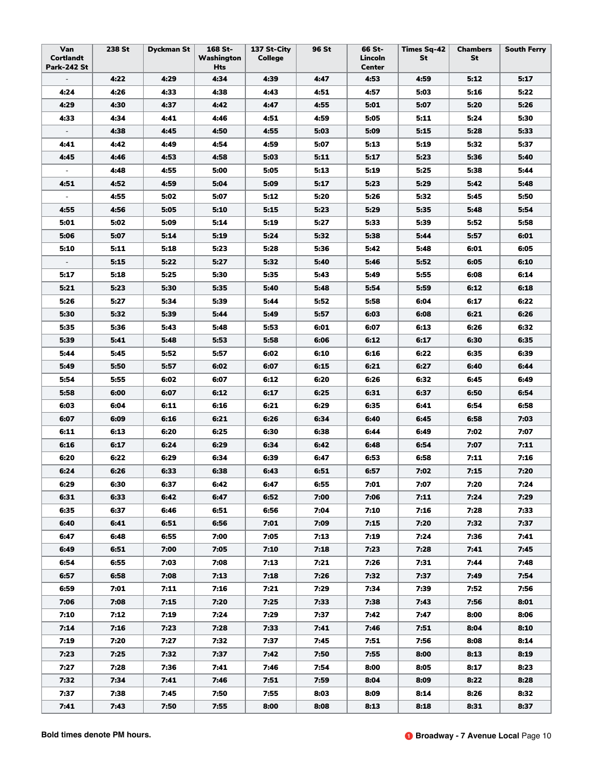| Van<br><b>Cortlandt</b><br><b>Park-242 St</b> | 238 St | <b>Dyckman St</b> | 168 St-<br>Washington<br>Hts | 137 St-City<br>College | 96 St | 66 St-<br>Lincoln<br><b>Center</b> | <b>Times Sq-42</b><br>St | <b>Chambers</b><br>St | <b>South Ferry</b> |
|-----------------------------------------------|--------|-------------------|------------------------------|------------------------|-------|------------------------------------|--------------------------|-----------------------|--------------------|
|                                               | 4:22   | 4:29              | 4:34                         | 4:39                   | 4:47  | 4:53                               | 4:59                     | 5:12                  | 5:17               |
| 4:24                                          | 4:26   | 4:33              | 4:38                         | 4:43                   | 4:51  | 4:57                               | 5:03                     | 5:16                  | 5:22               |
| 4:29                                          | 4:30   | 4:37              | 4:42                         | 4:47                   | 4:55  | 5:01                               | 5:07                     | 5:20                  | 5:26               |
| 4:33                                          | 4:34   | 4:41              | 4:46                         | 4:51                   | 4:59  | 5:05                               | 5:11                     | 5:24                  | 5:30               |
| $\overline{\phantom{a}}$                      | 4:38   | 4:45              | 4:50                         | 4:55                   | 5:03  | 5:09                               | 5:15                     | 5:28                  | 5:33               |
| 4:41                                          | 4:42   | 4:49              | 4:54                         | 4:59                   | 5:07  | 5:13                               | 5:19                     | 5:32                  | 5:37               |
| 4:45                                          | 4:46   | 4:53              | 4:58                         | 5:03                   | 5:11  | 5:17                               | 5:23                     | 5:36                  | 5:40               |
|                                               | 4:48   | 4:55              | 5:00                         | 5:05                   | 5:13  | 5:19                               | 5:25                     | 5:38                  | 5:44               |
| 4:51                                          | 4:52   | 4:59              | 5:04                         | 5:09                   | 5:17  | 5:23                               | 5:29                     | 5:42                  | 5:48               |
| $\blacksquare$                                | 4:55   | 5:02              | 5:07                         | 5:12                   | 5:20  | 5:26                               | 5:32                     | 5:45                  | 5:50               |
| 4:55                                          | 4:56   | 5:05              | 5:10                         | 5:15                   | 5:23  | 5:29                               | 5:35                     | 5:48                  | 5:54               |
| 5:01                                          | 5:02   | 5:09              | 5:14                         | 5:19                   | 5:27  | 5:33                               | 5:39                     | 5:52                  | 5:58               |
| 5:06                                          | 5:07   | 5:14              | 5:19                         | 5:24                   | 5:32  | 5:38                               | 5:44                     | 5:57                  | 6:01               |
| 5:10                                          | 5:11   | 5:18              | 5:23                         | 5:28                   | 5:36  | 5:42                               | 5:48                     | 6:01                  | 6:05               |
| $\overline{\phantom{a}}$                      | 5:15   | 5:22              | 5:27                         | 5:32                   | 5:40  | 5:46                               | 5:52                     | 6:05                  | 6:10               |
| 5:17                                          | 5:18   | 5:25              | 5:30                         | 5:35                   | 5:43  | 5:49                               | 5:55                     | 6:08                  | 6:14               |
| 5:21                                          | 5:23   | 5:30              | 5:35                         | 5:40                   | 5:48  | 5:54                               | 5:59                     | 6:12                  | 6:18               |
| 5:26                                          | 5:27   | 5:34              | 5:39                         | 5:44                   | 5:52  | 5:58                               | 6:04                     | 6:17                  | 6:22               |
| 5:30                                          | 5:32   | 5:39              | 5:44                         | 5:49                   | 5:57  | 6:03                               | 6:08                     | 6:21                  | 6:26               |
| 5:35                                          | 5:36   | 5:43              | 5:48                         | 5:53                   | 6:01  | 6:07                               | 6:13                     | 6:26                  | 6:32               |
| 5:39                                          | 5:41   | 5:48              | 5:53                         | 5:58                   | 6:06  | 6:12                               | 6:17                     | 6:30                  | 6:35               |
| 5:44                                          | 5:45   | 5:52              | 5:57                         | 6:02                   | 6:10  | 6:16                               | 6:22                     | 6:35                  | 6:39               |
| 5:49                                          | 5:50   | 5:57              | 6:02                         | 6:07                   | 6:15  | 6:21                               | 6:27                     | 6:40                  | 6:44               |
| 5:54                                          | 5:55   | 6:02              | 6:07                         | 6:12                   | 6:20  | 6:26                               | 6:32                     | 6:45                  | 6:49               |
| 5:58                                          | 6:00   | 6:07              | 6:12                         | 6:17                   | 6:25  | 6:31                               | 6:37                     | 6:50                  | 6:54               |
| 6:03                                          | 6:04   | 6:11              | 6:16                         | 6:21                   | 6:29  | 6:35                               | 6:41                     | 6:54                  | 6:58               |
| 6:07                                          | 6:09   | 6:16              | 6:21                         | 6:26                   | 6:34  | 6:40                               | 6:45                     | 6:58                  | 7:03               |
| 6:11                                          | 6:13   | 6:20              | 6:25                         | 6:30                   | 6:38  | 6:44                               | 6:49                     | 7:02                  | 7:07               |
| 6:16                                          | 6:17   | 6:24              | 6:29                         | 6:34                   | 6:42  | 6:48                               | 6:54                     | 7:07                  | 7:11               |
| 6:20                                          | 6:22   | 6:29              | 6:34                         | 6:39                   | 6:47  | 6:53                               | 6:58                     | 7:11                  | 7:16               |
| 6:24                                          | 6:26   | 6:33              | 6:38                         | 6:43                   | 6:51  | 6:57                               | 7:02                     | 7:15                  | 7:20               |
| 6:29                                          | 6:30   | 6:37              | 6:42                         | 6:47                   | 6:55  | 7:01                               | 7:07                     | 7:20                  | 7:24               |
| 6:31                                          | 6:33   | 6:42              | 6:47                         | 6:52                   | 7:00  | 7:06                               | 7:11                     | 7:24                  | 7:29               |
| 6:35                                          | 6:37   | 6:46              | 6:51                         | 6:56                   | 7:04  | 7:10                               | 7:16                     | 7:28                  | 7:33               |
| 6:40                                          | 6:41   | 6:51              | 6:56                         | 7:01                   | 7:09  | 7:15                               | 7:20                     | 7:32                  | 7:37               |
| 6:47                                          | 6:48   | 6:55              | 7:00                         | 7:05                   | 7:13  | 7:19                               | 7:24                     | 7:36                  | 7:41               |
| 6:49                                          | 6:51   | 7:00              | 7:05                         | 7:10                   | 7:18  | 7:23                               | 7:28                     | 7:41                  | 7:45               |
| 6:54                                          | 6:55   | 7:03              | 7:08                         | 7:13                   | 7:21  | 7:26                               | 7:31                     | 7:44                  | 7:48               |
| 6:57                                          | 6:58   | 7:08              | 7:13                         | 7:18                   | 7:26  | 7:32                               | 7:37                     | 7:49                  | 7:54               |
| 6:59                                          | 7:01   | 7:11              | 7:16                         | 7:21                   | 7:29  | 7:34                               | 7:39                     | 7:52                  | 7:56               |
| 7:06                                          | 7:08   | 7:15              | 7:20                         | 7:25                   | 7:33  | 7:38                               | 7:43                     | 7:56                  | 8:01               |
| 7:10                                          | 7:12   | 7:19              | 7:24                         | 7:29                   | 7:37  | 7:42                               | 7:47                     | 8:00                  | 8:06               |
| 7:14                                          | 7:16   | 7:23              | 7:28                         | 7:33                   | 7:41  | 7:46                               | 7:51                     | 8:04                  | 8:10               |
| 7:19                                          | 7:20   | 7:27              | 7:32                         | 7:37                   | 7:45  | 7:51                               | 7:56                     | 8:08                  | 8:14               |
| 7:23                                          | 7:25   | 7:32              | 7:37                         | 7:42                   | 7:50  | 7:55                               | 8:00                     | 8:13                  | 8:19               |
| 7:27                                          | 7:28   | 7:36              | 7:41                         | 7:46                   | 7:54  | 8:00                               | 8:05                     | 8:17                  | 8:23               |
| 7:32                                          | 7:34   | 7:41              | 7:46                         | 7:51                   | 7:59  | 8:04                               | 8:09                     | 8:22                  | 8:28               |
| 7:37                                          | 7:38   | 7:45              | 7:50                         | 7:55                   | 8:03  | 8:09                               | 8:14                     | 8:26                  | 8:32               |
| 7:41                                          | 7:43   | 7:50              | 7:55                         | 8:00                   | 8:08  | 8:13                               | 8:18                     | 8:31                  | 8:37               |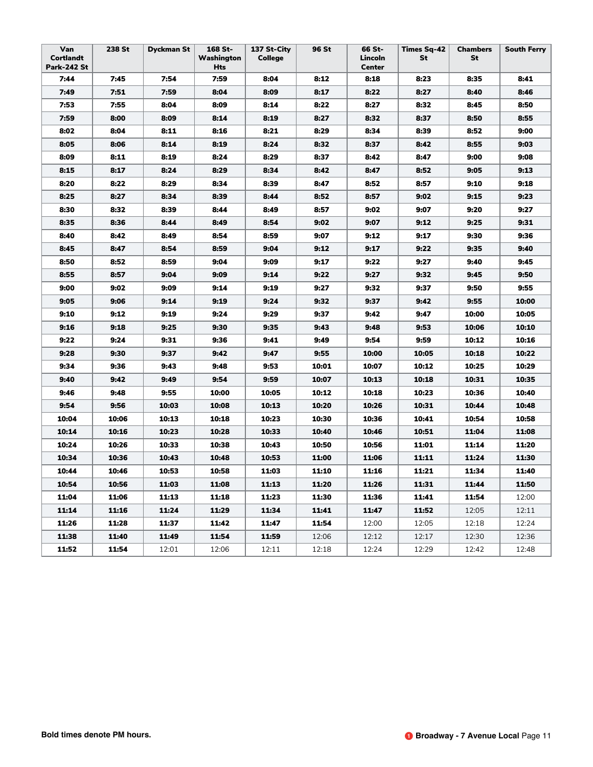| Van<br><b>Cortlandt</b><br><b>Park-242 St</b> | 238 St | <b>Dyckman St</b> | 168 St-<br>Washington<br>Hts | 137 St-City<br><b>College</b> | 96 St | 66 St-<br>Lincoln<br><b>Center</b> | <b>Times Sq-42</b><br>St | <b>Chambers</b><br>St | <b>South Ferry</b> |
|-----------------------------------------------|--------|-------------------|------------------------------|-------------------------------|-------|------------------------------------|--------------------------|-----------------------|--------------------|
| 7:44                                          | 7:45   | 7:54              | 7:59                         | 8:04                          | 8:12  | 8:18                               | 8:23                     | 8:35                  | 8:41               |
| 7:49                                          | 7:51   | 7:59              | 8:04                         | 8:09                          | 8:17  | 8:22                               | 8:27                     | 8:40                  | 8:46               |
| 7:53                                          | 7:55   | 8:04              | 8:09                         | 8:14                          | 8:22  | 8:27                               | 8:32                     | 8:45                  | 8:50               |
| 7:59                                          | 8:00   | 8:09              | 8:14                         | 8:19                          | 8:27  | 8:32                               | 8:37                     | 8:50                  | 8:55               |
| 8:02                                          | 8:04   | 8:11              | 8:16                         | 8:21                          | 8:29  | 8:34                               | 8:39                     | 8:52                  | 9:00               |
| 8:05                                          | 8:06   | 8:14              | 8:19                         | 8:24                          | 8:32  | 8:37                               | 8:42                     | 8:55                  | 9:03               |
| 8:09                                          | 8:11   | 8:19              | 8:24                         | 8:29                          | 8:37  | 8:42                               | 8:47                     | 9:00                  | 9:08               |
| 8:15                                          | 8:17   | 8:24              | 8:29                         | 8:34                          | 8:42  | 8:47                               | 8:52                     | 9:05                  | 9:13               |
| 8:20                                          | 8:22   | 8:29              | 8:34                         | 8:39                          | 8:47  | 8:52                               | 8:57                     | 9:10                  | 9:18               |
| 8:25                                          | 8:27   | 8:34              | 8:39                         | 8:44                          | 8:52  | 8:57                               | 9:02                     | 9:15                  | 9:23               |
| 8:30                                          | 8:32   | 8:39              | 8:44                         | 8:49                          | 8:57  | 9:02                               | 9:07                     | 9:20                  | 9:27               |
| 8:35                                          | 8:36   | 8:44              | 8:49                         | 8:54                          | 9:02  | 9:07                               | 9:12                     | 9:25                  | 9:31               |
| 8:40                                          | 8:42   | 8:49              | 8:54                         | 8:59                          | 9:07  | 9:12                               | 9:17                     | 9:30                  | 9:36               |
| 8:45                                          | 8:47   | 8:54              | 8:59                         | 9:04                          | 9:12  | 9:17                               | 9:22                     | 9:35                  | 9:40               |
| 8:50                                          | 8:52   | 8:59              | 9:04                         | 9:09                          | 9:17  | 9:22                               | 9:27                     | 9:40                  | 9:45               |
| 8:55                                          | 8:57   | 9:04              | 9:09                         | 9:14                          | 9:22  | 9:27                               | 9:32                     | 9:45                  | 9:50               |
| 9:00                                          | 9:02   | 9:09              | 9:14                         | 9:19                          | 9:27  | 9:32                               | 9:37                     | 9:50                  | 9:55               |
| 9:05                                          | 9:06   | 9:14              | 9:19                         | 9:24                          | 9:32  | 9:37                               | 9:42                     | 9:55                  | 10:00              |
| 9:10                                          | 9:12   | 9:19              | 9:24                         | 9:29                          | 9:37  | 9:42                               | 9:47                     | 10:00                 | 10:05              |
| 9:16                                          | 9:18   | 9:25              | 9:30                         | 9:35                          | 9:43  | 9:48                               | 9:53                     | 10:06                 | 10:10              |
| 9:22                                          | 9:24   | 9:31              | 9:36                         | 9:41                          | 9:49  | 9:54                               | 9:59                     | 10:12                 | 10:16              |
| 9:28                                          | 9:30   | 9:37              | 9:42                         | 9:47                          | 9:55  | 10:00                              | 10:05                    | 10:18                 | 10:22              |
| 9:34                                          | 9:36   | 9:43              | 9:48                         | 9:53                          | 10:01 | 10:07                              | 10:12                    | 10:25                 | 10:29              |
| 9:40                                          | 9:42   | 9:49              | 9:54                         | 9:59                          | 10:07 | 10:13                              | 10:18                    | 10:31                 | 10:35              |
| 9:46                                          | 9:48   | 9:55              | 10:00                        | 10:05                         | 10:12 | 10:18                              | 10:23                    | 10:36                 | 10:40              |
| 9:54                                          | 9:56   | 10:03             | 10:08                        | 10:13                         | 10:20 | 10:26                              | 10:31                    | 10:44                 | 10:48              |
| 10:04                                         | 10:06  | 10:13             | 10:18                        | 10:23                         | 10:30 | 10:36                              | 10:41                    | 10:54                 | 10:58              |
| 10:14                                         | 10:16  | 10:23             | 10:28                        | 10:33                         | 10:40 | 10:46                              | 10:51                    | 11:04                 | 11:08              |
| 10:24                                         | 10:26  | 10:33             | 10:38                        | 10:43                         | 10:50 | 10:56                              | 11:01                    | 11:14                 | 11:20              |
| 10:34                                         | 10:36  | 10:43             | 10:48                        | 10:53                         | 11:00 | 11:06                              | 11:11                    | 11:24                 | 11:30              |
| 10:44                                         | 10:46  | 10:53             | 10:58                        | 11:03                         | 11:10 | 11:16                              | 11:21                    | 11:34                 | 11:40              |
| 10:54                                         | 10:56  | 11:03             | 11:08                        | 11:13                         | 11:20 | 11:26                              | 11:31                    | 11:44                 | 11:50              |
| 11:04                                         | 11:06  | 11:13             | 11:18                        | 11:23                         | 11:30 | 11:36                              | 11:41                    | 11:54                 | 12:00              |
| 11:14                                         | 11:16  | 11:24             | 11:29                        | 11:34                         | 11:41 | 11:47                              | 11:52                    | 12:05                 | 12:11              |
| 11:26                                         | 11:28  | 11:37             | 11:42                        | 11:47                         | 11:54 | 12:00                              | 12:05                    | 12:18                 | 12:24              |
| 11:38                                         | 11:40  | 11:49             | 11:54                        | 11:59                         | 12:06 | 12:12                              | 12:17                    | 12:30                 | 12:36              |
| 11:52                                         | 11:54  | 12:01             | 12:06                        | 12:11                         | 12:18 | 12:24                              | 12:29                    | 12:42                 | 12:48              |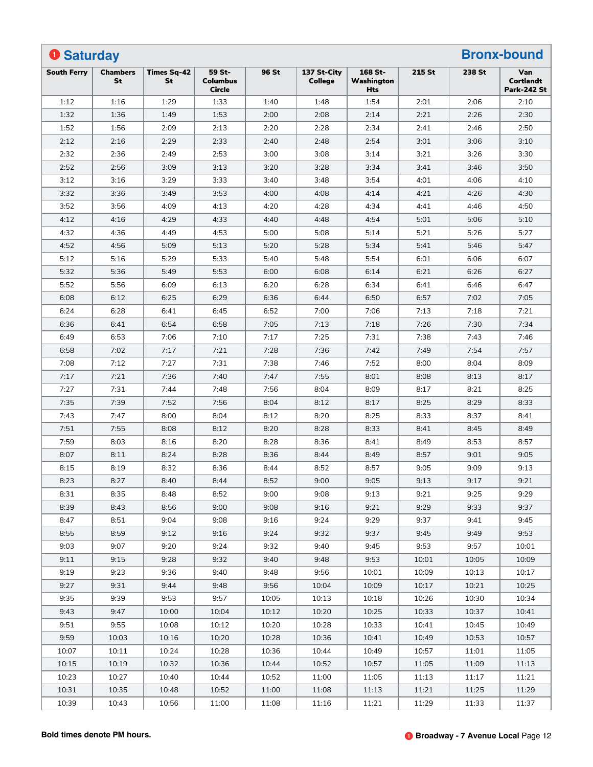| <b>O</b> Saturday  |                       |                          |                                            |       |                               |                              |        |        | <b>Bronx-bound</b>                            |
|--------------------|-----------------------|--------------------------|--------------------------------------------|-------|-------------------------------|------------------------------|--------|--------|-----------------------------------------------|
| <b>South Ferry</b> | <b>Chambers</b><br>St | <b>Times Sq-42</b><br>St | 59 St-<br><b>Columbus</b><br><b>Circle</b> | 96 St | 137 St-City<br><b>College</b> | 168 St-<br>Washington<br>Hts | 215 St | 238 St | Van<br><b>Cortlandt</b><br><b>Park-242 St</b> |
| 1:12               | 1:16                  | 1:29                     | 1:33                                       | 1:40  | 1:48                          | 1:54                         | 2:01   | 2:06   | 2:10                                          |
| 1:32               | 1:36                  | 1:49                     | 1:53                                       | 2:00  | 2:08                          | 2:14                         | 2:21   | 2:26   | 2:30                                          |
| 1:52               | 1:56                  | 2:09                     | 2:13                                       | 2:20  | 2:28                          | 2:34                         | 2:41   | 2:46   | 2:50                                          |
| 2:12               | 2:16                  | 2:29                     | 2:33                                       | 2:40  | 2:48                          | 2:54                         | 3:01   | 3:06   | 3:10                                          |
| 2:32               | 2:36                  | 2:49                     | 2:53                                       | 3:00  | 3:08                          | 3:14                         | 3:21   | 3:26   | 3:30                                          |
| 2:52               | 2:56                  | 3:09                     | 3:13                                       | 3:20  | 3:28                          | 3:34                         | 3:41   | 3:46   | 3:50                                          |
| 3:12               | 3:16                  | 3:29                     | 3:33                                       | 3:40  | 3:48                          | 3:54                         | 4:01   | 4:06   | 4:10                                          |
| 3:32               | 3:36                  | 3:49                     | 3:53                                       | 4:00  | 4:08                          | 4:14                         | 4:21   | 4:26   | 4:30                                          |
| 3:52               | 3:56                  | 4:09                     | 4:13                                       | 4:20  | 4:28                          | 4:34                         | 4:41   | 4:46   | 4:50                                          |
| 4:12               | 4:16                  | 4:29                     | 4:33                                       | 4:40  | 4:48                          | 4:54                         | 5:01   | 5:06   | 5:10                                          |
| 4:32               | 4:36                  | 4:49                     | 4:53                                       | 5:00  | 5:08                          | 5:14                         | 5:21   | 5:26   | 5:27                                          |
| 4:52               | 4:56                  | 5:09                     | 5:13                                       | 5:20  | 5:28                          | 5:34                         | 5:41   | 5:46   | 5:47                                          |
| 5:12               | 5:16                  | 5:29                     | 5:33                                       | 5:40  | 5:48                          | 5:54                         | 6:01   | 6:06   | 6:07                                          |
| 5:32               | 5:36                  | 5:49                     | 5:53                                       | 6:00  | 6:08                          | 6:14                         | 6:21   | 6:26   | 6:27                                          |
| 5:52               | 5:56                  | 6:09                     | 6:13                                       | 6:20  | 6:28                          | 6:34                         | 6:41   | 6:46   | 6:47                                          |
| 6:08               | 6:12                  | 6:25                     | 6:29                                       | 6:36  | 6:44                          | 6:50                         | 6:57   | 7:02   | 7:05                                          |
| 6:24               | 6:28                  | 6:41                     | 6:45                                       | 6:52  | 7:00                          | 7:06                         | 7:13   | 7:18   | 7:21                                          |
| 6:36               | 6:41                  | 6:54                     | 6:58                                       | 7:05  | 7:13                          | 7:18                         | 7:26   | 7:30   | 7:34                                          |
| 6:49               | 6:53                  | 7:06                     | 7:10                                       | 7:17  | 7:25                          | 7:31                         | 7:38   | 7:43   | 7:46                                          |
| 6:58               | 7:02                  | 7:17                     | 7:21                                       | 7:28  | 7:36                          | 7:42                         | 7:49   | 7:54   | 7:57                                          |
| 7:08               | 7:12                  | 7:27                     | 7:31                                       | 7:38  | 7:46                          | 7:52                         | 8:00   | 8:04   | 8:09                                          |
| 7:17               | 7:21                  | 7:36                     | 7:40                                       | 7:47  | 7:55                          | 8:01                         | 8:08   | 8:13   | 8:17                                          |
| 7:27               | 7:31                  | 7:44                     | 7:48                                       | 7:56  | 8:04                          | 8:09                         | 8:17   | 8:21   | 8:25                                          |
| 7:35               | 7:39                  | 7:52                     | 7:56                                       | 8:04  | 8:12                          | 8:17                         | 8:25   | 8:29   | 8:33                                          |
| 7:43               | 7:47                  | 8:00                     | 8:04                                       | 8:12  | 8:20                          | 8:25                         | 8:33   | 8:37   | 8:41                                          |
| 7:51               | 7:55                  | 8:08                     | 8:12                                       | 8:20  | 8:28                          | 8:33                         | 8:41   | 8:45   | 8:49                                          |
| 7:59               | 8:03                  | 8:16                     | 8:20                                       | 8:28  | 8:36                          | 8:41                         | 8:49   | 8:53   | 8:57                                          |
| 8:07               | 8:11                  | 8:24                     | 8:28                                       | 8:36  | 8:44                          | 8:49                         | 8:57   | 9:01   | 9:05                                          |
| 8:15               | 8:19                  | 8:32                     | 8:36                                       | 8:44  | 8:52                          | 8:57                         | 9:05   | 9:09   | 9:13                                          |
| 8:23               | 8:27                  | 8:40                     | 8:44                                       | 8:52  | 9:00                          | 9:05                         | 9:13   | 9:17   | 9:21                                          |
| 8:31               | 8:35                  | 8:48                     | 8:52                                       | 9:00  | 9:08                          | 9:13                         | 9:21   | 9:25   | 9:29                                          |
| 8:39               | 8:43                  | 8:56                     | 9:00                                       | 9:08  | 9:16                          | 9:21                         | 9:29   | 9:33   | 9:37                                          |
| 8:47               | 8:51                  | 9:04                     | 9:08                                       | 9:16  | 9:24                          | 9:29                         | 9:37   | 9:41   | 9:45                                          |
| 8:55               | 8:59                  | 9:12                     | 9:16                                       | 9:24  | 9:32                          | 9:37                         | 9:45   | 9:49   | 9:53                                          |
| 9:03               | 9:07                  | 9:20                     | 9:24                                       | 9:32  | 9:40                          | 9:45                         | 9:53   | 9:57   | 10:01                                         |
| 9:11               | 9:15                  | 9:28                     | 9:32                                       | 9:40  | 9:48                          | 9:53                         | 10:01  | 10:05  | 10:09                                         |
| 9:19               | 9:23                  | 9:36                     | 9:40                                       | 9:48  | 9:56                          | 10:01                        | 10:09  | 10:13  | 10:17                                         |
| 9:27               | 9:31                  | 9:44                     | 9:48                                       | 9:56  | 10:04                         | 10:09                        | 10:17  | 10:21  | 10:25                                         |
| 9:35               | 9:39                  | 9:53                     | 9:57                                       | 10:05 |                               |                              | 10:26  | 10:30  | 10:34                                         |
| 9:43               | 9:47                  | 10:00                    | 10:04                                      | 10:12 | 10:13<br>10:20                | 10:18<br>10:25               | 10:33  | 10:37  |                                               |
| 9:51               | 9:55                  | 10:08                    | 10:12                                      | 10:20 | 10:28                         | 10:33                        | 10:41  | 10:45  | 10:41<br>10:49                                |
|                    |                       |                          |                                            |       |                               |                              |        |        |                                               |
| 9:59               | 10:03                 | 10:16                    | 10:20                                      | 10:28 | 10:36                         | 10:41                        | 10:49  | 10:53  | 10:57                                         |
| 10:07              | 10:11                 | 10:24                    | 10:28                                      | 10:36 | 10:44                         | 10:49                        | 10:57  | 11:01  | 11:05                                         |
| 10:15              | 10:19                 | 10:32                    | 10:36                                      | 10:44 | 10:52                         | 10:57                        | 11:05  | 11:09  | 11:13                                         |
| 10:23              | 10:27                 | 10:40                    | 10:44                                      | 10:52 | 11:00                         | 11:05                        | 11:13  | 11:17  | 11:21                                         |
| 10:31              | 10:35                 | 10:48                    | 10:52                                      | 11:00 | 11:08                         | 11:13                        | 11:21  | 11:25  | 11:29                                         |
| 10:39              | 10:43                 | 10:56                    | 11:00                                      | 11:08 | 11:16                         | 11:21                        | 11:29  | 11:33  | 11:37                                         |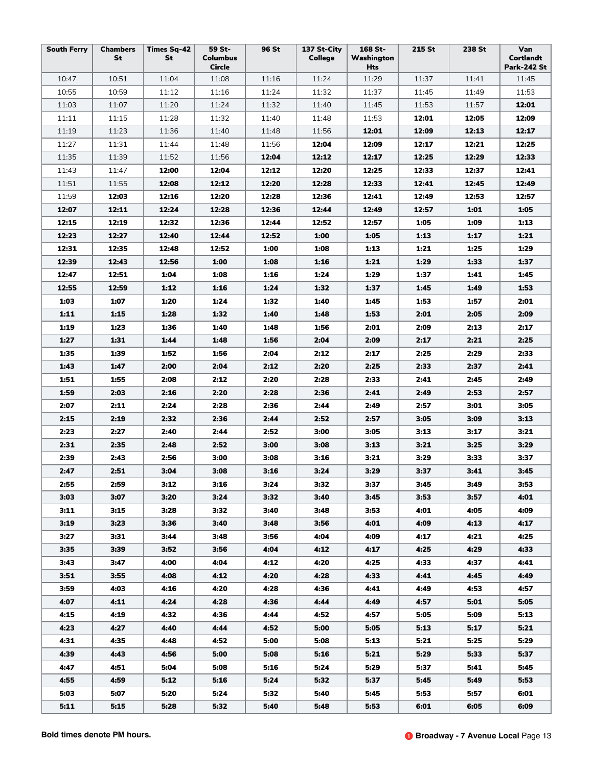| <b>South Ferry</b> | <b>Chambers</b><br>St | <b>Times Sq-42</b><br>St | 59 St-<br><b>Columbus</b><br><b>Circle</b> | 96 St | 137 St-City<br><b>College</b> | 168 St-<br>Washington<br>Hts | 215 St | 238 St | Van<br>Cortlandt<br><b>Park-242 St</b> |
|--------------------|-----------------------|--------------------------|--------------------------------------------|-------|-------------------------------|------------------------------|--------|--------|----------------------------------------|
| 10:47              | 10:51                 | 11:04                    | 11:08                                      | 11:16 | 11:24                         | 11:29                        | 11:37  | 11:41  | 11:45                                  |
| 10:55              | 10:59                 | 11:12                    | 11:16                                      | 11:24 | 11:32                         | 11:37                        | 11:45  | 11:49  | 11:53                                  |
| 11:03              | 11:07                 | 11:20                    | 11:24                                      | 11:32 | 11:40                         | 11:45                        | 11:53  | 11:57  | 12:01                                  |
| 11:11              | 11:15                 | 11:28                    | 11:32                                      | 11:40 | 11:48                         | 11:53                        | 12:01  | 12:05  | 12:09                                  |
| 11:19              | 11:23                 | 11:36                    | 11:40                                      | 11:48 | 11:56                         | 12:01                        | 12:09  | 12:13  | 12:17                                  |
| 11:27              | 11:31                 | 11:44                    | 11:48                                      | 11:56 | 12:04                         | 12:09                        | 12:17  | 12:21  | 12:25                                  |
| 11:35              | 11:39                 | 11:52                    | 11:56                                      | 12:04 | 12:12                         | 12:17                        | 12:25  | 12:29  | 12:33                                  |
| 11:43              | 11:47                 | 12:00                    | 12:04                                      | 12:12 | 12:20                         | 12:25                        | 12:33  | 12:37  | 12:41                                  |
| 11:51              | 11:55                 | 12:08                    | 12:12                                      | 12:20 | 12:28                         | 12:33                        | 12:41  | 12:45  | 12:49                                  |
| 11:59              | 12:03                 | 12:16                    | 12:20                                      | 12:28 | 12:36                         | 12:41                        | 12:49  | 12:53  | 12:57                                  |
| 12:07              | 12:11                 | 12:24                    | 12:28                                      | 12:36 | 12:44                         | 12:49                        | 12:57  | 1:01   | 1:05                                   |
| 12:15              | 12:19                 | 12:32                    | 12:36                                      | 12:44 | 12:52                         | 12:57                        | 1:05   | 1:09   | 1:13                                   |
| 12:23              | 12:27                 | 12:40                    | 12:44                                      | 12:52 | 1:00                          | 1:05                         | 1:13   | 1:17   | 1:21                                   |
| 12:31              | 12:35                 | 12:48                    | 12:52                                      | 1:00  | 1:08                          | 1:13                         | 1:21   | 1:25   | 1:29                                   |
| 12:39              | 12:43                 | 12:56                    | 1:00                                       | 1:08  | 1:16                          | 1:21                         | 1:29   | 1:33   | 1:37                                   |
| 12:47              | 12:51                 | 1:04                     | 1:08                                       | 1:16  | 1:24                          | 1:29                         | 1:37   | 1:41   | 1:45                                   |
| 12:55              | 12:59                 | 1:12                     | 1:16                                       | 1:24  | 1:32                          | 1:37                         | 1:45   | 1:49   | 1:53                                   |
| 1:03               | 1:07                  | 1:20                     | 1:24                                       | 1:32  | 1:40                          | 1:45                         | 1:53   | 1:57   | 2:01                                   |
| 1:11               | 1:15                  | 1:28                     | 1:32                                       | 1:40  | 1:48                          | 1:53                         | 2:01   | 2:05   | 2:09                                   |
| 1:19               | 1:23                  | 1:36                     | 1:40                                       | 1:48  | 1:56                          | 2:01                         | 2:09   | 2:13   | 2:17                                   |
| 1:27               | 1:31                  | 1:44                     | 1:48                                       | 1:56  | 2:04                          | 2:09                         | 2:17   | 2:21   | 2:25                                   |
| 1:35               | 1:39                  | 1:52                     | 1:56                                       | 2:04  | 2:12                          | 2:17                         | 2:25   | 2:29   | 2:33                                   |
| 1:43               | 1:47                  | 2:00                     | 2:04                                       | 2:12  | 2:20                          | 2:25                         | 2:33   | 2:37   | 2:41                                   |
| 1:51               | 1:55                  | 2:08                     | 2:12                                       | 2:20  | 2:28                          | 2:33                         | 2:41   | 2:45   | 2:49                                   |
| 1:59               | 2:03                  | 2:16                     | 2:20                                       | 2:28  | 2:36                          | 2:41                         | 2:49   | 2:53   | 2:57                                   |
| 2:07               | 2:11                  | 2:24                     | 2:28                                       | 2:36  | 2:44                          | 2:49                         | 2:57   | 3:01   | 3:05                                   |
| 2:15               | 2:19                  | 2:32                     | 2:36                                       | 2:44  | 2:52                          | 2:57                         | 3:05   | 3:09   | 3:13                                   |
| 2:23               | 2:27                  | 2:40                     | 2:44                                       | 2:52  | 3:00                          | 3:05                         | 3:13   | 3:17   | 3:21                                   |
| 2:31               | 2:35                  | 2:48                     | 2:52                                       | 3:00  | 3:08                          | 3:13                         | 3:21   | 3:25   | 3:29                                   |
| 2:39               | 2:43                  | 2:56                     | 3:00                                       | 3:08  | 3:16                          | 3:21                         | 3:29   | 3:33   | 3:37                                   |
| 2:47               | 2:51                  | 3:04                     | 3:08                                       | 3:16  | 3:24                          | 3:29                         | 3:37   | 3:41   | 3:45                                   |
| 2:55               | 2:59                  | 3:12                     | 3:16                                       | 3:24  | 3:32                          | 3:37                         | 3:45   | 3:49   | 3:53                                   |
| 3:03               | 3:07                  | 3:20                     | 3:24                                       | 3:32  | 3:40                          | 3:45                         | 3:53   | 3:57   | 4:01                                   |
| 3:11               | 3:15                  | 3:28                     | 3:32                                       | 3:40  | 3:48                          | 3:53                         | 4:01   | 4:05   | 4:09                                   |
| 3:19               | 3:23                  | 3:36                     | 3:40                                       | 3:48  | 3:56                          | 4:01                         | 4:09   | 4:13   | 4:17                                   |
| 3:27               | 3:31                  | 3:44                     | 3:48                                       | 3:56  | 4:04                          | 4:09                         | 4:17   | 4:21   | 4:25                                   |
| 3:35               | 3:39                  | 3:52                     | 3:56                                       | 4:04  | 4:12                          | 4:17                         | 4:25   | 4:29   | 4:33                                   |
| 3:43               | 3:47                  | 4:00                     | 4:04                                       | 4:12  | 4:20                          | 4:25                         | 4:33   | 4:37   | 4:41                                   |
| 3:51               | 3:55                  | 4:08                     | 4:12                                       | 4:20  | 4:28                          | 4:33                         | 4:41   | 4:45   | 4:49                                   |
| 3:59               | 4:03                  | 4:16                     | 4:20                                       | 4:28  | 4:36                          | 4:41                         | 4:49   | 4:53   | 4:57                                   |
| 4:07               | 4:11                  | 4:24                     | 4:28                                       | 4:36  | 4:44                          | 4:49                         | 4:57   | 5:01   | 5:05                                   |
| 4:15               | 4:19                  | 4:32                     | 4:36                                       | 4:44  | 4:52                          | 4:57                         | 5:05   | 5:09   | 5:13                                   |
| 4:23               | 4:27                  | 4:40                     | 4:44                                       | 4:52  | 5:00                          | 5:05                         | 5:13   | 5:17   | 5:21                                   |
| 4:31               | 4:35                  | 4:48                     | 4:52                                       | 5:00  | 5:08                          | 5:13                         | 5:21   | 5:25   | 5:29                                   |
| 4:39               | 4:43                  | 4:56                     | 5:00                                       | 5:08  | 5:16                          | 5:21                         | 5:29   | 5:33   | 5:37                                   |
| 4:47               | 4:51                  | 5:04                     | 5:08                                       | 5:16  | 5:24                          | 5:29                         | 5:37   | 5:41   | 5:45                                   |
| 4:55               | 4:59                  | 5:12                     | 5:16                                       | 5:24  | 5:32                          | 5:37                         | 5:45   | 5:49   | 5:53                                   |
| 5:03               | 5:07                  | 5:20                     | 5:24                                       | 5:32  | 5:40                          | 5:45                         | 5:53   | 5:57   | 6:01                                   |
| 5:11               | 5:15                  | 5:28                     | 5:32                                       | 5:40  | 5:48                          | 5:53                         | 6:01   | 6:05   | 6:09                                   |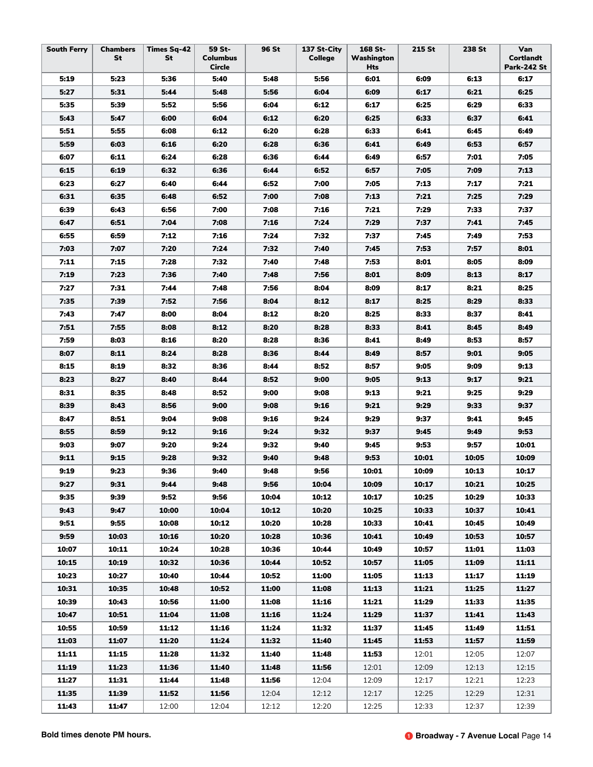| <b>South Ferry</b> | <b>Chambers</b><br><b>St</b> | <b>Times Sq-42</b><br>St | 59 St-<br><b>Columbus</b><br>Circle | 96 St | 137 St-City<br><b>College</b> | 168 St-<br>Washington<br>Hts | 215 St | 238 St | Van<br><b>Cortlandt</b><br><b>Park-242 St</b> |
|--------------------|------------------------------|--------------------------|-------------------------------------|-------|-------------------------------|------------------------------|--------|--------|-----------------------------------------------|
| 5:19               | 5:23                         | 5:36                     | 5:40                                | 5:48  | 5:56                          | 6:01                         | 6:09   | 6:13   | 6:17                                          |
| 5:27               | 5:31                         | 5:44                     | 5:48                                | 5:56  | 6:04                          | 6:09                         | 6:17   | 6:21   | 6:25                                          |
| 5:35               | 5:39                         | 5:52                     | 5:56                                | 6:04  | 6:12                          | 6:17                         | 6:25   | 6:29   | 6:33                                          |
| 5:43               | 5:47                         | 6:00                     | 6:04                                | 6:12  | 6:20                          | 6:25                         | 6:33   | 6:37   | 6:41                                          |
| 5:51               | 5:55                         | 6:08                     | 6:12                                | 6:20  | 6:28                          | 6:33                         | 6:41   | 6:45   | 6:49                                          |
| 5:59               | 6:03                         | 6:16                     | 6:20                                | 6:28  | 6:36                          | 6:41                         | 6:49   | 6:53   | 6:57                                          |
| 6:07               | 6:11                         | 6:24                     | 6:28                                | 6:36  | 6:44                          | 6:49                         | 6:57   | 7:01   | 7:05                                          |
| 6:15               | 6:19                         | 6:32                     | 6:36                                | 6:44  | 6:52                          | 6:57                         | 7:05   | 7:09   | 7:13                                          |
| 6:23               | 6:27                         | 6:40                     | 6:44                                | 6:52  | 7:00                          | 7:05                         | 7:13   | 7:17   | 7:21                                          |
| 6:31               | 6:35                         | 6:48                     | 6:52                                | 7:00  | 7:08                          | 7:13                         | 7:21   | 7:25   | 7:29                                          |
| 6:39               | 6:43                         | 6:56                     | 7:00                                | 7:08  | 7:16                          | 7:21                         | 7:29   | 7:33   | 7:37                                          |
| 6:47               | 6:51                         | 7:04                     | 7:08                                | 7:16  | 7:24                          | 7:29                         | 7:37   | 7:41   | 7:45                                          |
| 6:55               | 6:59                         | 7:12                     | 7:16                                | 7:24  | 7:32                          | 7:37                         | 7:45   | 7:49   | 7:53                                          |
| 7:03               | 7:07                         | 7:20                     | 7:24                                | 7:32  | 7:40                          | 7:45                         | 7:53   | 7:57   | 8:01                                          |
| 7:11               | 7:15                         | 7:28                     | 7:32                                | 7:40  | 7:48                          | 7:53                         | 8:01   | 8:05   | 8:09                                          |
| 7:19               | 7:23                         | 7:36                     | 7:40                                | 7:48  | 7:56                          | 8:01                         | 8:09   | 8:13   | 8:17                                          |
| 7:27               | 7:31                         | 7:44                     | 7:48                                | 7:56  | 8:04                          | 8:09                         | 8:17   | 8:21   | 8:25                                          |
| 7:35               | 7:39                         | 7:52                     | 7:56                                | 8:04  | 8:12                          | 8:17                         | 8:25   | 8:29   | 8:33                                          |
| 7:43               | 7:47                         | 8:00                     | 8:04                                | 8:12  | 8:20                          | 8:25                         | 8:33   | 8:37   | 8:41                                          |
| 7:51               | 7:55                         | 8:08                     | 8:12                                | 8:20  | 8:28                          | 8:33                         | 8:41   | 8:45   | 8:49                                          |
| 7:59               | 8:03                         | 8:16                     | 8:20                                | 8:28  | 8:36                          | 8:41                         | 8:49   | 8:53   | 8:57                                          |
| 8:07               | 8:11                         | 8:24                     | 8:28                                | 8:36  | 8:44                          | 8:49                         | 8:57   | 9:01   | 9:05                                          |
| 8:15               | 8:19                         | 8:32                     | 8:36                                | 8:44  | 8:52                          | 8:57                         | 9:05   | 9:09   | 9:13                                          |
| 8:23               | 8:27                         | 8:40                     | 8:44                                | 8:52  | 9:00                          | 9:05                         | 9:13   | 9:17   | 9:21                                          |
| 8:31               | 8:35                         | 8:48                     | 8:52                                | 9:00  | 9:08                          | 9:13                         | 9:21   | 9:25   | 9:29                                          |
| 8:39               | 8:43                         | 8:56                     | 9:00                                | 9:08  | 9:16                          | 9:21                         | 9:29   | 9:33   | 9:37                                          |
| 8:47               | 8:51                         | 9:04                     | 9:08                                | 9:16  | 9:24                          | 9:29                         | 9:37   | 9:41   | 9:45                                          |
| 8:55               | 8:59                         | 9:12                     | 9:16                                | 9:24  | 9:32                          | 9:37                         | 9:45   | 9:49   | 9:53                                          |
| 9:03               | 9:07                         | 9:20                     | 9:24                                | 9:32  | 9:40                          | 9:45                         | 9:53   | 9:57   | 10:01                                         |
| 9:11               | 9:15                         | 9:28                     | 9:32                                | 9:40  | 9:48                          | 9:53                         | 10:01  | 10:05  | 10:09                                         |
| 9:19               | 9:23                         | 9:36                     | 9:40                                | 9:48  | 9:56                          | 10:01                        | 10:09  | 10:13  | 10:17                                         |
| 9:27               | 9:31                         | 9:44                     | 9:48                                | 9:56  | 10:04                         | 10:09                        | 10:17  | 10:21  | 10:25                                         |
| 9:35               | 9:39                         | 9:52                     | 9:56                                | 10:04 | 10:12                         | 10:17                        | 10:25  | 10:29  | 10:33                                         |
| 9:43               | 9:47                         | 10:00                    | 10:04                               | 10:12 | 10:20                         | 10:25                        | 10:33  | 10:37  | 10:41                                         |
| 9:51               | 9:55                         | 10:08                    | 10:12                               | 10:20 | 10:28                         | 10:33                        | 10:41  | 10:45  | 10:49                                         |
| 9:59               | 10:03                        | 10:16                    | 10:20                               | 10:28 | 10:36                         | 10:41                        | 10:49  | 10:53  | 10:57                                         |
| 10:07              | 10:11                        | 10:24                    | 10:28                               | 10:36 | 10:44                         | 10:49                        | 10:57  | 11:01  | 11:03                                         |
| 10:15              | 10:19                        | 10:32                    | 10:36                               | 10:44 | 10:52                         | 10:57                        | 11:05  | 11:09  | 11:11                                         |
| 10:23              | 10:27                        | 10:40                    | 10:44                               | 10:52 | 11:00                         | 11:05                        | 11:13  | 11:17  | 11:19                                         |
| 10:31              | 10:35                        | 10:48                    | 10:52                               | 11:00 | 11:08                         | 11:13                        | 11:21  | 11:25  | 11:27                                         |
| 10:39              | 10:43                        | 10:56                    | 11:00                               | 11:08 | 11:16                         | 11:21                        | 11:29  | 11:33  | 11:35                                         |
| 10:47              | 10:51                        | 11:04                    | 11:08                               | 11:16 | 11:24                         | 11:29                        | 11:37  | 11:41  | 11:43                                         |
| 10:55              | 10:59                        | 11:12                    | 11:16                               | 11:24 | 11:32                         | 11:37                        | 11:45  | 11:49  | 11:51                                         |
| 11:03              | 11:07                        | 11:20                    | 11:24                               | 11:32 | 11:40                         | 11:45                        | 11:53  | 11:57  | 11:59                                         |
| 11:11              | 11:15                        | 11:28                    | 11:32                               | 11:40 | 11:48                         | 11:53                        | 12:01  | 12:05  | 12:07                                         |
| 11:19              | 11:23                        | 11:36                    | 11:40                               | 11:48 | 11:56                         | 12:01                        | 12:09  | 12:13  | 12:15                                         |
| 11:27              | 11:31                        | 11:44                    | 11:48                               | 11:56 | 12:04                         | 12:09                        | 12:17  | 12:21  | 12:23                                         |
| 11:35              | 11:39                        | 11:52                    | 11:56                               | 12:04 | 12:12                         | 12:17                        | 12:25  | 12:29  | 12:31                                         |
| 11:43              | 11:47                        | 12:00                    | 12:04                               | 12:12 | 12:20                         | 12:25                        | 12:33  | 12:37  | 12:39                                         |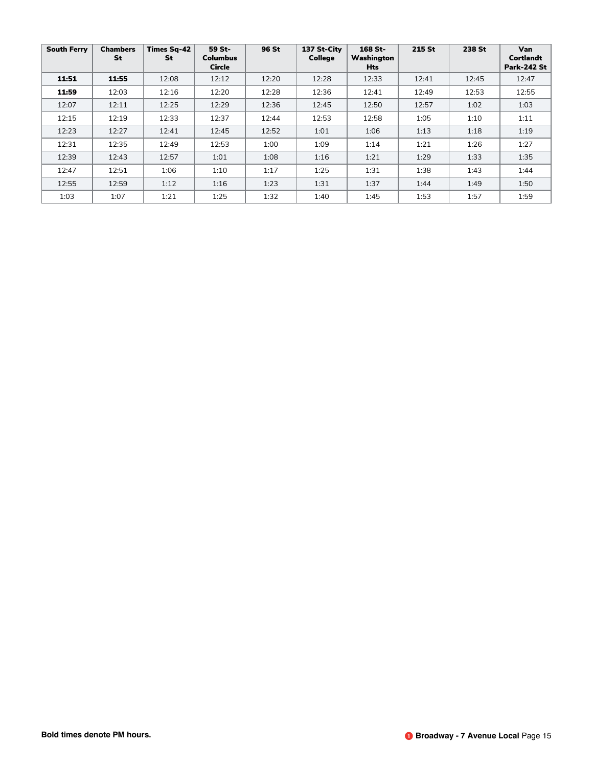| <b>South Ferry</b> | <b>Chambers</b><br><b>St</b> | <b>Times Sq-42</b><br>St | 59 St-<br><b>Columbus</b><br><b>Circle</b> | 96 St | 137 St-City<br>College | 168 St-<br>Washington<br><b>Hts</b> | 215 St | 238 St | <b>Van</b><br><b>Cortlandt</b><br><b>Park-242 St</b> |
|--------------------|------------------------------|--------------------------|--------------------------------------------|-------|------------------------|-------------------------------------|--------|--------|------------------------------------------------------|
| 11:51              | 11:55                        | 12:08                    | 12:12                                      | 12:20 | 12:28                  | 12:33                               | 12:41  | 12:45  | 12:47                                                |
| 11:59              | 12:03                        | 12:16                    | 12:20                                      | 12:28 | 12:36                  | 12:41                               | 12:49  | 12:53  | 12:55                                                |
| 12:07              | 12:11                        | 12:25                    | 12:29                                      | 12:36 | 12:45                  | 12:50                               | 12:57  | 1:02   | 1:03                                                 |
| 12:15              | 12:19                        | 12:33                    | 12:37                                      | 12:44 | 12:53                  | 12:58                               | 1:05   | 1:10   | 1:11                                                 |
| 12:23              | 12:27                        | 12:41                    | 12:45                                      | 12:52 | 1:01                   | 1:06                                | 1:13   | 1:18   | 1:19                                                 |
| 12:31              | 12:35                        | 12:49                    | 12:53                                      | 1:00  | 1:09                   | 1:14                                | 1:21   | 1:26   | 1:27                                                 |
| 12:39              | 12:43                        | 12:57                    | 1:01                                       | 1:08  | 1:16                   | 1:21                                | 1:29   | 1:33   | 1:35                                                 |
| 12:47              | 12:51                        | 1:06                     | 1:10                                       | 1:17  | 1:25                   | 1:31                                | 1:38   | 1:43   | 1:44                                                 |
| 12:55              | 12:59                        | 1:12                     | 1:16                                       | 1:23  | 1:31                   | 1:37                                | 1:44   | 1:49   | 1:50                                                 |
| 1:03               | 1:07                         | 1:21                     | 1:25                                       | 1:32  | 1:40                   | 1:45                                | 1:53   | 1:57   | 1:59                                                 |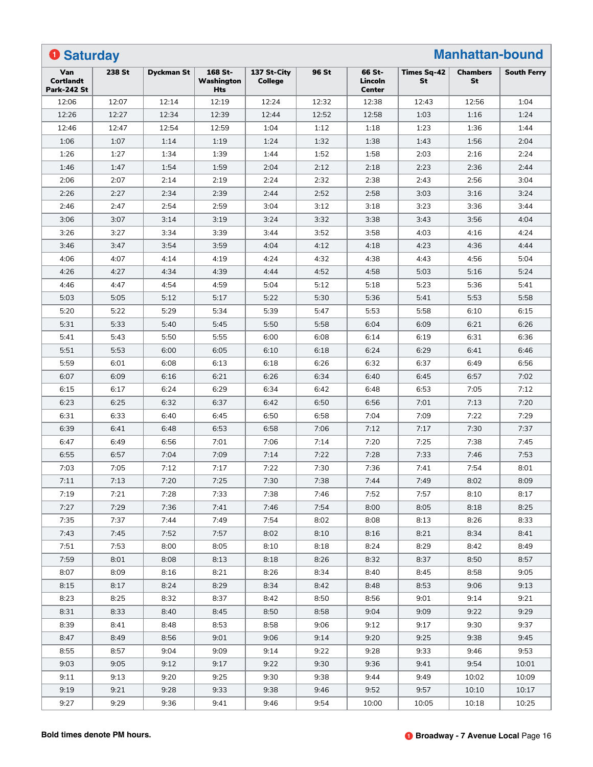| <b>Manhattan-bound</b><br><b>O</b> Saturday   |        |                   |                                     |                               |       |                                    |                          |                       |                    |
|-----------------------------------------------|--------|-------------------|-------------------------------------|-------------------------------|-------|------------------------------------|--------------------------|-----------------------|--------------------|
| Van<br><b>Cortlandt</b><br><b>Park-242 St</b> | 238 St | <b>Dyckman St</b> | 168 St-<br>Washington<br><b>Hts</b> | 137 St-City<br><b>College</b> | 96 St | 66 St-<br>Lincoln<br><b>Center</b> | Times Sq-42<br><b>St</b> | <b>Chambers</b><br>St | <b>South Ferry</b> |
| 12:06                                         | 12:07  | 12:14             | 12:19                               | 12:24                         | 12:32 | 12:38                              | 12:43                    | 12:56                 | 1:04               |
| 12:26                                         | 12:27  | 12:34             | 12:39                               | 12:44                         | 12:52 | 12:58                              | 1:03                     | 1:16                  | 1:24               |
| 12:46                                         | 12:47  | 12:54             | 12:59                               | 1:04                          | 1:12  | 1:18                               | 1:23                     | 1:36                  | 1:44               |
| 1:06                                          | 1:07   | 1:14              | 1:19                                | 1:24                          | 1:32  | 1:38                               | 1:43                     | 1:56                  | 2:04               |
| 1:26                                          | 1:27   | 1:34              | 1:39                                | 1:44                          | 1:52  | 1:58                               | 2:03                     | 2:16                  | 2:24               |
| 1:46                                          | 1:47   | 1:54              | 1:59                                | 2:04                          | 2:12  | 2:18                               | 2:23                     | 2:36                  | 2:44               |
| 2:06                                          | 2:07   | 2:14              | 2:19                                | 2:24                          | 2:32  | 2:38                               | 2:43                     | 2:56                  | 3:04               |
| 2:26                                          | 2:27   | 2:34              | 2:39                                | 2:44                          | 2:52  | 2:58                               | 3:03                     | 3:16                  | 3:24               |
| 2:46                                          | 2:47   | 2:54              | 2:59                                | 3:04                          | 3:12  | 3:18                               | 3:23                     | 3:36                  | 3:44               |
| 3:06                                          | 3:07   | 3:14              | 3:19                                | 3:24                          | 3:32  | 3:38                               | 3:43                     | 3:56                  | 4:04               |
| 3:26                                          | 3:27   | 3:34              | 3:39                                | 3:44                          | 3:52  | 3:58                               | 4:03                     | 4:16                  | 4:24               |
| 3:46                                          | 3:47   | 3:54              | 3:59                                | 4:04                          | 4:12  | 4:18                               | 4:23                     | 4:36                  | 4:44               |
| 4:06                                          | 4:07   | 4:14              | 4:19                                | 4:24                          | 4:32  | 4:38                               | 4:43                     | 4:56                  | 5:04               |
| 4:26                                          | 4:27   | 4:34              | 4:39                                | 4:44                          | 4:52  | 4:58                               | 5:03                     | 5:16                  | 5:24               |
| 4:46                                          | 4:47   | 4:54              | 4:59                                | 5:04                          | 5:12  | 5:18                               | 5:23                     | 5:36                  | 5:41               |
| 5:03                                          | 5:05   | 5:12              | 5:17                                | 5:22                          | 5:30  | 5:36                               | 5:41                     | 5:53                  | 5:58               |
| 5:20                                          | 5:22   | 5:29              | 5:34                                | 5:39                          | 5:47  | 5:53                               | 5:58                     | 6:10                  | 6:15               |
| 5:31                                          | 5:33   | 5:40              | 5:45                                | 5:50                          | 5:58  | 6:04                               | 6:09                     | 6:21                  | 6:26               |
| 5:41                                          | 5:43   | 5:50              | 5:55                                | 6:00                          | 6:08  | 6:14                               | 6:19                     | 6:31                  | 6:36               |
| 5:51                                          | 5:53   | 6:00              | 6:05                                | 6:10                          | 6:18  | 6:24                               | 6:29                     | 6:41                  | 6:46               |
| 5:59                                          | 6:01   | 6:08              | 6:13                                | 6:18                          | 6:26  | 6:32                               | 6:37                     | 6:49                  | 6:56               |
| 6:07                                          | 6:09   | 6:16              | 6:21                                | 6:26                          | 6:34  | 6:40                               | 6:45                     | 6:57                  | 7:02               |
| 6:15                                          | 6:17   | 6:24              | 6:29                                | 6:34                          | 6:42  | 6:48                               | 6:53                     | 7:05                  | 7:12               |
| 6:23                                          | 6:25   | 6:32              | 6:37                                | 6:42                          | 6:50  | 6:56                               | 7:01                     | 7:13                  | 7:20               |
| 6:31                                          | 6:33   | 6:40              | 6:45                                | 6:50                          | 6:58  | 7:04                               | 7:09                     | 7:22                  | 7:29               |
| 6:39                                          | 6:41   | 6:48              | 6:53                                | 6:58                          | 7:06  | 7:12                               | 7:17                     | 7:30                  | 7:37               |
| 6:47                                          | 6:49   | 6:56              | 7:01                                | 7:06                          | 7:14  | 7:20                               | 7:25                     | 7:38                  | 7:45               |
| 6:55                                          | 6:57   | 7:04              | 7:09                                | 7:14                          | 7:22  | 7:28                               | 7:33                     | 7:46                  | 7:53               |
| 7:03                                          | 7:05   | 7:12              | 7:17                                | 7:22                          | 7:30  | 7:36                               | 7:41                     | 7:54                  | 8:01               |
| 7:11                                          | 7:13   | 7:20              | 7:25                                | 7:30                          | 7:38  | 7:44                               | 7:49                     | 8:02                  | 8:09               |
| 7:19                                          | 7:21   | 7:28              | 7:33                                | 7:38                          | 7:46  | 7:52                               | 7:57                     | 8:10                  | 8:17               |
| 7:27                                          | 7:29   | 7:36              | 7:41                                | 7:46                          | 7:54  | 8:00                               | 8:05                     | 8:18                  | 8:25               |
| 7:35                                          | 7:37   | 7:44              | 7:49                                | 7:54                          | 8:02  | 8:08                               | 8:13                     | 8:26                  | 8:33               |
| 7:43                                          | 7:45   | 7:52              | 7:57                                | 8:02                          | 8:10  | 8:16                               | 8:21                     | 8:34                  | 8:41               |
| 7:51                                          | 7:53   | 8:00              | 8:05                                | 8:10                          | 8:18  | 8:24                               | 8:29                     | 8:42                  | 8:49               |
| 7:59                                          | 8:01   | 8:08              | 8:13                                | 8:18                          | 8:26  | 8:32                               | 8:37                     | 8:50                  | 8:57               |
| 8:07                                          | 8:09   | 8:16              | 8:21                                | 8:26                          | 8:34  | 8:40                               | 8:45                     | 8:58                  | 9:05               |
| 8:15                                          | 8:17   | 8:24              | 8:29                                | 8:34                          | 8:42  | 8:48                               | 8:53                     | 9:06                  | 9:13               |
| 8:23                                          | 8:25   | 8:32              | 8:37                                | 8:42                          | 8:50  | 8:56                               | 9:01                     | 9:14                  | 9:21               |
| 8:31                                          | 8:33   | 8:40              | 8:45                                | 8:50                          | 8:58  | 9:04                               | 9:09                     | 9:22                  | 9:29               |
| 8:39                                          | 8:41   | 8:48              | 8:53                                | 8:58                          | 9:06  | 9:12                               | 9:17                     | 9:30                  | 9:37               |
| 8:47                                          | 8:49   | 8:56              | 9:01                                | 9:06                          | 9:14  | 9:20                               | 9:25                     | 9:38                  | 9:45               |
| 8:55                                          | 8:57   | 9:04              | 9:09                                | 9:14                          | 9:22  | 9:28                               | 9:33                     | 9:46                  | 9:53               |
| 9:03                                          | 9:05   | 9:12              | 9:17                                | 9:22                          | 9:30  | 9:36                               | 9:41                     | 9:54                  | 10:01              |
| 9:11                                          | 9:13   | 9:20              | 9:25                                | 9:30                          | 9:38  | 9:44                               | 9:49                     | 10:02                 | 10:09              |
| 9:19                                          | 9:21   | 9:28              | 9:33                                | 9:38                          | 9:46  | 9:52                               | 9:57                     | 10:10                 | 10:17              |
| 9:27                                          | 9:29   | 9:36              | 9:41                                | 9:46                          | 9:54  | 10:00                              | 10:05                    | 10:18                 | 10:25              |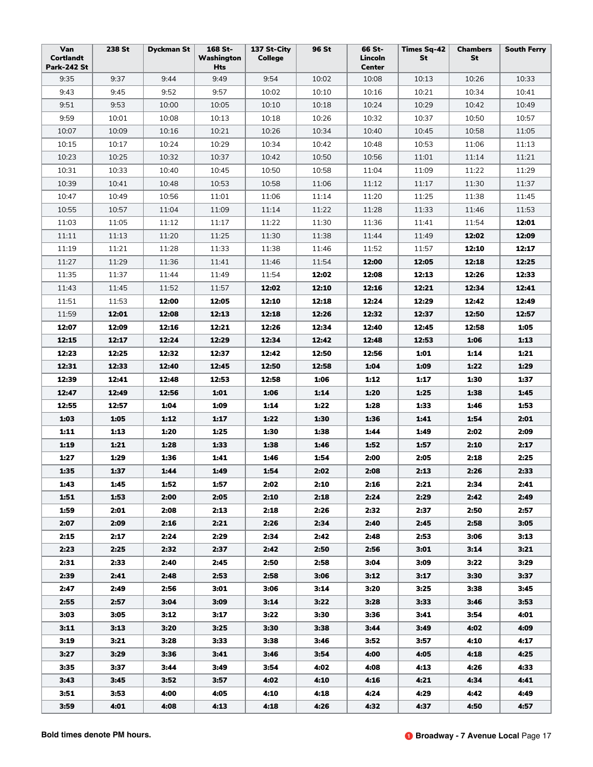| Van<br><b>Cortlandt</b><br><b>Park-242 St</b> | 238 St | <b>Dyckman St</b> | 168 St-<br>Washington<br><b>Hts</b> | 137 St-City<br>College | 96 St | 66 St-<br>Lincoln<br><b>Center</b> | <b>Times Sq-42</b><br>St | <b>Chambers</b><br>St | <b>South Ferry</b> |
|-----------------------------------------------|--------|-------------------|-------------------------------------|------------------------|-------|------------------------------------|--------------------------|-----------------------|--------------------|
| 9:35                                          | 9:37   | 9:44              | 9:49                                | 9:54                   | 10:02 | 10:08                              | 10:13                    | 10:26                 | 10:33              |
| 9:43                                          | 9:45   | 9:52              | 9:57                                | 10:02                  | 10:10 | 10:16                              | 10:21                    | 10:34                 | 10:41              |
| 9:51                                          | 9:53   | 10:00             | 10:05                               | 10:10                  | 10:18 | 10:24                              | 10:29                    | 10:42                 | 10:49              |
| 9:59                                          | 10:01  | 10:08             | 10:13                               | 10:18                  | 10:26 | 10:32                              | 10:37                    | 10:50                 | 10:57              |
| 10:07                                         | 10:09  | 10:16             | 10:21                               | 10:26                  | 10:34 | 10:40                              | 10:45                    | 10:58                 | 11:05              |
| 10:15                                         | 10:17  | 10:24             | 10:29                               | 10:34                  | 10:42 | 10:48                              | 10:53                    | 11:06                 | 11:13              |
| 10:23                                         | 10:25  | 10:32             | 10:37                               | 10:42                  | 10:50 | 10:56                              | 11:01                    | 11:14                 | 11:21              |
| 10:31                                         | 10:33  | 10:40             | 10:45                               | 10:50                  | 10:58 | 11:04                              | 11:09                    | 11:22                 | 11:29              |
| 10:39                                         | 10:41  | 10:48             | 10:53                               | 10:58                  | 11:06 | 11:12                              | 11:17                    | 11:30                 | 11:37              |
| 10:47                                         | 10:49  | 10:56             | 11:01                               | 11:06                  | 11:14 | 11:20                              | 11:25                    | 11:38                 | 11:45              |
| 10:55                                         | 10:57  | 11:04             | 11:09                               | 11:14                  | 11:22 | 11:28                              | 11:33                    | 11:46                 | 11:53              |
| 11:03                                         | 11:05  | 11:12             | 11:17                               | 11:22                  | 11:30 | 11:36                              | 11:41                    | 11:54                 | 12:01              |
| 11:11                                         | 11:13  | 11:20             | 11:25                               | 11:30                  | 11:38 | 11:44                              | 11:49                    | 12:02                 | 12:09              |
| 11:19                                         | 11:21  | 11:28             | 11:33                               | 11:38                  | 11:46 | 11:52                              | 11:57                    | 12:10                 | 12:17              |
| 11:27                                         | 11:29  | 11:36             | 11:41                               | 11:46                  | 11:54 | 12:00                              | 12:05                    | 12:18                 | 12:25              |
| 11:35                                         | 11:37  | 11:44             | 11:49                               | 11:54                  | 12:02 | 12:08                              | 12:13                    | 12:26                 | 12:33              |
| 11:43                                         | 11:45  | 11:52             | 11:57                               | 12:02                  | 12:10 | 12:16                              | 12:21                    | 12:34                 | 12:41              |
| 11:51                                         | 11:53  | 12:00             | 12:05                               | 12:10                  | 12:18 | 12:24                              | 12:29                    | 12:42                 | 12:49              |
| 11:59                                         | 12:01  | 12:08             | 12:13                               | 12:18                  | 12:26 | 12:32                              | 12:37                    | 12:50                 | 12:57              |
| 12:07                                         | 12:09  | 12:16             | 12:21                               | 12:26                  | 12:34 | 12:40                              | 12:45                    | 12:58                 | 1:05               |
| 12:15                                         | 12:17  | 12:24             | 12:29                               | 12:34                  | 12:42 | 12:48                              | 12:53                    | 1:06                  | 1:13               |
| 12:23                                         | 12:25  | 12:32             | 12:37                               | 12:42                  | 12:50 | 12:56                              | 1:01                     | 1:14                  | 1:21               |
| 12:31                                         | 12:33  | 12:40             | 12:45                               | 12:50                  | 12:58 | 1:04                               | 1:09                     | 1:22                  | 1:29               |
| 12:39                                         | 12:41  | 12:48             | 12:53                               | 12:58                  | 1:06  | 1:12                               | 1:17                     | 1:30                  | 1:37               |
| 12:47                                         | 12:49  | 12:56             | 1:01                                | 1:06                   | 1:14  | 1:20                               | 1:25                     | 1:38                  | 1:45               |
| 12:55                                         | 12:57  | 1:04              | 1:09                                | 1:14                   | 1:22  | 1:28                               | 1:33                     | 1:46                  | 1:53               |
| 1:03                                          | 1:05   | 1:12              | 1:17                                | 1:22                   | 1:30  | 1:36                               | 1:41                     | 1:54                  | 2:01               |
| 1:11                                          | 1:13   | 1:20              | 1:25                                | 1:30                   | 1:38  | 1:44                               | 1:49                     | 2:02                  | 2:09               |
| 1:19                                          | 1:21   | 1:28              | 1:33                                | 1:38                   | 1:46  | 1:52                               | 1:57                     | 2:10                  | 2:17               |
| 1:27                                          | 1:29   | 1:36              | 1:41                                | 1:46                   | 1:54  | 2:00                               | 2:05                     | 2:18                  | 2:25               |
| 1:35                                          | 1:37   | 1:44              | 1:49                                | 1:54                   | 2:02  | 2:08                               | 2:13                     | 2:26                  | 2:33               |
| 1:43                                          | 1:45   | 1:52              | 1:57                                | 2:02                   | 2:10  | 2:16                               | 2:21                     | 2:34                  | 2:41               |
| 1:51                                          | 1:53   | 2:00              | 2:05                                | 2:10                   | 2:18  | 2:24                               | 2:29                     | 2:42                  | 2:49               |
| 1:59                                          | 2:01   | 2:08              | 2:13                                | 2:18                   | 2:26  | 2:32                               | 2:37                     | 2:50                  | 2:57               |
| 2:07                                          | 2:09   | 2:16              | 2:21                                | 2:26                   | 2:34  | 2:40                               | 2:45                     | 2:58                  | 3:05               |
| 2:15                                          | 2:17   | 2:24              | 2:29                                | 2:34                   | 2:42  | 2:48                               | 2:53                     | 3:06                  | 3:13               |
| 2:23                                          | 2:25   | 2:32              | 2:37                                | 2:42                   | 2:50  | 2:56                               | 3:01                     | 3:14                  | 3:21               |
| 2:31                                          | 2:33   | 2:40              | 2:45                                | 2:50                   | 2:58  | 3:04                               | 3:09                     | 3:22                  | 3:29               |
| 2:39                                          | 2:41   | 2:48              | 2:53                                | 2:58                   | 3:06  | 3:12                               | 3:17                     | 3:30                  | 3:37               |
| 2:47                                          | 2:49   | 2:56              | 3:01                                | 3:06                   | 3:14  | 3:20                               | 3:25                     | 3:38                  | 3:45               |
| 2:55                                          | 2:57   | 3:04              | 3:09                                | 3:14                   | 3:22  | 3:28                               | 3:33                     | 3:46                  | 3:53               |
| 3:03                                          | 3:05   | 3:12              | 3:17                                | 3:22                   | 3:30  | 3:36                               | 3:41                     | 3:54                  | 4:01               |
| 3:11                                          | 3:13   | 3:20              | 3:25                                | 3:30                   | 3:38  | 3:44                               | 3:49                     | 4:02                  | 4:09               |
| 3:19                                          | 3:21   | 3:28              | 3:33                                | 3:38                   | 3:46  | 3:52                               | 3:57                     | 4:10                  | 4:17               |
| 3:27                                          | 3:29   | 3:36              | 3:41                                | 3:46                   | 3:54  | 4:00                               | 4:05                     | 4:18                  | 4:25               |
| 3:35                                          | 3:37   | 3:44              | 3:49                                | 3:54                   | 4:02  | 4:08                               | 4:13                     | 4:26                  | 4:33               |
| 3:43                                          | 3:45   | 3:52              | 3:57                                | 4:02                   | 4:10  | 4:16                               | 4:21                     | 4:34                  | 4:41               |
| 3:51                                          | 3:53   | 4:00              | 4:05                                | 4:10                   | 4:18  | 4:24                               | 4:29                     | 4:42                  | 4:49               |
| 3:59                                          | 4:01   | 4:08              | 4:13                                | 4:18                   | 4:26  | 4:32                               | 4:37                     | 4:50                  | 4:57               |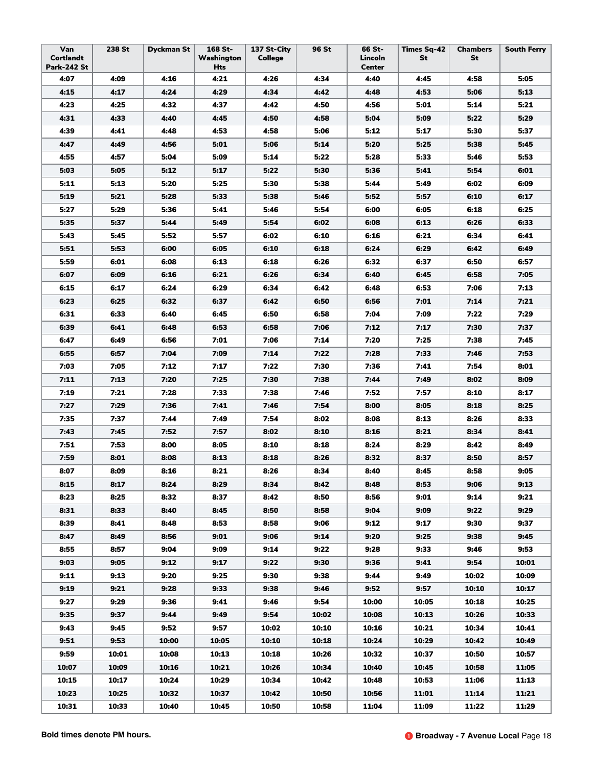| Van<br>Cortlandt<br><b>Park-242 St</b> | 238 St | <b>Dyckman St</b> | 168 St-<br>Washington<br>Hts | 137 St-City<br>College | 96 St | 66 St-<br>Lincoln<br><b>Center</b> | <b>Times Sq-42</b><br>St | <b>Chambers</b><br>St | <b>South Ferry</b> |
|----------------------------------------|--------|-------------------|------------------------------|------------------------|-------|------------------------------------|--------------------------|-----------------------|--------------------|
| 4:07                                   | 4:09   | 4:16              | 4:21                         | 4:26                   | 4:34  | 4:40                               | 4:45                     | 4:58                  | 5:05               |
| 4:15                                   | 4:17   | 4:24              | 4:29                         | 4:34                   | 4:42  | 4:48                               | 4:53                     | 5:06                  | 5:13               |
| 4:23                                   | 4:25   | 4:32              | 4:37                         | 4:42                   | 4:50  | 4:56                               | 5:01                     | 5:14                  | 5:21               |
| 4:31                                   | 4:33   | 4:40              | 4:45                         | 4:50                   | 4:58  | 5:04                               | 5:09                     | 5:22                  | 5:29               |
| 4:39                                   | 4:41   | 4:48              | 4:53                         | 4:58                   | 5:06  | 5:12                               | 5:17                     | 5:30                  | 5:37               |
| 4:47                                   | 4:49   | 4:56              | 5:01                         | 5:06                   | 5:14  | 5:20                               | 5:25                     | 5:38                  | 5:45               |
| 4:55                                   | 4:57   | 5:04              | 5:09                         | 5:14                   | 5:22  | 5:28                               | 5:33                     | 5:46                  | 5:53               |
| 5:03                                   | 5:05   | 5:12              | 5:17                         | 5:22                   | 5:30  | 5:36                               | 5:41                     | 5:54                  | 6:01               |
| 5:11                                   | 5:13   | 5:20              | 5:25                         | 5:30                   | 5:38  | 5:44                               | 5:49                     | 6:02                  | 6:09               |
| 5:19                                   | 5:21   | 5:28              | 5:33                         | 5:38                   | 5:46  | 5:52                               | 5:57                     | 6:10                  | 6:17               |
| 5:27                                   | 5:29   | 5:36              | 5:41                         | 5:46                   | 5:54  | 6:00                               | 6:05                     | 6:18                  | 6:25               |
| 5:35                                   | 5:37   | 5:44              | 5:49                         | 5:54                   | 6:02  | 6:08                               | 6:13                     | 6:26                  | 6:33               |
| 5:43                                   | 5:45   | 5:52              | 5:57                         | 6:02                   | 6:10  | 6:16                               | 6:21                     | 6:34                  | 6:41               |
| 5:51                                   | 5:53   | 6:00              | 6:05                         | 6:10                   | 6:18  | 6:24                               | 6:29                     | 6:42                  | 6:49               |
| 5:59                                   | 6:01   | 6:08              | 6:13                         | 6:18                   | 6:26  | 6:32                               | 6:37                     | 6:50                  | 6:57               |
| 6:07                                   | 6:09   | 6:16              | 6:21                         | 6:26                   | 6:34  | 6:40                               | 6:45                     | 6:58                  | 7:05               |
| 6:15                                   | 6:17   | 6:24              | 6:29                         | 6:34                   | 6:42  | 6:48                               | 6:53                     | 7:06                  | 7:13               |
| 6:23                                   | 6:25   | 6:32              | 6:37                         | 6:42                   | 6:50  | 6:56                               | 7:01                     | 7:14                  | 7:21               |
| 6:31                                   | 6:33   | 6:40              | 6:45                         | 6:50                   | 6:58  | 7:04                               | 7:09                     | 7:22                  | 7:29               |
| 6:39                                   | 6:41   | 6:48              | 6:53                         | 6:58                   | 7:06  | 7:12                               | 7:17                     | 7:30                  | 7:37               |
| 6:47                                   | 6:49   | 6:56              | 7:01                         | 7:06                   | 7:14  | 7:20                               | 7:25                     | 7:38                  | 7:45               |
| 6:55                                   | 6:57   | 7:04              | 7:09                         | 7:14                   | 7:22  | 7:28                               | 7:33                     | 7:46                  | 7:53               |
| 7:03                                   | 7:05   | 7:12              | 7:17                         | 7:22                   | 7:30  | 7:36                               | 7:41                     | 7:54                  | 8:01               |
| 7:11                                   | 7:13   | 7:20              | 7:25                         | 7:30                   | 7:38  | 7:44                               | 7:49                     | 8:02                  | 8:09               |
| 7:19                                   | 7:21   | 7:28              | 7:33                         | 7:38                   | 7:46  | 7:52                               | 7:57                     | 8:10                  | 8:17               |
| 7:27                                   | 7:29   | 7:36              | 7:41                         | 7:46                   | 7:54  | 8:00                               | 8:05                     | 8:18                  | 8:25               |
| 7:35                                   | 7:37   | 7:44              | 7:49                         | 7:54                   | 8:02  | 8:08                               | 8:13                     | 8:26                  | 8:33               |
| 7:43                                   | 7:45   | 7:52              | 7:57                         | 8:02                   | 8:10  | 8:16                               | 8:21                     | 8:34                  | 8:41               |
| 7:51                                   | 7:53   | 8:00              | 8:05                         | 8:10                   | 8:18  | 8:24                               | 8:29                     | 8:42                  | 8:49               |
| 7:59                                   | 8:01   | 8:08              | 8:13                         | 8:18                   | 8:26  | 8:32                               | 8:37                     | 8:50                  | 8:57               |
| 8:07                                   | 8:09   | 8:16              | 8:21                         | 8:26                   | 8:34  | 8:40                               | 8:45                     | 8:58                  | 9:05               |
| 8:15                                   | 8:17   | 8:24              | 8:29                         | 8:34                   | 8:42  | 8:48                               | 8:53                     | 9:06                  | 9:13               |
| 8:23                                   | 8:25   | 8:32              | 8:37                         | 8:42                   | 8:50  | 8:56                               | 9:01                     | 9:14                  | 9:21               |
| 8:31                                   | 8:33   | 8:40              | 8:45                         | 8:50                   | 8:58  | 9:04                               | 9:09                     | 9:22                  | 9:29               |
| 8:39                                   | 8:41   | 8:48              | 8:53                         | 8:58                   | 9:06  | 9:12                               | 9:17                     | 9:30                  | 9:37               |
| 8:47                                   | 8:49   | 8:56              | 9:01                         | 9:06                   | 9:14  | 9:20                               | 9:25                     | 9:38                  | 9:45               |
| 8:55                                   | 8:57   | 9:04              | 9:09                         | 9:14                   | 9:22  | 9:28                               | 9:33                     | 9:46                  | 9:53               |
| 9:03                                   | 9:05   | 9:12              | 9:17                         | 9:22                   | 9:30  | 9:36                               | 9:41                     | 9:54                  | 10:01              |
| 9:11                                   | 9:13   | 9:20              | 9:25                         | 9:30                   | 9:38  | 9:44                               | 9:49                     | 10:02                 | 10:09              |
| 9:19                                   | 9:21   | 9:28              | 9:33                         | 9:38                   | 9:46  | 9:52                               | 9:57                     | 10:10                 | 10:17              |
| 9:27                                   | 9:29   | 9:36              | 9:41                         | 9:46                   | 9:54  | 10:00                              | 10:05                    | 10:18                 | 10:25              |
| 9:35                                   | 9:37   | 9:44              | 9:49                         | 9:54                   | 10:02 | 10:08                              | 10:13                    | 10:26                 | 10:33              |
| 9:43                                   | 9:45   | 9:52              | 9:57                         | 10:02                  | 10:10 | 10:16                              | 10:21                    | 10:34                 | 10:41              |
| 9:51                                   | 9:53   | 10:00             | 10:05                        | 10:10                  | 10:18 | 10:24                              | 10:29                    | 10:42                 | 10:49              |
| 9:59                                   | 10:01  | 10:08             | 10:13                        | 10:18                  | 10:26 | 10:32                              | 10:37                    | 10:50                 | 10:57              |
| 10:07                                  | 10:09  | 10:16             | 10:21                        | 10:26                  | 10:34 | 10:40                              | 10:45                    | 10:58                 | 11:05              |
| 10:15                                  | 10:17  | 10:24             | 10:29                        | 10:34                  | 10:42 | 10:48                              | 10:53                    | 11:06                 | 11:13              |
| 10:23                                  | 10:25  | 10:32             | 10:37                        | 10:42                  | 10:50 | 10:56                              | 11:01                    | 11:14                 | 11:21              |
| 10:31                                  | 10:33  | 10:40             | 10:45                        | 10:50                  | 10:58 | 11:04                              | 11:09                    | 11:22                 | 11:29              |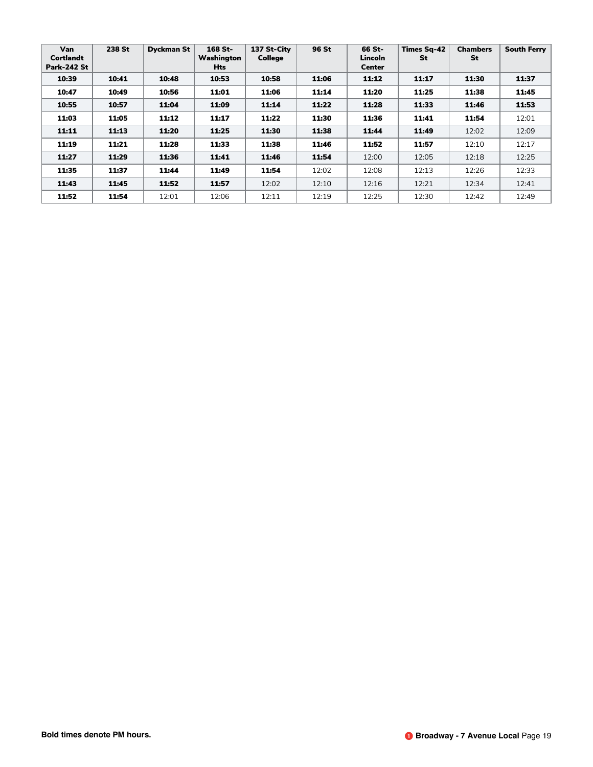| Van<br>Cortlandt<br><b>Park-242 St</b> | 238 St | <b>Dyckman St</b> | 168 St-<br>Washington<br><b>Hts</b> | 137 St-City<br><b>College</b> | 96 St | 66 St-<br>Lincoln<br><b>Center</b> | <b>Times Sq-42</b><br>St | <b>Chambers</b><br>St | <b>South Ferry</b> |
|----------------------------------------|--------|-------------------|-------------------------------------|-------------------------------|-------|------------------------------------|--------------------------|-----------------------|--------------------|
| 10:39                                  | 10:41  | 10:48             | 10:53                               | 10:58                         | 11:06 | 11:12                              | 11:17                    | 11:30                 | 11:37              |
| 10:47                                  | 10:49  | 10:56             | 11:01                               | 11:06                         | 11:14 | 11:20                              | 11:25                    | 11:38                 | 11:45              |
| 10:55                                  | 10:57  | 11:04             | 11:09                               | 11:14                         | 11:22 | 11:28                              | 11:33                    | 11:46                 | 11:53              |
| 11:03                                  | 11:05  | 11:12             | 11:17                               | 11:22                         | 11:30 | 11:36                              | 11:41                    | 11:54                 | 12:01              |
| 11:11                                  | 11:13  | 11:20             | 11:25                               | 11:30                         | 11:38 | 11:44                              | 11:49                    | 12:02                 | 12:09              |
| 11:19                                  | 11:21  | 11:28             | 11:33                               | 11:38                         | 11:46 | 11:52                              | 11:57                    | 12:10                 | 12:17              |
| 11:27                                  | 11:29  | 11:36             | 11:41                               | 11:46                         | 11:54 | 12:00                              | 12:05                    | 12:18                 | 12:25              |
| 11:35                                  | 11:37  | 11:44             | 11:49                               | 11:54                         | 12:02 | 12:08                              | 12:13                    | 12:26                 | 12:33              |
| 11:43                                  | 11:45  | 11:52             | 11:57                               | 12:02                         | 12:10 | 12:16                              | 12:21                    | 12:34                 | 12:41              |
| 11:52                                  | 11:54  | 12:01             | 12:06                               | 12:11                         | 12:19 | 12:25                              | 12:30                    | 12:42                 | 12:49              |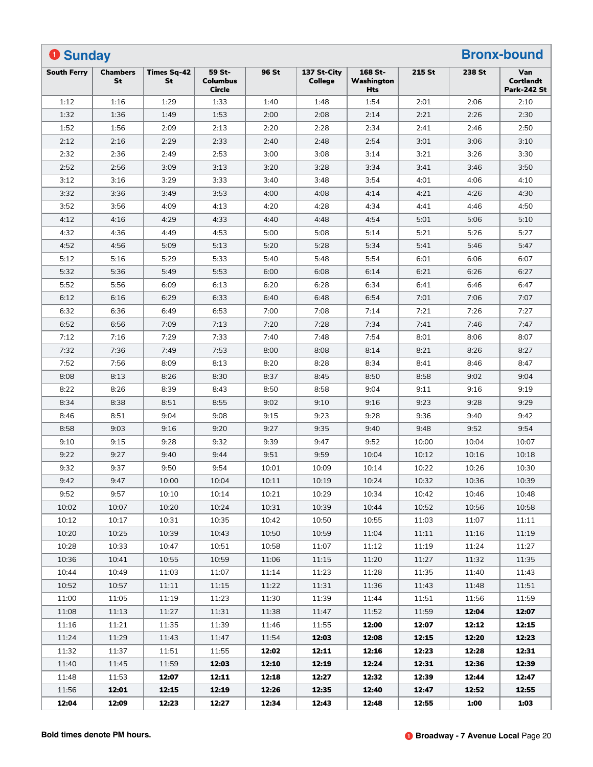| <b>O</b> Sunday    |                              |                          |                                            |       |                               |                              |        |        | <b>Bronx-bound</b>                            |
|--------------------|------------------------------|--------------------------|--------------------------------------------|-------|-------------------------------|------------------------------|--------|--------|-----------------------------------------------|
| <b>South Ferry</b> | <b>Chambers</b><br><b>St</b> | <b>Times Sq-42</b><br>St | 59 St-<br><b>Columbus</b><br><b>Circle</b> | 96 St | 137 St-City<br><b>College</b> | 168 St-<br>Washington<br>Hts | 215 St | 238 St | Van<br><b>Cortlandt</b><br><b>Park-242 St</b> |
| 1:12               | 1:16                         | 1:29                     | 1:33                                       | 1:40  | 1:48                          | 1:54                         | 2:01   | 2:06   | 2:10                                          |
| 1:32               | 1:36                         | 1:49                     | 1:53                                       | 2:00  | 2:08                          | 2:14                         | 2:21   | 2:26   | 2:30                                          |
| 1:52               | 1:56                         | 2:09                     | 2:13                                       | 2:20  | 2:28                          | 2:34                         | 2:41   | 2:46   | 2:50                                          |
| 2:12               | 2:16                         | 2:29                     | 2:33                                       | 2:40  | 2:48                          | 2:54                         | 3:01   | 3:06   | 3:10                                          |
| 2:32               | 2:36                         | 2:49                     | 2:53                                       | 3:00  | 3:08                          | 3:14                         | 3:21   | 3:26   | 3:30                                          |
| 2:52               | 2:56                         | 3:09                     | 3:13                                       | 3:20  | 3:28                          | 3:34                         | 3:41   | 3:46   | 3:50                                          |
| 3:12               | 3:16                         | 3:29                     | 3:33                                       | 3:40  | 3:48                          | 3:54                         | 4:01   | 4:06   | 4:10                                          |
| 3:32               | 3:36                         | 3:49                     | 3:53                                       | 4:00  | 4:08                          | 4:14                         | 4:21   | 4:26   | 4:30                                          |
| 3:52               | 3:56                         | 4:09                     | 4:13                                       | 4:20  | 4:28                          | 4:34                         | 4:41   | 4:46   | 4:50                                          |
| 4:12               | 4:16                         | 4:29                     | 4:33                                       | 4:40  | 4:48                          | 4:54                         | 5:01   | 5:06   | 5:10                                          |
| 4:32               | 4:36                         | 4:49                     | 4:53                                       | 5:00  | 5:08                          | 5:14                         | 5:21   | 5:26   | 5:27                                          |
| 4:52               | 4:56                         | 5:09                     | 5:13                                       | 5:20  | 5:28                          | 5:34                         | 5:41   | 5:46   | 5:47                                          |
| 5:12               | 5:16                         | 5:29                     | 5:33                                       | 5:40  | 5:48                          | 5:54                         | 6:01   | 6:06   | 6:07                                          |
| 5:32               | 5:36                         | 5:49                     | 5:53                                       | 6:00  | 6:08                          | 6:14                         | 6:21   | 6:26   | 6:27                                          |
| 5:52               | 5:56                         | 6:09                     | 6:13                                       | 6:20  | 6:28                          | 6:34                         | 6:41   | 6:46   | 6:47                                          |
| 6:12               | 6:16                         | 6:29                     | 6:33                                       | 6:40  | 6:48                          | 6:54                         | 7:01   | 7:06   | 7:07                                          |
| 6:32               | 6:36                         | 6:49                     | 6:53                                       | 7:00  | 7:08                          | 7:14                         | 7:21   | 7:26   | 7:27                                          |
| 6:52               | 6:56                         | 7:09                     | 7:13                                       | 7:20  | 7:28                          | 7:34                         | 7:41   | 7:46   | 7:47                                          |
| 7:12               | 7:16                         | 7:29                     | 7:33                                       | 7:40  | 7:48                          | 7:54                         | 8:01   | 8:06   | 8:07                                          |
| 7:32               | 7:36                         | 7:49                     | 7:53                                       | 8:00  | 8:08                          | 8:14                         | 8:21   | 8:26   | 8:27                                          |
| 7:52               | 7:56                         | 8:09                     | 8:13                                       | 8:20  | 8:28                          | 8:34                         | 8:41   | 8:46   | 8:47                                          |
| 8:08               | 8:13                         | 8:26                     | 8:30                                       | 8:37  | 8:45                          | 8:50                         | 8:58   | 9:02   | 9:04                                          |
| 8:22               | 8:26                         | 8:39                     | 8:43                                       | 8:50  | 8:58                          | 9:04                         | 9:11   | 9:16   | 9:19                                          |
| 8:34               | 8:38                         | 8:51                     | 8:55                                       | 9:02  | 9:10                          | 9:16                         | 9:23   | 9:28   | 9:29                                          |
| 8:46               | 8:51                         | 9:04                     | 9:08                                       | 9:15  | 9:23                          | 9:28                         | 9:36   | 9:40   | 9:42                                          |
| 8:58               | 9:03                         | 9:16                     | 9:20                                       | 9:27  | 9:35                          | 9:40                         | 9:48   | 9:52   | 9:54                                          |
| 9:10               | 9:15                         | 9:28                     | 9:32                                       | 9:39  | 9:47                          | 9:52                         | 10:00  | 10:04  | 10:07                                         |
| 9:22               | 9:27                         | 9:40                     | 9:44                                       | 9:51  | 9:59                          | 10:04                        | 10:12  | 10:16  | 10:18                                         |
| 9:32               | 9:37                         | 9:50                     | 9:54                                       | 10:01 | 10:09                         | 10:14                        | 10:22  | 10:26  | 10:30                                         |
| 9:42               | 9:47                         | 10:00                    | 10:04                                      | 10:11 | 10:19                         | 10:24                        | 10:32  | 10:36  | 10:39                                         |
| 9:52               | 9:57                         | 10:10                    | 10:14                                      | 10:21 | 10:29                         | 10:34                        | 10:42  | 10:46  | 10:48                                         |
| 10:02              | 10:07                        | 10:20                    | 10:24                                      | 10:31 | 10:39                         | 10:44                        | 10:52  | 10:56  | 10:58                                         |
| 10:12              | 10:17                        | 10:31                    | 10:35                                      | 10:42 | 10:50                         | 10:55                        | 11:03  | 11:07  | 11:11                                         |
| 10:20              | 10:25                        | 10:39                    | 10:43                                      | 10:50 | 10:59                         | 11:04                        | 11:11  | 11:16  | 11:19                                         |
| 10:28              | 10:33                        | 10:47                    | 10:51                                      | 10:58 | 11:07                         | 11:12                        | 11:19  | 11:24  | 11:27                                         |
| 10:36              | 10:41                        | 10:55                    | 10:59                                      | 11:06 | 11:15                         | 11:20                        | 11:27  | 11:32  | 11:35                                         |
| 10:44              | 10:49                        | 11:03                    | 11:07                                      | 11:14 | 11:23                         | 11:28                        | 11:35  | 11:40  | 11:43                                         |
| 10:52              | 10:57                        | 11:11                    | 11:15                                      | 11:22 | 11:31                         | 11:36                        | 11:43  | 11:48  | 11:51                                         |
| 11:00              | 11:05                        | 11:19                    | 11:23                                      | 11:30 | 11:39                         | 11:44                        | 11:51  | 11:56  | 11:59                                         |
| 11:08              | 11:13                        | 11:27                    | 11:31                                      | 11:38 | 11:47                         | 11:52                        | 11:59  | 12:04  | 12:07                                         |
| 11:16              | 11:21                        | 11:35                    | 11:39                                      | 11:46 | 11:55                         | 12:00                        | 12:07  | 12:12  | 12:15                                         |
| 11:24              | 11:29                        | 11:43                    | 11:47                                      | 11:54 | 12:03                         | 12:08                        | 12:15  | 12:20  | 12:23                                         |
| 11:32              | 11:37                        | 11:51                    | 11:55                                      | 12:02 | 12:11                         | 12:16                        | 12:23  | 12:28  | 12:31                                         |
| 11:40              | 11:45                        | 11:59                    | 12:03                                      | 12:10 | 12:19                         | 12:24                        | 12:31  | 12:36  | 12:39                                         |
| 11:48              | 11:53                        | 12:07                    | 12:11                                      | 12:18 | 12:27                         | 12:32                        | 12:39  | 12:44  | 12:47                                         |
| 11:56              | 12:01                        | 12:15                    | 12:19                                      | 12:26 | 12:35                         | 12:40                        | 12:47  | 12:52  | 12:55                                         |
| 12:04              | 12:09                        | 12:23                    | 12:27                                      | 12:34 | 12:43                         | 12:48                        | 12:55  | 1:00   | 1:03                                          |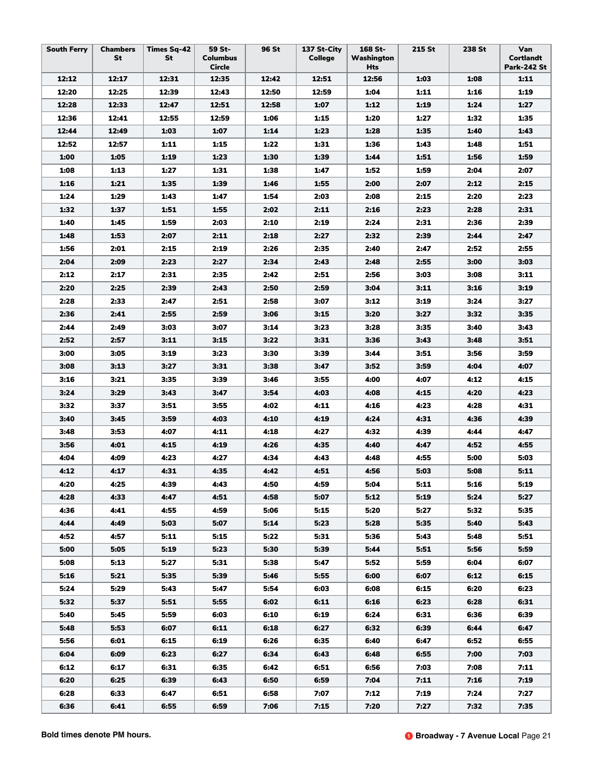| <b>South Ferry</b> | <b>Chambers</b><br>St | <b>Times Sq-42</b><br>St | 59 St-<br><b>Columbus</b><br><b>Circle</b> | 96 St | 137 St-City<br><b>College</b> | 168 St-<br>Washington<br>Hts | 215 St | 238 St | Van<br>Cortlandt<br><b>Park-242 St</b> |
|--------------------|-----------------------|--------------------------|--------------------------------------------|-------|-------------------------------|------------------------------|--------|--------|----------------------------------------|
| 12:12              | 12:17                 | 12:31                    | 12:35                                      | 12:42 | 12:51                         | 12:56                        | 1:03   | 1:08   | 1:11                                   |
| 12:20              | 12:25                 | 12:39                    | 12:43                                      | 12:50 | 12:59                         | 1:04                         | 1:11   | 1:16   | 1:19                                   |
| 12:28              | 12:33                 | 12:47                    | 12:51                                      | 12:58 | 1:07                          | 1:12                         | 1:19   | 1:24   | 1:27                                   |
| 12:36              | 12:41                 | 12:55                    | 12:59                                      | 1:06  | 1:15                          | 1:20                         | 1:27   | 1:32   | 1:35                                   |
| 12:44              | 12:49                 | 1:03                     | 1:07                                       | 1:14  | 1:23                          | 1:28                         | 1:35   | 1:40   | 1:43                                   |
| 12:52              | 12:57                 | 1:11                     | 1:15                                       | 1:22  | 1:31                          | 1:36                         | 1:43   | 1:48   | 1:51                                   |
| 1:00               | 1:05                  | 1:19                     | 1:23                                       | 1:30  | 1:39                          | 1:44                         | 1:51   | 1:56   | 1:59                                   |
| 1:08               | 1:13                  | 1:27                     | 1:31                                       | 1:38  | 1:47                          | 1:52                         | 1:59   | 2:04   | 2:07                                   |
| 1:16               | 1:21                  | 1:35                     | 1:39                                       | 1:46  | 1:55                          | 2:00                         | 2:07   | 2:12   | 2:15                                   |
| 1:24               | 1:29                  | 1:43                     | 1:47                                       | 1:54  | 2:03                          | 2:08                         | 2:15   | 2:20   | 2:23                                   |
| 1:32               | 1:37                  | 1:51                     | 1:55                                       | 2:02  | 2:11                          | 2:16                         | 2:23   | 2:28   | 2:31                                   |
| 1:40               | 1:45                  | 1:59                     | 2:03                                       | 2:10  | 2:19                          | 2:24                         | 2:31   | 2:36   | 2:39                                   |
| 1:48               | 1:53                  | 2:07                     | 2:11                                       | 2:18  | 2:27                          | 2:32                         | 2:39   | 2:44   | 2:47                                   |
| 1:56               | 2:01                  | 2:15                     | 2:19                                       | 2:26  | 2:35                          | 2:40                         | 2:47   | 2:52   | 2:55                                   |
| 2:04               | 2:09                  | 2:23                     | 2:27                                       | 2:34  | 2:43                          | 2:48                         | 2:55   | 3:00   | 3:03                                   |
| 2:12               | 2:17                  | 2:31                     | 2:35                                       | 2:42  | 2:51                          | 2:56                         | 3:03   | 3:08   | 3:11                                   |
| 2:20               | 2:25                  | 2:39                     | 2:43                                       | 2:50  | 2:59                          | 3:04                         | 3:11   | 3:16   | 3:19                                   |
| 2:28               | 2:33                  | 2:47                     | 2:51                                       | 2:58  | 3:07                          | 3:12                         | 3:19   | 3:24   | 3:27                                   |
| 2:36               | 2:41                  | 2:55                     | 2:59                                       | 3:06  | 3:15                          | 3:20                         | 3:27   | 3:32   | 3:35                                   |
| 2:44               | 2:49                  | 3:03                     | 3:07                                       | 3:14  | 3:23                          | 3:28                         | 3:35   | 3:40   | 3:43                                   |
| 2:52               | 2:57                  | 3:11                     | 3:15                                       | 3:22  | 3:31                          | 3:36                         | 3:43   | 3:48   | 3:51                                   |
| 3:00               | 3:05                  | 3:19                     | 3:23                                       | 3:30  | 3:39                          | 3:44                         | 3:51   | 3:56   | 3:59                                   |
| 3:08               | 3:13                  | 3:27                     | 3:31                                       | 3:38  | 3:47                          | 3:52                         | 3:59   | 4:04   | 4:07                                   |
| 3:16               | 3:21                  | 3:35                     | 3:39                                       | 3:46  | 3:55                          | 4:00                         | 4:07   | 4:12   | 4:15                                   |
| 3:24               | 3:29                  | 3:43                     | 3:47                                       | 3:54  | 4:03                          | 4:08                         | 4:15   | 4:20   | 4:23                                   |
| 3:32               | 3:37                  | 3:51                     | 3:55                                       | 4:02  | 4:11                          | 4:16                         | 4:23   | 4:28   | 4:31                                   |
| 3:40               | 3:45                  | 3:59                     | 4:03                                       | 4:10  | 4:19                          | 4:24                         | 4:31   | 4:36   | 4:39                                   |
| 3:48               | 3:53                  | 4:07                     | 4:11                                       | 4:18  | 4:27                          | 4:32                         | 4:39   | 4:44   | 4:47                                   |
| 3:56               | 4:01                  | 4:15                     | 4:19                                       | 4:26  | 4:35                          | 4:40                         | 4:47   | 4:52   | 4:55                                   |
| 4:04               | 4:09                  | 4:23                     | 4:27                                       | 4:34  | 4:43                          | 4:48                         | 4:55   | 5:00   | 5:03                                   |
| 4:12               | 4:17                  | 4:31                     | 4:35                                       | 4:42  | 4:51                          | 4:56                         | 5:03   | 5:08   | 5:11                                   |
| 4:20               | 4:25                  | 4:39                     | 4:43                                       | 4:50  | 4:59                          | 5:04                         | 5:11   | 5:16   | 5:19                                   |
| 4:28               | 4:33                  | 4:47                     | 4:51                                       | 4:58  | 5:07                          | 5:12                         | 5:19   | 5:24   | 5:27                                   |
| 4:36               | 4:41                  | 4:55                     | 4:59                                       | 5:06  | 5:15                          | 5:20                         | 5:27   | 5:32   | 5:35                                   |
| 4:44               | 4:49                  | 5:03                     | 5:07                                       | 5:14  | 5:23                          | 5:28                         | 5:35   | 5:40   | 5:43                                   |
| 4:52               | 4:57                  | 5:11                     | 5:15                                       | 5:22  | 5:31                          | 5:36                         | 5:43   | 5:48   | 5:51                                   |
| 5:00               | 5:05                  | 5:19                     | 5:23                                       | 5:30  | 5:39                          | 5:44                         | 5:51   | 5:56   | 5:59                                   |
| 5:08               | 5:13                  | 5:27                     | 5:31                                       | 5:38  | 5:47                          | 5:52                         | 5:59   | 6:04   | 6:07                                   |
| 5:16               | 5:21                  | 5:35                     | 5:39                                       | 5:46  | 5:55                          | 6:00                         | 6:07   | 6:12   | 6:15                                   |
| 5:24               | 5:29                  | 5:43                     | 5:47                                       | 5:54  | 6:03                          | 6:08                         | 6:15   | 6:20   | 6:23                                   |
| 5:32               | 5:37                  | 5:51                     | 5:55                                       | 6:02  | 6:11                          | 6:16                         | 6:23   | 6:28   | 6:31                                   |
| 5:40               | 5:45                  | 5:59                     | 6:03                                       | 6:10  | 6:19                          | 6:24                         | 6:31   | 6:36   | 6:39                                   |
| 5:48               | 5:53                  | 6:07                     | 6:11                                       | 6:18  | 6:27                          | 6:32                         | 6:39   | 6:44   | 6:47                                   |
| 5:56               | 6:01                  | 6:15                     | 6:19                                       | 6:26  | 6:35                          | 6:40                         | 6:47   | 6:52   | 6:55                                   |
| 6:04               | 6:09                  | 6:23                     | 6:27                                       | 6:34  | 6:43                          | 6:48                         | 6:55   | 7:00   | 7:03                                   |
| 6:12               | 6:17                  | 6:31                     | 6:35                                       | 6:42  | 6:51                          | 6:56                         | 7:03   | 7:08   | 7:11                                   |
| 6:20               | 6:25                  | 6:39                     | 6:43                                       | 6:50  | 6:59                          | 7:04                         | 7:11   | 7:16   | 7:19                                   |
| 6:28               | 6:33                  | 6:47                     | 6:51                                       | 6:58  | 7:07                          | 7:12                         | 7:19   | 7:24   | 7:27                                   |
| 6:36               | 6:41                  | 6:55                     | 6:59                                       | 7:06  | 7:15                          | 7:20                         | 7:27   | 7:32   | 7:35                                   |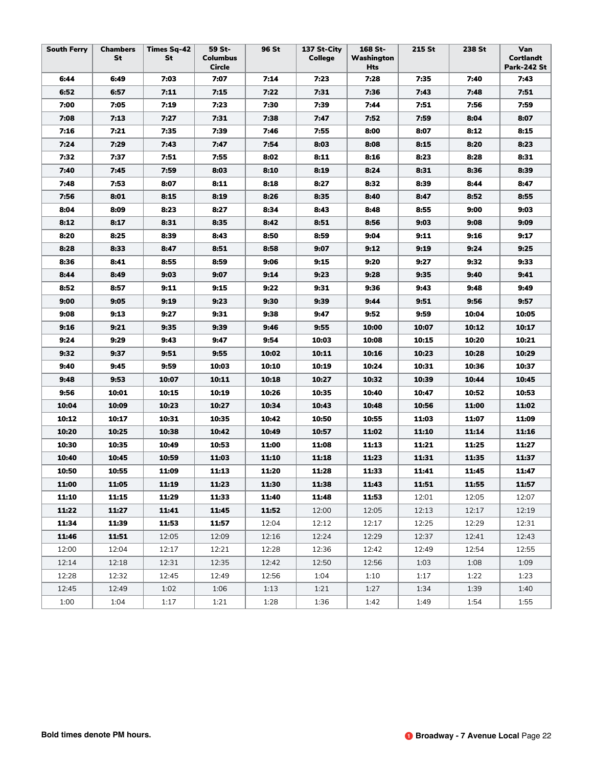| <b>South Ferry</b> | <b>Chambers</b><br>St | <b>Times Sq-42</b><br>St | 59 St-<br><b>Columbus</b><br>Circle | 96 St | 137 St-City<br><b>College</b> | 168 St-<br>Washington<br>Hts | 215 St | 238 St | Van<br><b>Cortlandt</b><br><b>Park-242 St</b> |
|--------------------|-----------------------|--------------------------|-------------------------------------|-------|-------------------------------|------------------------------|--------|--------|-----------------------------------------------|
| 6:44               | 6:49                  | 7:03                     | 7:07                                | 7:14  | 7:23                          | 7:28                         | 7:35   | 7:40   | 7:43                                          |
| 6:52               | 6:57                  | 7:11                     | 7:15                                | 7:22  | 7:31                          | 7:36                         | 7:43   | 7:48   | 7:51                                          |
| 7:00               | 7:05                  | 7:19                     | 7:23                                | 7:30  | 7:39                          | 7:44                         | 7:51   | 7:56   | 7:59                                          |
| 7:08               | 7:13                  | 7:27                     | 7:31                                | 7:38  | 7:47                          | 7:52                         | 7:59   | 8:04   | 8:07                                          |
| 7:16               | 7:21                  | 7:35                     | 7:39                                | 7:46  | 7:55                          | 8:00                         | 8:07   | 8:12   | 8:15                                          |
| 7:24               | 7:29                  | 7:43                     | 7:47                                | 7:54  | 8:03                          | 8:08                         | 8:15   | 8:20   | 8:23                                          |
| 7:32               | 7:37                  | 7:51                     | 7:55                                | 8:02  | 8:11                          | 8:16                         | 8:23   | 8:28   | 8:31                                          |
| 7:40               | 7:45                  | 7:59                     | 8:03                                | 8:10  | 8:19                          | 8:24                         | 8:31   | 8:36   | 8:39                                          |
| 7:48               | 7:53                  | 8:07                     | 8:11                                | 8:18  | 8:27                          | 8:32                         | 8:39   | 8:44   | 8:47                                          |
| 7:56               | 8:01                  | 8:15                     | 8:19                                | 8:26  | 8:35                          | 8:40                         | 8:47   | 8:52   | 8:55                                          |
| 8:04               | 8:09                  | 8:23                     | 8:27                                | 8:34  | 8:43                          | 8:48                         | 8:55   | 9:00   | 9:03                                          |
| 8:12               | 8:17                  | 8:31                     | 8:35                                | 8:42  | 8:51                          | 8:56                         | 9:03   | 9:08   | 9:09                                          |
| 8:20               | 8:25                  | 8:39                     | 8:43                                | 8:50  | 8:59                          | 9:04                         | 9:11   | 9:16   | 9:17                                          |
| 8:28               | 8:33                  | 8:47                     | 8:51                                | 8:58  | 9:07                          | 9:12                         | 9:19   | 9:24   | 9:25                                          |
| 8:36               | 8:41                  | 8:55                     | 8:59                                | 9:06  | 9:15                          | 9:20                         | 9:27   | 9:32   | 9:33                                          |
| 8:44               | 8:49                  | 9:03                     | 9:07                                | 9:14  | 9:23                          | 9:28                         | 9:35   | 9:40   | 9:41                                          |
| 8:52               | 8:57                  | 9:11                     | 9:15                                | 9:22  | 9:31                          | 9:36                         | 9:43   | 9:48   | 9:49                                          |
| 9:00               | 9:05                  | 9:19                     | 9:23                                | 9:30  | 9:39                          | 9:44                         | 9:51   | 9:56   | 9:57                                          |
| 9:08               | 9:13                  | 9:27                     | 9:31                                | 9:38  | 9:47                          | 9:52                         | 9:59   | 10:04  | 10:05                                         |
| 9:16               | 9:21                  | 9:35                     | 9:39                                | 9:46  | 9:55                          | 10:00                        | 10:07  | 10:12  | 10:17                                         |
| 9:24               | 9:29                  | 9:43                     | 9:47                                | 9:54  | 10:03                         | 10:08                        | 10:15  | 10:20  | 10:21                                         |
| 9:32               | 9:37                  | 9:51                     | 9:55                                | 10:02 | 10:11                         | 10:16                        | 10:23  | 10:28  | 10:29                                         |
| 9:40               | 9:45                  | 9:59                     | 10:03                               | 10:10 | 10:19                         | 10:24                        | 10:31  | 10:36  | 10:37                                         |
| 9:48               | 9:53                  | 10:07                    | 10:11                               | 10:18 | 10:27                         | 10:32                        | 10:39  | 10:44  | 10:45                                         |
| 9:56               | 10:01                 | 10:15                    | 10:19                               | 10:26 | 10:35                         | 10:40                        | 10:47  | 10:52  | 10:53                                         |
| 10:04              | 10:09                 | 10:23                    | 10:27                               | 10:34 | 10:43                         | 10:48                        | 10:56  | 11:00  | 11:02                                         |
| 10:12              | 10:17                 | 10:31                    | 10:35                               | 10:42 | 10:50                         | 10:55                        | 11:03  | 11:07  | 11:09                                         |
| 10:20              | 10:25                 | 10:38                    | 10:42                               | 10:49 | 10:57                         | 11:02                        | 11:10  | 11:14  | 11:16                                         |
| 10:30              | 10:35                 | 10:49                    | 10:53                               | 11:00 | 11:08                         | 11:13                        | 11:21  | 11:25  | 11:27                                         |
| 10:40              | 10:45                 | 10:59                    | 11:03                               | 11:10 | 11:18                         | 11:23                        | 11:31  | 11:35  | 11:37                                         |
| 10:50              | 10:55                 | 11:09                    | 11:13                               | 11:20 | 11:28                         | 11:33                        | 11:41  | 11:45  | 11:47                                         |
| 11:00              | 11:05                 | 11:19                    | 11:23                               | 11:30 | 11:38                         | 11:43                        | 11:51  | 11:55  | 11:57                                         |
| 11:10              | 11:15                 | 11:29                    | 11:33                               | 11:40 | 11:48                         | 11:53                        | 12:01  | 12:05  | 12:07                                         |
| 11:22              | 11:27                 | 11:41                    | 11:45                               | 11:52 | 12:00                         | 12:05                        | 12:13  | 12:17  | 12:19                                         |
| 11:34              | 11:39                 | 11:53                    | 11:57                               | 12:04 | 12:12                         | 12:17                        | 12:25  | 12:29  | 12:31                                         |
| 11:46              | 11:51                 | 12:05                    | 12:09                               | 12:16 | 12:24                         | 12:29                        | 12:37  | 12:41  | 12:43                                         |
| 12:00              | 12:04                 | 12:17                    | 12:21                               | 12:28 | 12:36                         | 12:42                        | 12:49  | 12:54  | 12:55                                         |
| 12:14              | 12:18                 | 12:31                    | 12:35                               | 12:42 | 12:50                         | 12:56                        | 1:03   | 1:08   | 1:09                                          |
| 12:28              | 12:32                 | 12:45                    | 12:49                               | 12:56 | 1:04                          | 1:10                         | 1:17   | 1:22   | 1:23                                          |
| 12:45              | 12:49                 | 1:02                     | 1:06                                | 1:13  | 1:21                          | 1:27                         | 1:34   | 1:39   | 1:40                                          |
| 1:00               | 1:04                  | 1:17                     | 1:21                                | 1:28  | 1:36                          | 1:42                         | 1:49   | 1:54   | 1:55                                          |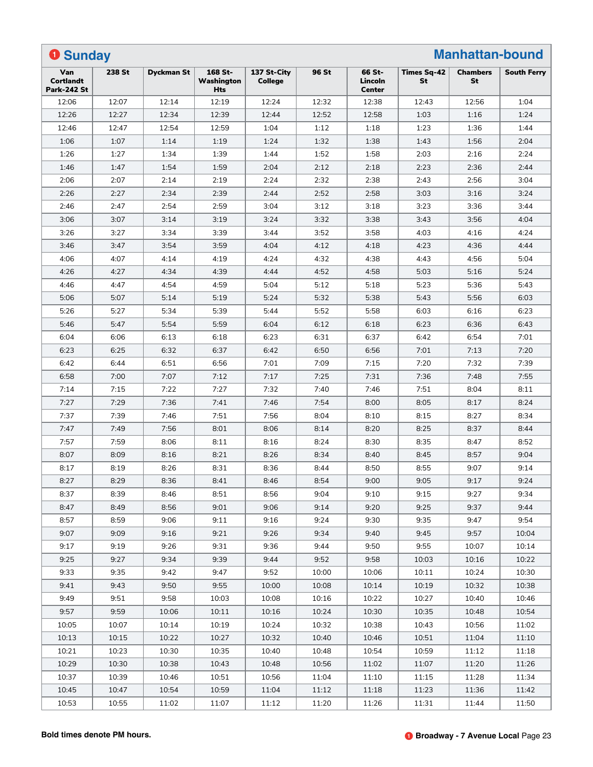| <b>O</b> Sunday                               |        |                   |                                     |                               |       |                                    |                          | <b>Manhattan-bound</b> |                    |
|-----------------------------------------------|--------|-------------------|-------------------------------------|-------------------------------|-------|------------------------------------|--------------------------|------------------------|--------------------|
| Van<br><b>Cortlandt</b><br><b>Park-242 St</b> | 238 St | <b>Dyckman St</b> | 168 St-<br>Washington<br><b>Hts</b> | 137 St-City<br><b>College</b> | 96 St | 66 St-<br>Lincoln<br><b>Center</b> | Times Sq-42<br><b>St</b> | <b>Chambers</b><br>St  | <b>South Ferry</b> |
| 12:06                                         | 12:07  | 12:14             | 12:19                               | 12:24                         | 12:32 | 12:38                              | 12:43                    | 12:56                  | 1:04               |
| 12:26                                         | 12:27  | 12:34             | 12:39                               | 12:44                         | 12:52 | 12:58                              | 1:03                     | 1:16                   | 1:24               |
| 12:46                                         | 12:47  | 12:54             | 12:59                               | 1:04                          | 1:12  | 1:18                               | 1:23                     | 1:36                   | 1:44               |
| 1:06                                          | 1:07   | 1:14              | 1:19                                | 1:24                          | 1:32  | 1:38                               | 1:43                     | 1:56                   | 2:04               |
| 1:26                                          | 1:27   | 1:34              | 1:39                                | 1:44                          | 1:52  | 1:58                               | 2:03                     | 2:16                   | 2:24               |
| 1:46                                          | 1:47   | 1:54              | 1:59                                | 2:04                          | 2:12  | 2:18                               | 2:23                     | 2:36                   | 2:44               |
| 2:06                                          | 2:07   | 2:14              | 2:19                                | 2:24                          | 2:32  | 2:38                               | 2:43                     | 2:56                   | 3:04               |
| 2:26                                          | 2:27   | 2:34              | 2:39                                | 2:44                          | 2:52  | 2:58                               | 3:03                     | 3:16                   | 3:24               |
| 2:46                                          | 2:47   | 2:54              | 2:59                                | 3:04                          | 3:12  | 3:18                               | 3:23                     | 3:36                   | 3:44               |
| 3:06                                          | 3:07   | 3:14              | 3:19                                | 3:24                          | 3:32  | 3:38                               | 3:43                     | 3:56                   | 4:04               |
| 3:26                                          | 3:27   | 3:34              | 3:39                                | 3:44                          | 3:52  | 3:58                               | 4:03                     | 4:16                   | 4:24               |
| 3:46                                          | 3:47   | 3:54              | 3:59                                | 4:04                          | 4:12  | 4:18                               | 4:23                     | 4:36                   | 4:44               |
| 4:06                                          | 4:07   | 4:14              | 4:19                                | 4:24                          | 4:32  | 4:38                               | 4:43                     | 4:56                   | 5:04               |
| 4:26                                          | 4:27   | 4:34              | 4:39                                | 4:44                          | 4:52  | 4:58                               | 5:03                     | 5:16                   | 5:24               |
| 4:46                                          | 4:47   | 4:54              | 4:59                                | 5:04                          | 5:12  | 5:18                               | 5:23                     | 5:36                   | 5:43               |
| 5:06                                          | 5:07   | 5:14              | 5:19                                | 5:24                          | 5:32  | 5:38                               | 5:43                     | 5:56                   | 6:03               |
| 5:26                                          | 5:27   | 5:34              | 5:39                                | 5:44                          | 5:52  | 5:58                               | 6:03                     | 6:16                   | 6:23               |
| 5:46                                          | 5:47   | 5:54              | 5:59                                | 6:04                          | 6:12  | 6:18                               | 6:23                     | 6:36                   | 6:43               |
| 6:04                                          | 6:06   | 6:13              | 6:18                                | 6:23                          | 6:31  | 6:37                               | 6:42                     | 6:54                   | 7:01               |
| 6:23                                          | 6:25   | 6:32              | 6:37                                | 6:42                          | 6:50  | 6:56                               | 7:01                     | 7:13                   | 7:20               |
| 6:42                                          | 6:44   | 6:51              | 6:56                                | 7:01                          | 7:09  | 7:15                               | 7:20                     | 7:32                   | 7:39               |
| 6:58                                          | 7:00   | 7:07              | 7:12                                | 7:17                          | 7:25  | 7:31                               | 7:36                     | 7:48                   | 7:55               |
| 7:14                                          | 7:15   | 7:22              | 7:27                                | 7:32                          | 7:40  | 7:46                               | 7:51                     | 8:04                   | 8:11               |
| 7:27                                          | 7:29   | 7:36              | 7:41                                | 7:46                          | 7:54  | 8:00                               | 8:05                     | 8:17                   | 8:24               |
| 7:37                                          | 7:39   | 7:46              | 7:51                                | 7:56                          | 8:04  | 8:10                               | 8:15                     | 8:27                   | 8:34               |
| 7:47                                          | 7:49   | 7:56              | 8:01                                | 8:06                          | 8:14  | 8:20                               | 8:25                     | 8:37                   | 8:44               |
| 7:57                                          | 7:59   | 8:06              | 8:11                                | 8:16                          | 8:24  | 8:30                               | 8:35                     | 8:47                   | 8:52               |
| 8:07                                          | 8:09   | 8:16              | 8:21                                | 8:26                          | 8:34  | 8:40                               | 8:45                     | 8:57                   | 9:04               |
| 8:17                                          | 8:19   | 8:26              | 8:31                                | 8:36                          | 8:44  | 8:50                               | 8:55                     | 9:07                   | 9:14               |
| 8:27                                          | 8:29   | 8:36              | 8:41                                | 8:46                          | 8:54  | 9:00                               | 9:05                     | 9:17                   | 9:24               |
| 8:37                                          | 8:39   | 8:46              | 8:51                                | 8:56                          | 9:04  | 9:10                               | 9:15                     | 9:27                   | 9:34               |
| 8:47                                          | 8:49   | 8:56              | 9:01                                | 9:06                          | 9:14  | 9:20                               | 9:25                     | 9:37                   | 9:44               |
| 8:57                                          | 8:59   | 9:06              | 9:11                                | 9:16                          | 9:24  | 9:30                               | 9:35                     | 9:47                   | 9:54               |
| 9:07                                          | 9:09   | 9:16              | 9:21                                | 9:26                          | 9:34  | 9:40                               | 9:45                     | 9:57                   | 10:04              |
| 9:17                                          | 9:19   | 9:26              | 9:31                                | 9:36                          | 9:44  | 9:50                               | 9:55                     | 10:07                  | 10:14              |
| 9:25                                          | 9:27   | 9:34              | 9:39                                | 9:44                          | 9:52  | 9:58                               | 10:03                    | 10:16                  | 10:22              |
| 9:33                                          | 9:35   | 9:42              | 9:47                                | 9:52                          | 10:00 | 10:06                              | 10:11                    | 10:24                  | 10:30              |
| 9:41                                          | 9:43   | 9:50              | 9:55                                | 10:00                         | 10:08 | 10:14                              | 10:19                    | 10:32                  | 10:38              |
| 9:49                                          | 9:51   | 9:58              | 10:03                               | 10:08                         | 10:16 | 10:22                              | 10:27                    | 10:40                  | 10:46              |
| 9:57                                          | 9:59   | 10:06             | 10:11                               | 10:16                         | 10:24 | 10:30                              | 10:35                    | 10:48                  | 10:54              |
| 10:05                                         | 10:07  | 10:14             | 10:19                               | 10:24                         | 10:32 | 10:38                              | 10:43                    | 10:56                  | 11:02              |
| 10:13                                         | 10:15  | 10:22             | 10:27                               | 10:32                         | 10:40 | 10:46                              | 10:51                    | 11:04                  | 11:10              |
| 10:21                                         | 10:23  | 10:30             | 10:35                               | 10:40                         | 10:48 | 10:54                              | 10:59                    | 11:12                  | 11:18              |
| 10:29                                         | 10:30  | 10:38             | 10:43                               | 10:48                         | 10:56 | 11:02                              | 11:07                    | 11:20                  | 11:26              |
| 10:37                                         | 10:39  | 10:46             | 10:51                               | 10:56                         | 11:04 | 11:10                              | 11:15                    | 11:28                  | 11:34              |
| 10:45                                         | 10:47  | 10:54             | 10:59                               | 11:04                         | 11:12 | 11:18                              | 11:23                    | 11:36                  | 11:42              |
| 10:53                                         | 10:55  | 11:02             | 11:07                               | 11:12                         | 11:20 | 11:26                              | 11:31                    | 11:44                  | 11:50              |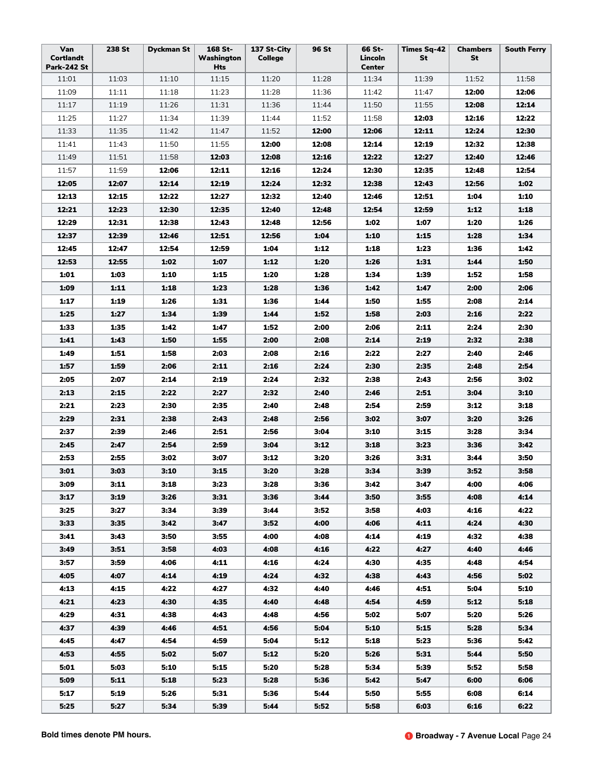| Van<br>Cortlandt<br><b>Park-242 St</b> | 238 St | <b>Dyckman St</b> | 168 St-<br>Washington<br>Hts | 137 St-City<br>College | 96 St | 66 St-<br>Lincoln<br><b>Center</b> | <b>Times Sq-42</b><br><b>St</b> | <b>Chambers</b><br>St | <b>South Ferry</b> |
|----------------------------------------|--------|-------------------|------------------------------|------------------------|-------|------------------------------------|---------------------------------|-----------------------|--------------------|
| 11:01                                  | 11:03  | 11:10             | 11:15                        | 11:20                  | 11:28 | 11:34                              | 11:39                           | 11:52                 | 11:58              |
| 11:09                                  | 11:11  | 11:18             | 11:23                        | 11:28                  | 11:36 | 11:42                              | 11:47                           | 12:00                 | 12:06              |
| 11:17                                  | 11:19  | 11:26             | 11:31                        | 11:36                  | 11:44 | 11:50                              | 11:55                           | 12:08                 | 12:14              |
| 11:25                                  | 11:27  | 11:34             | 11:39                        | 11:44                  | 11:52 | 11:58                              | 12:03                           | 12:16                 | 12:22              |
| 11:33                                  | 11:35  | 11:42             | 11:47                        | 11:52                  | 12:00 | 12:06                              | 12:11                           | 12:24                 | 12:30              |
| 11:41                                  | 11:43  | 11:50             | 11:55                        | 12:00                  | 12:08 | 12:14                              | 12:19                           | 12:32                 | 12:38              |
| 11:49                                  | 11:51  | 11:58             | 12:03                        | 12:08                  | 12:16 | 12:22                              | 12:27                           | 12:40                 | 12:46              |
| 11:57                                  | 11:59  | 12:06             | 12:11                        | 12:16                  | 12:24 | 12:30                              | 12:35                           | 12:48                 | 12:54              |
| 12:05                                  | 12:07  | 12:14             | 12:19                        | 12:24                  | 12:32 | 12:38                              | 12:43                           | 12:56                 | 1:02               |
| 12:13                                  | 12:15  | 12:22             | 12:27                        | 12:32                  | 12:40 | 12:46                              | 12:51                           | 1:04                  | 1:10               |
| 12:21                                  | 12:23  | 12:30             | 12:35                        | 12:40                  | 12:48 | 12:54                              | 12:59                           | 1:12                  | 1:18               |
| 12:29                                  | 12:31  | 12:38             | 12:43                        | 12:48                  | 12:56 | 1:02                               | 1:07                            | 1:20                  | 1:26               |
| 12:37                                  | 12:39  | 12:46             | 12:51                        | 12:56                  | 1:04  | 1:10                               | 1:15                            | 1:28                  | 1:34               |
| 12:45                                  | 12:47  | 12:54             | 12:59                        | 1:04                   | 1:12  | 1:18                               | 1:23                            | 1:36                  | 1:42               |
| 12:53                                  | 12:55  | 1:02              | 1:07                         | 1:12                   | 1:20  | 1:26                               | 1:31                            | 1:44                  | 1:50               |
| 1:01                                   | 1:03   | 1:10              | 1:15                         | 1:20                   | 1:28  | 1:34                               | 1:39                            | 1:52                  | 1:58               |
| 1:09                                   | 1:11   | 1:18              | 1:23                         | 1:28                   | 1:36  | 1:42                               | 1:47                            | 2:00                  | 2:06               |
| 1:17                                   | 1:19   | 1:26              | 1:31                         | 1:36                   | 1:44  | 1:50                               | 1:55                            | 2:08                  | 2:14               |
| 1:25                                   | 1:27   | 1:34              | 1:39                         | 1:44                   | 1:52  | 1:58                               | 2:03                            | 2:16                  | 2:22               |
| 1:33                                   | 1:35   | 1:42              | 1:47                         | 1:52                   | 2:00  | 2:06                               | 2:11                            | 2:24                  | 2:30               |
| 1:41                                   | 1:43   | 1:50              | 1:55                         | 2:00                   | 2:08  | 2:14                               | 2:19                            | 2:32                  | 2:38               |
| 1:49                                   | 1:51   | 1:58              | 2:03                         | 2:08                   | 2:16  | 2:22                               | 2:27                            | 2:40                  | 2:46               |
| 1:57                                   | 1:59   | 2:06              | 2:11                         | 2:16                   | 2:24  | 2:30                               | 2:35                            | 2:48                  | 2:54               |
| 2:05                                   | 2:07   | 2:14              | 2:19                         | 2:24                   | 2:32  | 2:38                               | 2:43                            | 2:56                  | 3:02               |
| 2:13                                   | 2:15   | 2:22              | 2:27                         | 2:32                   | 2:40  | 2:46                               | 2:51                            | 3:04                  | 3:10               |
| 2:21                                   | 2:23   | 2:30              | 2:35                         | 2:40                   | 2:48  | 2:54                               | 2:59                            | 3:12                  | 3:18               |
| 2:29                                   | 2:31   | 2:38              | 2:43                         | 2:48                   | 2:56  | 3:02                               | 3:07                            | 3:20                  | 3:26               |
| 2:37                                   | 2:39   | 2:46              | 2:51                         | 2:56                   | 3:04  | 3:10                               | 3:15                            | 3:28                  | 3:34               |
| 2:45                                   | 2:47   | 2:54              | 2:59                         | 3:04                   | 3:12  | 3:18                               | 3:23                            | 3:36                  | 3:42               |
| 2:53                                   | 2:55   | 3:02              | 3:07                         | 3:12                   | 3:20  | 3:26                               | 3:31                            | 3:44                  | 3:50               |
| 3:01                                   | 3:03   | 3:10              | 3:15                         | 3:20                   | 3:28  | 3:34                               | 3:39                            | 3:52                  | 3:58               |
| 3:09                                   | 3:11   | 3:18              | 3:23                         | 3:28                   | 3:36  | 3:42                               | 3:47                            | 4:00                  | 4:06               |
| 3:17                                   | 3:19   | 3:26              | 3:31                         | 3:36                   | 3:44  | 3:50                               | 3:55                            | 4:08                  | 4:14               |
| 3:25                                   | 3:27   | 3:34              | 3:39                         | 3:44                   | 3:52  | 3:58                               | 4:03                            | 4:16                  | 4:22               |
| 3:33                                   | 3:35   | 3:42              | 3:47                         | 3:52                   | 4:00  | 4:06                               | 4:11                            | 4:24                  | 4:30               |
| 3:41                                   | 3:43   | 3:50              | 3:55                         | 4:00                   | 4:08  | 4:14                               | 4:19                            | 4:32                  | 4:38               |
| 3:49                                   | 3:51   | 3:58              | 4:03                         | 4:08                   | 4:16  | 4:22                               | 4:27                            | 4:40                  | 4:46               |
| 3:57                                   | 3:59   | 4:06              | 4:11                         | 4:16                   | 4:24  | 4:30                               | 4:35                            | 4:48                  | 4:54               |
| 4:05                                   | 4:07   | 4:14              | 4:19                         | 4:24                   | 4:32  | 4:38                               | 4:43                            | 4:56                  | 5:02               |
| 4:13                                   | 4:15   | 4:22              | 4:27                         | 4:32                   | 4:40  | 4:46                               | 4:51                            | 5:04                  | 5:10               |
| 4:21                                   | 4:23   | 4:30              | 4:35                         | 4:40                   | 4:48  | 4:54                               | 4:59                            | 5:12                  | 5:18               |
| 4:29                                   | 4:31   | 4:38              | 4:43                         | 4:48                   | 4:56  | 5:02                               | 5:07                            | 5:20                  | 5:26               |
| 4:37                                   | 4:39   | 4:46              | 4:51                         | 4:56                   | 5:04  | 5:10                               | 5:15                            | 5:28                  | 5:34               |
| 4:45                                   | 4:47   | 4:54              | 4:59                         | 5:04                   | 5:12  | 5:18                               | 5:23                            | 5:36                  | 5:42               |
| 4:53                                   | 4:55   | 5:02              | 5:07                         | 5:12                   | 5:20  | 5:26                               | 5:31                            | 5:44                  | 5:50               |
| 5:01                                   | 5:03   | 5:10              | 5:15                         | 5:20                   | 5:28  | 5:34                               | 5:39                            | 5:52                  | 5:58               |
| 5:09                                   | 5:11   | 5:18              | 5:23                         | 5:28                   | 5:36  | 5:42                               | 5:47                            | 6:00                  | 6:06               |
| 5:17                                   | 5:19   | 5:26              | 5:31                         | 5:36                   | 5:44  | 5:50                               | 5:55                            | 6:08                  | 6:14               |
| 5:25                                   | 5:27   | 5:34              | 5:39                         | 5:44                   | 5:52  | 5:58                               | 6:03                            | 6:16                  | 6:22               |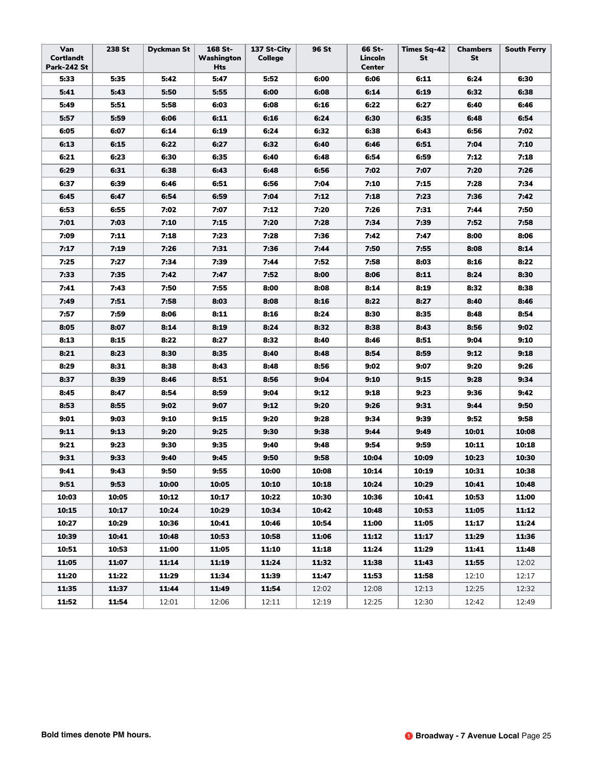| Van<br><b>Cortlandt</b><br>Park-242 St | 238 St | <b>Dyckman St</b> | 168 St-<br>Washington<br>Hts | 137 St-City<br><b>College</b> | 96 St | 66 St-<br>Lincoln<br><b>Center</b> | Times Sq-42<br>St | <b>Chambers</b><br>St | <b>South Ferry</b> |
|----------------------------------------|--------|-------------------|------------------------------|-------------------------------|-------|------------------------------------|-------------------|-----------------------|--------------------|
| 5:33                                   | 5:35   | 5:42              | 5:47                         | 5:52                          | 6:00  | 6:06                               | 6:11              | 6:24                  | 6:30               |
| 5:41                                   | 5:43   | 5:50              | 5:55                         | 6:00                          | 6:08  | 6:14                               | 6:19              | 6:32                  | 6:38               |
| 5:49                                   | 5:51   | 5:58              | 6:03                         | 6:08                          | 6:16  | 6:22                               | 6:27              | 6:40                  | 6:46               |
| 5:57                                   | 5:59   | 6:06              | 6:11                         | 6:16                          | 6:24  | 6:30                               | 6:35              | 6:48                  | 6:54               |
| 6:05                                   | 6:07   | 6:14              | 6:19                         | 6:24                          | 6:32  | 6:38                               | 6:43              | 6:56                  | 7:02               |
| 6:13                                   | 6:15   | 6:22              | 6:27                         | 6:32                          | 6:40  | 6:46                               | 6:51              | 7:04                  | 7:10               |
| 6:21                                   | 6:23   | 6:30              | 6:35                         | 6:40                          | 6:48  | 6:54                               | 6:59              | 7:12                  | 7:18               |
| 6:29                                   | 6:31   | 6:38              | 6:43                         | 6:48                          | 6:56  | 7:02                               | 7:07              | 7:20                  | 7:26               |
| 6:37                                   | 6:39   | 6:46              | 6:51                         | 6:56                          | 7:04  | 7:10                               | 7:15              | 7:28                  | 7:34               |
| 6:45                                   | 6:47   | 6:54              | 6:59                         | 7:04                          | 7:12  | 7:18                               | 7:23              | 7:36                  | 7:42               |
| 6:53                                   | 6:55   | 7:02              | 7:07                         | 7:12                          | 7:20  | 7:26                               | 7:31              | 7:44                  | 7:50               |
| 7:01                                   | 7:03   | 7:10              | 7:15                         | 7:20                          | 7:28  | 7:34                               | 7:39              | 7:52                  | 7:58               |
| 7:09                                   | 7:11   | 7:18              | 7:23                         | 7:28                          | 7:36  | 7:42                               | 7:47              | 8:00                  | 8:06               |
| 7:17                                   | 7:19   | 7:26              | 7:31                         | 7:36                          | 7:44  | 7:50                               | 7:55              | 8:08                  | 8:14               |
| 7:25                                   | 7:27   | 7:34              | 7:39                         | 7:44                          | 7:52  | 7:58                               | 8:03              | 8:16                  | 8:22               |
| 7:33                                   | 7:35   | 7:42              | 7:47                         | 7:52                          | 8:00  | 8:06                               | 8:11              | 8:24                  | 8:30               |
| 7:41                                   | 7:43   | 7:50              | 7:55                         | 8:00                          | 8:08  | 8:14                               | 8:19              | 8:32                  | 8:38               |
| 7:49                                   | 7:51   | 7:58              | 8:03                         | 8:08                          | 8:16  | 8:22                               | 8:27              | 8:40                  | 8:46               |
| 7:57                                   | 7:59   | 8:06              | 8:11                         | 8:16                          | 8:24  | 8:30                               | 8:35              | 8:48                  | 8:54               |
| 8:05                                   | 8:07   | 8:14              | 8:19                         | 8:24                          | 8:32  | 8:38                               | 8:43              | 8:56                  | 9:02               |
| 8:13                                   | 8:15   | 8:22              | 8:27                         | 8:32                          | 8:40  | 8:46                               | 8:51              | 9:04                  | 9:10               |
| 8:21                                   | 8:23   | 8:30              | 8:35                         | 8:40                          | 8:48  | 8:54                               | 8:59              | 9:12                  | 9:18               |
| 8:29                                   | 8:31   | 8:38              | 8:43                         | 8:48                          | 8:56  | 9:02                               | 9:07              | 9:20                  | 9:26               |
| 8:37                                   | 8:39   | 8:46              | 8:51                         | 8:56                          | 9:04  | 9:10                               | 9:15              | 9:28                  | 9:34               |
| 8:45                                   | 8:47   | 8:54              | 8:59                         | 9:04                          | 9:12  | 9:18                               | 9:23              | 9:36                  | 9:42               |
| 8:53                                   | 8:55   | 9:02              | 9:07                         | 9:12                          | 9:20  | 9:26                               | 9:31              | 9:44                  | 9:50               |
| 9:01                                   | 9:03   | 9:10              | 9:15                         | 9:20                          | 9:28  | 9:34                               | 9:39              | 9:52                  | 9:58               |
| 9:11                                   | 9:13   | 9:20              | 9:25                         | 9:30                          | 9:38  | 9:44                               | 9:49              | 10:01                 | 10:08              |
| 9:21                                   | 9:23   | 9:30              | 9:35                         | 9:40                          | 9:48  | 9:54                               | 9:59              | 10:11                 | 10:18              |
| 9:31                                   | 9:33   | 9:40              | 9:45                         | 9:50                          | 9:58  | 10:04                              | 10:09             | 10:23                 | 10:30              |
| 9:41                                   | 9:43   | 9:50              | 9:55                         | 10:00                         | 10:08 | 10:14                              | 10:19             | 10:31                 | 10:38              |
| 9:51                                   | 9:53   | 10:00             | 10:05                        | 10:10                         | 10:18 | 10:24                              | 10:29             | 10:41                 | 10:48              |
| 10:03                                  | 10:05  | 10:12             | 10:17                        | 10:22                         | 10:30 | 10:36                              | 10:41             | 10:53                 | 11:00              |
| 10:15                                  | 10:17  | 10:24             | 10:29                        | 10:34                         | 10:42 | 10:48                              | 10:53             | 11:05                 | 11:12              |
| 10:27                                  | 10:29  | 10:36             | 10:41                        | 10:46                         | 10:54 | 11:00                              | 11:05             | 11:17                 | 11:24              |
| 10:39                                  | 10:41  | 10:48             | 10:53                        | 10:58                         | 11:06 | 11:12                              | 11:17             | 11:29                 | 11:36              |
| 10:51                                  | 10:53  | 11:00             | 11:05                        | 11:10                         | 11:18 | 11:24                              | 11:29             | 11:41                 | 11:48              |
| 11:05                                  | 11:07  | 11:14             | 11:19                        | 11:24                         | 11:32 | 11:38                              | 11:43             | 11:55                 | 12:02              |
| 11:20                                  | 11:22  | 11:29             | 11:34                        | 11:39                         | 11:47 | 11:53                              | 11:58             | 12:10                 | 12:17              |
| 11:35                                  | 11:37  | 11:44             | 11:49                        | 11:54                         | 12:02 | 12:08                              | 12:13             | 12:25                 | 12:32              |
| 11:52                                  | 11:54  | 12:01             | 12:06                        | 12:11                         | 12:19 | 12:25                              | 12:30             | 12:42                 | 12:49              |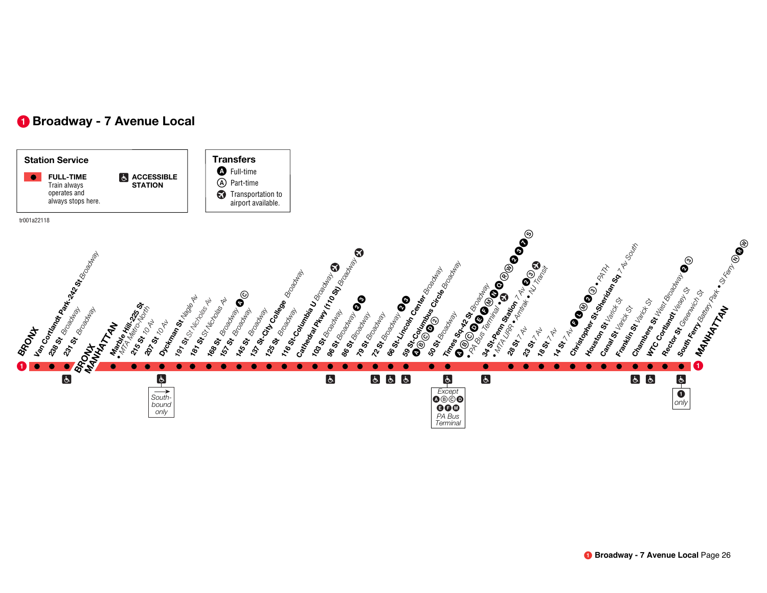